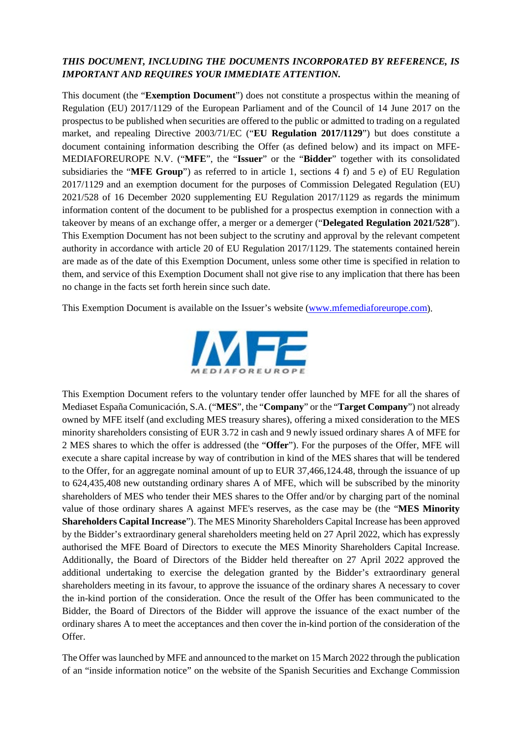# *THIS DOCUMENT, INCLUDING THE DOCUMENTS INCORPORATED BY REFERENCE, IS IMPORTANT AND REQUIRES YOUR IMMEDIATE ATTENTION.*

This document (the "**Exemption Document**") does not constitute a prospectus within the meaning of Regulation (EU) 2017/1129 of the European Parliament and of the Council of 14 June 2017 on the prospectus to be published when securities are offered to the public or admitted to trading on a regulated market, and repealing Directive 2003/71/EC ("**EU Regulation 2017/1129**") but does constitute a document containing information describing the Offer (as defined below) and its impact on MFE-MEDIAFOREUROPE N.V. ("**MFE**", the "**Issuer**" or the "**Bidder**" together with its consolidated subsidiaries the "**MFE Group**") as referred to in article 1, sections 4 f) and 5 e) of EU Regulation 2017/1129 and an exemption document for the purposes of Commission Delegated Regulation (EU) 2021/528 of 16 December 2020 supplementing EU Regulation 2017/1129 as regards the minimum information content of the document to be published for a prospectus exemption in connection with a takeover by means of an exchange offer, a merger or a demerger ("**Delegated Regulation 2021/528**"). This Exemption Document has not been subject to the scrutiny and approval by the relevant competent authority in accordance with article 20 of EU Regulation 2017/1129. The statements contained herein are made as of the date of this Exemption Document, unless some other time is specified in relation to them, and service of this Exemption Document shall not give rise to any implication that there has been no change in the facts set forth herein since such date.

This Exemption Document is available on the Issuer's website [\(www.mfemediaforeurope.com\)](http://www.mfemediaforeurope.com/).



This Exemption Document refers to the voluntary tender offer launched by MFE for all the shares of Mediaset España Comunicación, S.A. ("**MES**", the "**Company**" or the "**Target Company**") not already owned by MFE itself (and excluding MES treasury shares), offering a mixed consideration to the MES minority shareholders consisting of EUR 3.72 in cash and 9 newly issued ordinary shares A of MFE for 2 MES shares to which the offer is addressed (the "**Offer**"). For the purposes of the Offer, MFE will execute a share capital increase by way of contribution in kind of the MES shares that will be tendered to the Offer, for an aggregate nominal amount of up to EUR 37,466,124.48, through the issuance of up to 624,435,408 new outstanding ordinary shares A of MFE, which will be subscribed by the minority shareholders of MES who tender their MES shares to the Offer and/or by charging part of the nominal value of those ordinary shares A against MFE's reserves, as the case may be (the "**MES Minority Shareholders Capital Increase**"). The MES Minority Shareholders Capital Increase has been approved by the Bidder's extraordinary general shareholders meeting held on 27 April 2022, which has expressly authorised the MFE Board of Directors to execute the MES Minority Shareholders Capital Increase. Additionally, the Board of Directors of the Bidder held thereafter on 27 April 2022 approved the additional undertaking to exercise the delegation granted by the Bidder's extraordinary general shareholders meeting in its favour, to approve the issuance of the ordinary shares A necessary to cover the in-kind portion of the consideration. Once the result of the Offer has been communicated to the Bidder, the Board of Directors of the Bidder will approve the issuance of the exact number of the ordinary shares A to meet the acceptances and then cover the in-kind portion of the consideration of the Offer.

The Offer was launched by MFE and announced to the market on 15 March 2022 through the publication of an "inside information notice" on the website of the Spanish Securities and Exchange Commission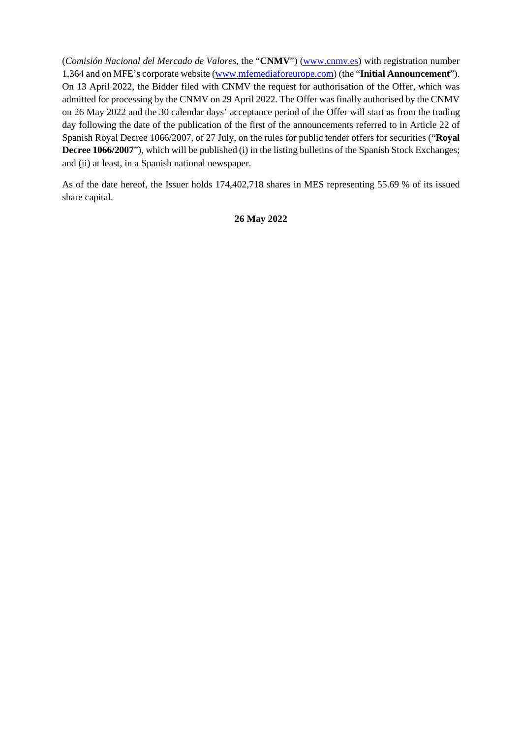(*Comisión Nacional del Mercado de Valores*, the "**CNMV**") [\(www.cnmv.es\)](http://www.cnmv.es/) with registration number 1,364 and on MFE's corporate website [\(www.mfemediaforeurope.com\)](http://www.mfemediaforeurope.com/) (the "**Initial Announcement**"). On 13 April 2022, the Bidder filed with CNMV the request for authorisation of the Offer, which was admitted for processing by the CNMV on 29 April 2022. The Offer was finally authorised by the CNMV on 26 May 2022 and the 30 calendar days' acceptance period of the Offer will start as from the trading day following the date of the publication of the first of the announcements referred to in Article 22 of Spanish Royal Decree 1066/2007, of 27 July, on the rules for public tender offers for securities ("**Royal Decree 1066/2007**"), which will be published (i) in the listing bulletins of the Spanish Stock Exchanges; and (ii) at least, in a Spanish national newspaper.

As of the date hereof, the Issuer holds 174,402,718 shares in MES representing 55.69 % of its issued share capital.

### **26 May 2022**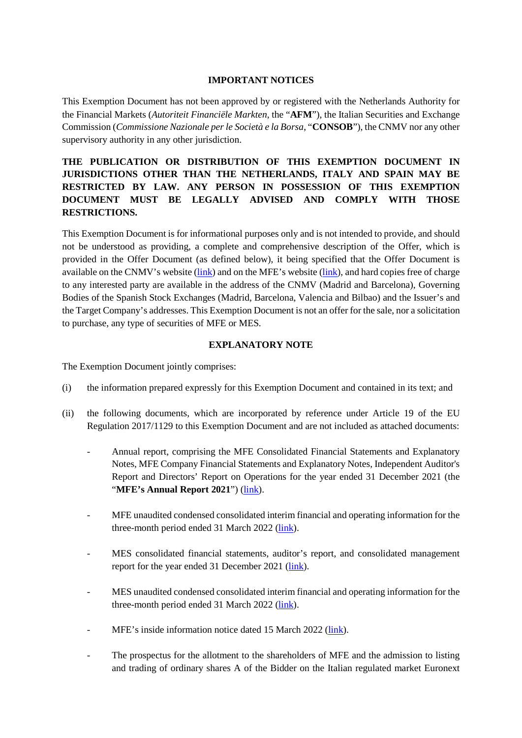### **IMPORTANT NOTICES**

This Exemption Document has not been approved by or registered with the Netherlands Authority for the Financial Markets (*Autoriteit Financiële Markten*, the "**AFM**"), the Italian Securities and Exchange Commission (*Commissione Nazionale per le Società e la Borsa*, "**CONSOB**"), the CNMV nor any other supervisory authority in any other jurisdiction.

# **THE PUBLICATION OR DISTRIBUTION OF THIS EXEMPTION DOCUMENT IN JURISDICTIONS OTHER THAN THE NETHERLANDS, ITALY AND SPAIN MAY BE RESTRICTED BY LAW. ANY PERSON IN POSSESSION OF THIS EXEMPTION DOCUMENT MUST BE LEGALLY ADVISED AND COMPLY WITH THOSE RESTRICTIONS.**

This Exemption Document is for informational purposes only and is not intended to provide, and should not be understood as providing, a complete and comprehensive description of the Offer, which is provided in the Offer Document (as defined below), it being specified that the Offer Document is available on the CNMV's website [\(link\)](http://www.cnmv.es/) and on the MFE's website [\(link\)](http://www.mfemediaforeurope.com/), and hard copies free of charge to any interested party are available in the address of the CNMV (Madrid and Barcelona), Governing Bodies of the Spanish Stock Exchanges (Madrid, Barcelona, Valencia and Bilbao) and the Issuer's and the Target Company's addresses. This Exemption Document is not an offer for the sale, nor a solicitation to purchase, any type of securities of MFE or MES.

### **EXPLANATORY NOTE**

The Exemption Document jointly comprises:

- (i) the information prepared expressly for this Exemption Document and contained in its text; and
- (ii) the following documents, which are incorporated by reference under Article 19 of the EU Regulation 2017/1129 to this Exemption Document and are not included as attached documents:
	- Annual report, comprising the MFE Consolidated Financial Statements and Explanatory Notes, MFE Company Financial Statements and Explanatory Notes, Independent Auditor's Report and Directors' Report on Operations for the year ended 31 December 2021 (the "**MFE's Annual Report 2021**") [\(link\)](https://www.mfemediaforeurope.com/binary/documentRepository/93/AR_2021_ENG_1791.pdf).
	- MFE unaudited condensed consolidated interim financial and operating information for the three-month period ended 31 March 2022 [\(link\)](https://www.mfemediaforeurope.com/binary/documentRepository/66/Gruppo%20MFE%20-%20Informazioni%20Finanziarie%20Periodiche%20Aggiuntive%20al%2031%20Marzo%202022_ENG_1821.pdf).
	- MES consolidated financial statements, auditor's report, and consolidated management report for the year ended 31 December 2021 [\(link\)](https://files.mediaset.es/file/10002/2022/04/26/Informe_Grupo_Mediaset_Espana_2021_COMPLETO_6cb7.pdf).
	- MES unaudited condensed consolidated interim financial and operating information for the three-month period ended 31 March 2022 [\(link\)](https://files.mediaset.es/file/10002/2022/05/11/1Q_2022_ENGLISH_CNMV_f29f.pdf).
	- MFE's inside information notice dated 15 March 2022 [\(link\)](https://www.cnmv.es/Portal/verDoc.axd?t=%7be647660e-879f-429f-a774-f1911cfd4e93%7d).
	- The prospectus for the allotment to the shareholders of MFE and the admission to listing and trading of ordinary shares A of the Bidder on the Italian regulated market Euronext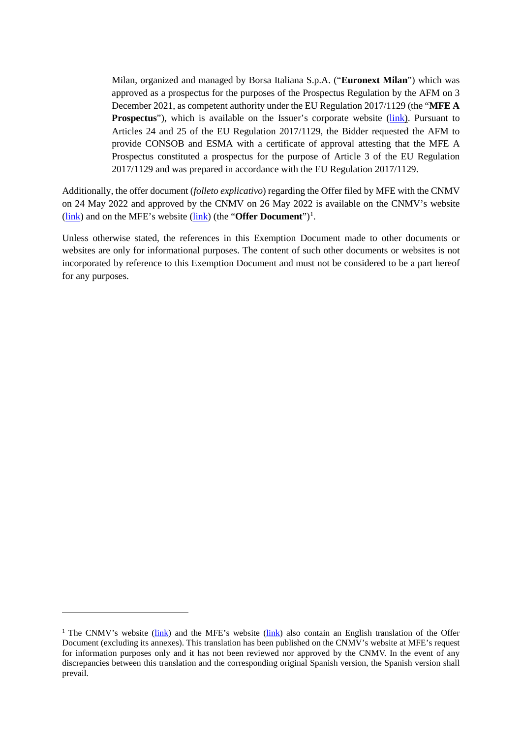Milan, organized and managed by Borsa Italiana S.p.A. ("**Euronext Milan**") which was approved as a prospectus for the purposes of the Prospectus Regulation by the AFM on 3 December 2021, as competent authority under the EU Regulation 2017/1129 (the "**MFE A Prospectus**"), which is available on the Issuer's corporate website [\(link\)](http://www.mfemediaforeurope.com/). Pursuant to Articles 24 and 25 of the EU Regulation 2017/1129, the Bidder requested the AFM to provide CONSOB and ESMA with a certificate of approval attesting that the MFE A Prospectus constituted a prospectus for the purpose of Article 3 of the EU Regulation 2017/1129 and was prepared in accordance with the EU Regulation 2017/1129.

Additionally, the offer document (*folleto explicativo*) regarding the Offer filed by MFE with the CNMV on 24 May 2022 and approved by the CNMV on 26 May 2022 is available on the CNMV's website (**link**) and on the MFE's website (**link**) (the "**Offer Document**")<sup>[1](#page-3-0)</sup>.

Unless otherwise stated, the references in this Exemption Document made to other documents or websites are only for informational purposes. The content of such other documents or websites is not incorporated by reference to this Exemption Document and must not be considered to be a part hereof for any purposes.

<u>.</u>

<span id="page-3-0"></span><sup>&</sup>lt;sup>1</sup> The CNMV's website [\(link\)](https://www.mfemediaforeurope.com/en/governance/voluntary-mediaset-espa-a-tender-offer/) and the MFE's website (link) also contain an English translation of the Offer Document (excluding its annexes). This translation has been published on the CNMV's website at MFE's request for information purposes only and it has not been reviewed nor approved by the CNMV. In the event of any discrepancies between this translation and the corresponding original Spanish version, the Spanish version shall prevail.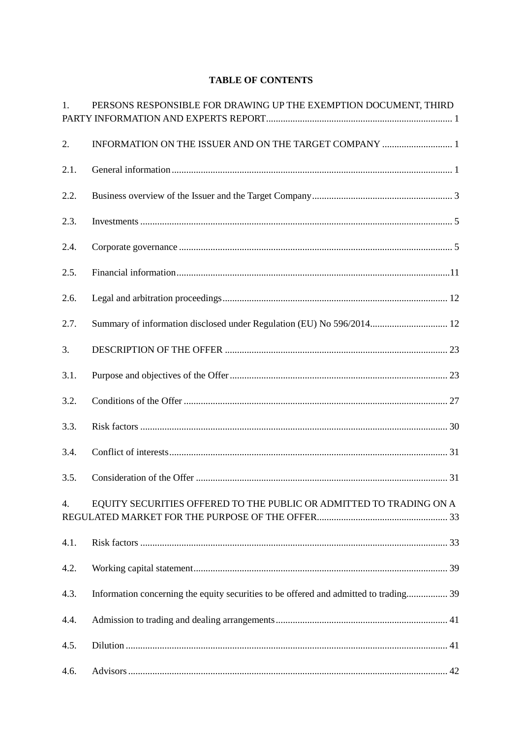## **TABLE OF CONTENTS**

| 1.   | PERSONS RESPONSIBLE FOR DRAWING UP THE EXEMPTION DOCUMENT, THIRD                      |
|------|---------------------------------------------------------------------------------------|
| 2.   | INFORMATION ON THE ISSUER AND ON THE TARGET COMPANY  1                                |
| 2.1. |                                                                                       |
| 2.2. |                                                                                       |
| 2.3. |                                                                                       |
| 2.4. |                                                                                       |
| 2.5. |                                                                                       |
| 2.6. |                                                                                       |
| 2.7. | Summary of information disclosed under Regulation (EU) No 596/2014 12                 |
| 3.   |                                                                                       |
| 3.1. |                                                                                       |
| 3.2. |                                                                                       |
| 3.3. |                                                                                       |
| 3.4. |                                                                                       |
| 3.5. |                                                                                       |
| 4.   | EQUITY SECURITIES OFFERED TO THE PUBLIC OR ADMITTED TO TRADING ON A                   |
| 4.1. |                                                                                       |
| 4.2. |                                                                                       |
| 4.3. | Information concerning the equity securities to be offered and admitted to trading 39 |
| 4.4. |                                                                                       |
| 4.5. |                                                                                       |
| 4.6. |                                                                                       |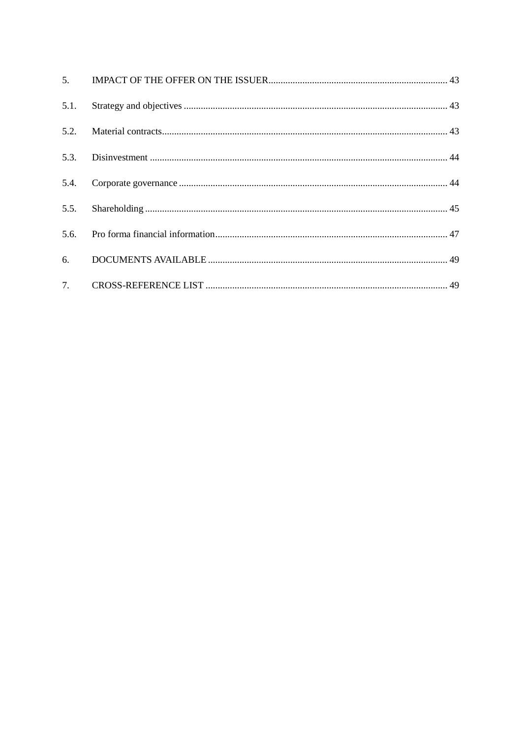| 5.1. |  |
|------|--|
|      |  |
|      |  |
|      |  |
| 5.5. |  |
|      |  |
|      |  |
|      |  |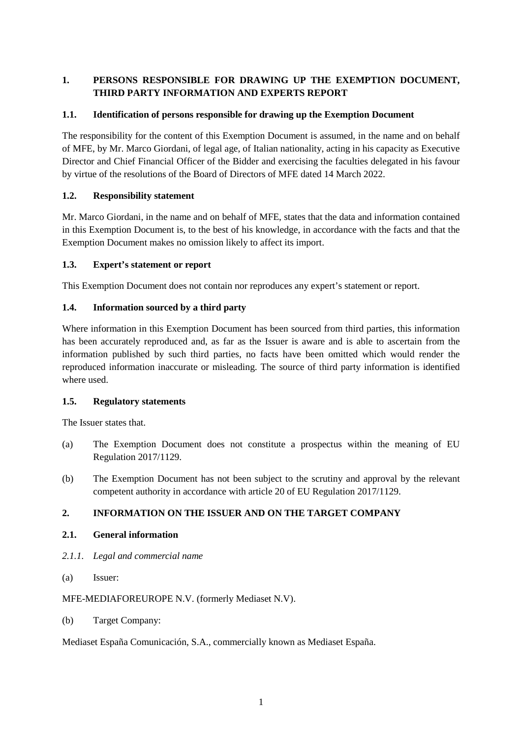# <span id="page-6-0"></span>**1. PERSONS RESPONSIBLE FOR DRAWING UP THE EXEMPTION DOCUMENT, THIRD PARTY INFORMATION AND EXPERTS REPORT**

## **1.1. Identification of persons responsible for drawing up the Exemption Document**

The responsibility for the content of this Exemption Document is assumed, in the name and on behalf of MFE, by Mr. Marco Giordani, of legal age, of Italian nationality, acting in his capacity as Executive Director and Chief Financial Officer of the Bidder and exercising the faculties delegated in his favour by virtue of the resolutions of the Board of Directors of MFE dated 14 March 2022.

### **1.2. Responsibility statement**

Mr. Marco Giordani, in the name and on behalf of MFE, states that the data and information contained in this Exemption Document is, to the best of his knowledge, in accordance with the facts and that the Exemption Document makes no omission likely to affect its import.

## **1.3. Expert's statement or report**

This Exemption Document does not contain nor reproduces any expert's statement or report.

## **1.4. Information sourced by a third party**

Where information in this Exemption Document has been sourced from third parties, this information has been accurately reproduced and, as far as the Issuer is aware and is able to ascertain from the information published by such third parties, no facts have been omitted which would render the reproduced information inaccurate or misleading. The source of third party information is identified where used.

### **1.5. Regulatory statements**

The Issuer states that.

- (a) The Exemption Document does not constitute a prospectus within the meaning of EU Regulation 2017/1129.
- (b) The Exemption Document has not been subject to the scrutiny and approval by the relevant competent authority in accordance with article 20 of EU Regulation 2017/1129.

# <span id="page-6-1"></span>**2. INFORMATION ON THE ISSUER AND ON THE TARGET COMPANY**

### <span id="page-6-2"></span>**2.1. General information**

- *2.1.1. Legal and commercial name*
- (a) Issuer:

MFE-MEDIAFOREUROPE N.V. (formerly Mediaset N.V).

(b) Target Company:

Mediaset España Comunicación, S.A., commercially known as Mediaset España.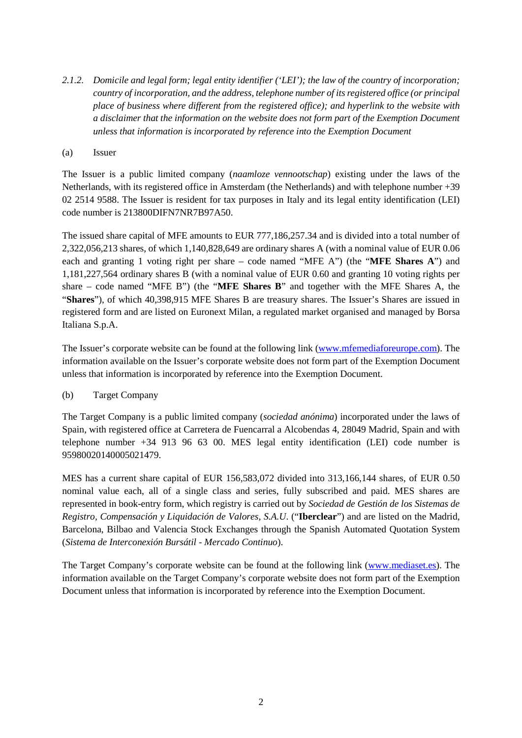- *2.1.2. Domicile and legal form; legal entity identifier ('LEI'); the law of the country of incorporation; country of incorporation, and the address, telephone number of its registered office (or principal place of business where different from the registered office); and hyperlink to the website with a disclaimer that the information on the website does not form part of the Exemption Document unless that information is incorporated by reference into the Exemption Document*
- (a) Issuer

The Issuer is a public limited company (*naamloze vennootschap*) existing under the laws of the Netherlands, with its registered office in Amsterdam (the Netherlands) and with telephone number +39 02 2514 9588. The Issuer is resident for tax purposes in Italy and its legal entity identification (LEI) code number is 213800DIFN7NR7B97A50.

The issued share capital of MFE amounts to EUR 777,186,257.34 and is divided into a total number of 2,322,056,213 shares, of which 1,140,828,649 are ordinary shares A (with a nominal value of EUR 0.06 each and granting 1 voting right per share – code named "MFE A") (the "**MFE Shares A**") and 1,181,227,564 ordinary shares B (with a nominal value of EUR 0.60 and granting 10 voting rights per share – code named "MFE B") (the "**MFE Shares B**" and together with the MFE Shares A, the "**Shares**"), of which 40,398,915 MFE Shares B are treasury shares. The Issuer's Shares are issued in registered form and are listed on Euronext Milan, a regulated market organised and managed by Borsa Italiana S.p.A.

The Issuer's corporate website can be found at the following link [\(www.mfemediaforeurope.com\)](http://www.mfemediaforeurope.com/). The information available on the Issuer's corporate website does not form part of the Exemption Document unless that information is incorporated by reference into the Exemption Document.

### (b) Target Company

The Target Company is a public limited company (*sociedad anónima*) incorporated under the laws of Spain, with registered office at Carretera de Fuencarral a Alcobendas 4, 28049 Madrid, Spain and with telephone number +34 913 96 63 00. MES legal entity identification (LEI) code number is 95980020140005021479.

MES has a current share capital of EUR 156,583,072 divided into 313,166,144 shares, of EUR 0.50 nominal value each, all of a single class and series, fully subscribed and paid. MES shares are represented in book-entry form, which registry is carried out by *Sociedad de Gestión de los Sistemas de Registro, Compensación y Liquidación de Valores, S.A.U*. ("**Iberclear**") and are listed on the Madrid, Barcelona, Bilbao and Valencia Stock Exchanges through the Spanish Automated Quotation System (*Sistema de Interconexión Bursátil* - *Mercado Continuo*).

The Target Company's corporate website can be found at the following link [\(www.mediaset.es\)](http://www.mediaset.es/). The information available on the Target Company's corporate website does not form part of the Exemption Document unless that information is incorporated by reference into the Exemption Document.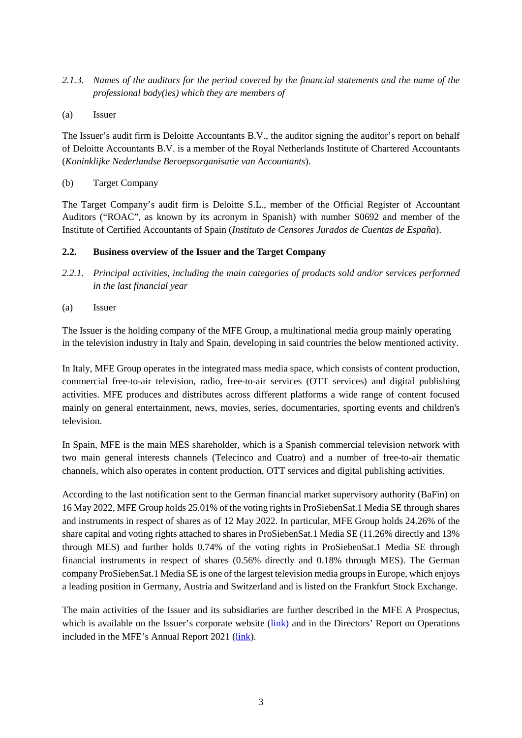- *2.1.3. Names of the auditors for the period covered by the financial statements and the name of the professional body(ies) which they are members of*
- (a) Issuer

The Issuer's audit firm is Deloitte Accountants B.V., the auditor signing the auditor's report on behalf of Deloitte Accountants B.V. is a member of the Royal Netherlands Institute of Chartered Accountants (*Koninklijke Nederlandse Beroepsorganisatie van Accountants*).

(b) Target Company

The Target Company's audit firm is Deloitte S.L., member of the Official Register of Accountant Auditors ("ROAC", as known by its acronym in Spanish) with number S0692 and member of the Institute of Certified Accountants of Spain (*Instituto de Censores Jurados de Cuentas de España*).

### <span id="page-8-0"></span>**2.2. Business overview of the Issuer and the Target Company**

- <span id="page-8-2"></span>*2.2.1. Principal activities, including the main categories of products sold and/or services performed in the last financial year*
- <span id="page-8-1"></span>(a) Issuer

The Issuer is the holding company of the MFE Group, a multinational media group mainly operating in the television industry in Italy and Spain, developing in said countries the below mentioned activity.

In Italy, MFE Group operates in the integrated mass media space, which consists of content production, commercial free-to-air television, radio, free-to-air services (OTT services) and digital publishing activities. MFE produces and distributes across different platforms a wide range of content focused mainly on general entertainment, news, movies, series, documentaries, sporting events and children's television.

In Spain, MFE is the main MES shareholder, which is a Spanish commercial television network with two main general interests channels (Telecinco and Cuatro) and a number of free-to-air thematic channels, which also operates in content production, OTT services and digital publishing activities.

According to the last notification sent to the German financial market supervisory authority (BaFin) on 16 May 2022, MFE Group holds 25.01% of the voting rights in ProSiebenSat.1 Media SE through shares and instruments in respect of shares as of 12 May 2022. In particular, MFE Group holds 24.26% of the share capital and voting rights attached to shares in ProSiebenSat.1 Media SE (11.26% directly and 13% through MES) and further holds 0.74% of the voting rights in ProSiebenSat.1 Media SE through financial instruments in respect of shares (0.56% directly and 0.18% through MES). The German company ProSiebenSat.1 Media SE is one of the largest television media groups in Europe, which enjoys a leading position in Germany, Austria and Switzerland and is listed on the Frankfurt Stock Exchange.

The main activities of the Issuer and its subsidiaries are further described in the MFE A Prospectus, which is available on the Issuer's corporate website (*link*) and in the Directors' Report on Operations included in the MFE's Annual Report 2021 [\(link\)](https://www.mfemediaforeurope.com/binary/documentRepository/93/AR_2021_ENG_1791.pdf).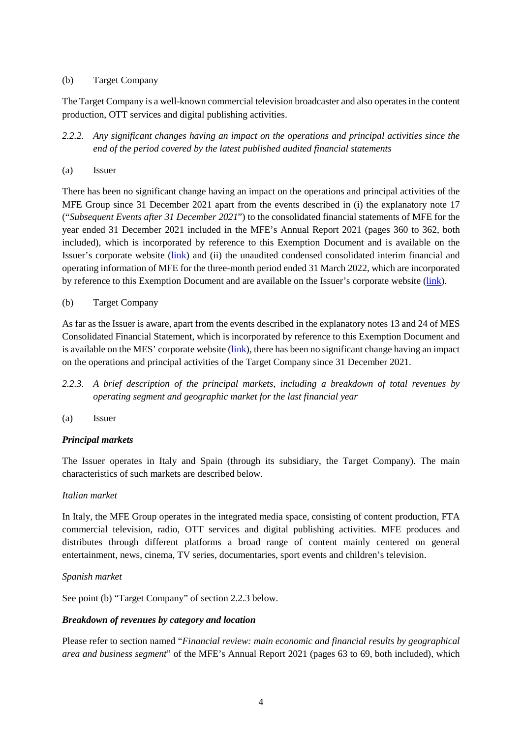### (b) Target Company

The Target Company is a well-known commercial television broadcaster and also operates in the content production, OTT services and digital publishing activities.

- <span id="page-9-2"></span>*2.2.2. Any significant changes having an impact on the operations and principal activities since the end of the period covered by the latest published audited financial statements*
- <span id="page-9-1"></span>(a) Issuer

There has been no significant change having an impact on the operations and principal activities of the MFE Group since 31 December 2021 apart from the events described in (i) the explanatory note 17 ("*Subsequent Events after 31 December 2021*") to the consolidated financial statements of MFE for the year ended 31 December 2021 included in the MFE's Annual Report 2021 (pages 360 to 362, both included), which is incorporated by reference to this Exemption Document and is available on the Issuer's corporate website [\(link\)](https://www.mfemediaforeurope.com/binary/documentRepository/93/AR_2021_ENG_1791.pdf) and (ii) the unaudited condensed consolidated interim financial and operating information of MFE for the three-month period ended 31 March 2022, which are incorporated by reference to this Exemption Document and are available on the Issuer's corporate website [\(link\)](https://www.mfemediaforeurope.com/binary/documentRepository/66/Gruppo%20MFE%20-%20Informazioni%20Finanziarie%20Periodiche%20Aggiuntive%20al%2031%20Marzo%202022_ENG_1821.pdf).

### <span id="page-9-3"></span>(b) Target Company

As far as the Issuer is aware, apart from the events described in the explanatory notes 13 and 24 of MES Consolidated Financial Statement, which is incorporated by reference to this Exemption Document and is available on the MES' corporate website [\(link\)](https://files.mediaset.es/file/10002/2022/04/26/Informe_Grupo_Mediaset_Espana_2021_COMPLETO_6cb7.pdf), there has been no significant change having an impact on the operations and principal activities of the Target Company since 31 December 2021.

- <span id="page-9-0"></span>*2.2.3. A brief description of the principal markets, including a breakdown of total revenues by operating segment and geographic market for the last financial year*
- <span id="page-9-4"></span>(a) Issuer

### *Principal markets*

The Issuer operates in Italy and Spain (through its subsidiary, the Target Company). The main characteristics of such markets are described below.

### *Italian market*

In Italy, the MFE Group operates in the integrated media space, consisting of content production, FTA commercial television, radio, OTT services and digital publishing activities. MFE produces and distributes through different platforms a broad range of content mainly centered on general entertainment, news, cinema, TV series, documentaries, sport events and children's television.

### *Spanish market*

See point [\(b\)](#page-10-2) "Target Company" of section [2.2.3](#page-9-0) below.

### *Breakdown of revenues by category and location*

Please refer to section named "*Financial review: main economic and financial results by geographical area and business segment*" of the MFE's Annual Report 2021 (pages 63 to 69, both included), which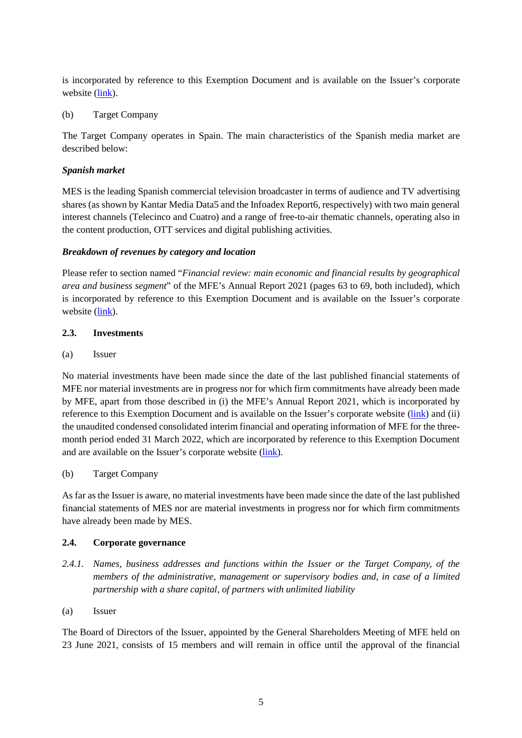is incorporated by reference to this Exemption Document and is available on the Issuer's corporate website [\(link\)](https://www.mfemediaforeurope.com/binary/documentRepository/93/AR_2021_ENG_1791.pdf).

<span id="page-10-2"></span>(b) Target Company

The Target Company operates in Spain. The main characteristics of the Spanish media market are described below:

### *Spanish market*

MES is the leading Spanish commercial television broadcaster in terms of audience and TV advertising shares (as shown by Kantar Media Data5 and the Infoadex Report6, respectively) with two main general interest channels (Telecinco and Cuatro) and a range of free-to-air thematic channels, operating also in the content production, OTT services and digital publishing activities.

### *Breakdown of revenues by category and location*

Please refer to section named "*Financial review: main economic and financial results by geographical area and business segment*" of the MFE's Annual Report 2021 (pages 63 to 69, both included), which is incorporated by reference to this Exemption Document and is available on the Issuer's corporate website [\(link\)](https://www.mfemediaforeurope.com/binary/documentRepository/93/AR_2021_ENG_1791.pdf).

### <span id="page-10-0"></span>**2.3. Investments**

(a) Issuer

No material investments have been made since the date of the last published financial statements of MFE nor material investments are in progress nor for which firm commitments have already been made by MFE, apart from those described in (i) the MFE's Annual Report 2021, which is incorporated by reference to this Exemption Document and is available on the Issuer's corporate website [\(link\)](https://www.mfemediaforeurope.com/binary/documentRepository/93/AR_2021_ENG_1791.pdf) and (ii) the unaudited condensed consolidated interim financial and operating information of MFE for the threemonth period ended 31 March 2022, which are incorporated by reference to this Exemption Document and are available on the Issuer's corporate website [\(link\)](https://www.mfemediaforeurope.com/binary/documentRepository/66/Gruppo%20MFE%20-%20Informazioni%20Finanziarie%20Periodiche%20Aggiuntive%20al%2031%20Marzo%202022_ENG_1821.pdf).

(b) Target Company

As far as the Issuer is aware, no material investments have been made since the date of the last published financial statements of MES nor are material investments in progress nor for which firm commitments have already been made by MES.

### <span id="page-10-1"></span>**2.4. Corporate governance**

- *2.4.1. Names, business addresses and functions within the Issuer or the Target Company, of the members of the administrative, management or supervisory bodies and, in case of a limited partnership with a share capital, of partners with unlimited liability*
- (a) Issuer

The Board of Directors of the Issuer, appointed by the General Shareholders Meeting of MFE held on 23 June 2021, consists of 15 members and will remain in office until the approval of the financial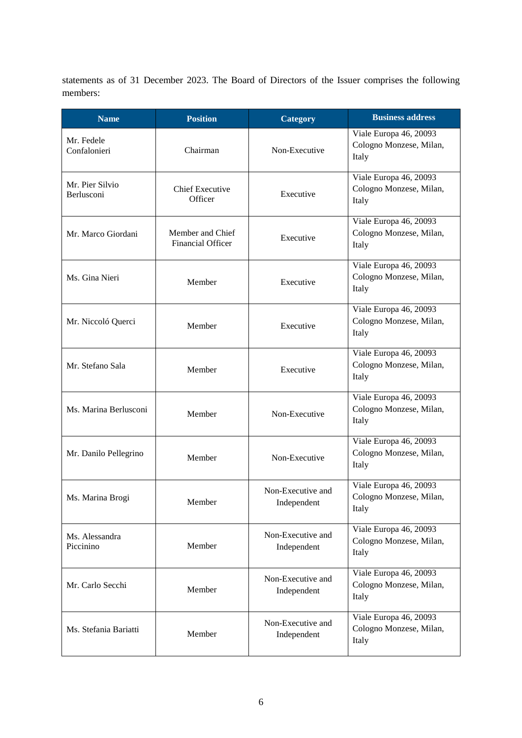statements as of 31 December 2023. The Board of Directors of the Issuer comprises the following members:

| <b>Name</b>                                                        | <b>Position</b>                              | Category                         | <b>Business address</b>                                    |
|--------------------------------------------------------------------|----------------------------------------------|----------------------------------|------------------------------------------------------------|
| Mr. Fedele<br>Confalonieri                                         | Chairman                                     | Non-Executive                    | Viale Europa 46, 20093<br>Cologno Monzese, Milan,<br>Italy |
| Mr. Pier Silvio<br><b>Chief Executive</b><br>Berlusconi<br>Officer |                                              | Executive                        | Viale Europa 46, 20093<br>Cologno Monzese, Milan,<br>Italy |
| Mr. Marco Giordani                                                 | Member and Chief<br><b>Financial Officer</b> | Executive                        | Viale Europa 46, 20093<br>Cologno Monzese, Milan,<br>Italy |
| Ms. Gina Nieri                                                     | Member                                       | Executive                        | Viale Europa 46, 20093<br>Cologno Monzese, Milan,<br>Italy |
| Mr. Niccoló Querci                                                 | Member                                       | Executive                        | Viale Europa 46, 20093<br>Cologno Monzese, Milan,<br>Italy |
| Mr. Stefano Sala                                                   | Member                                       | Executive                        | Viale Europa 46, 20093<br>Cologno Monzese, Milan,<br>Italy |
| Ms. Marina Berlusconi                                              | Member                                       | Non-Executive                    | Viale Europa 46, 20093<br>Cologno Monzese, Milan,<br>Italy |
| Mr. Danilo Pellegrino                                              | Member                                       | Non-Executive                    | Viale Europa 46, 20093<br>Cologno Monzese, Milan,<br>Italy |
| Ms. Marina Brogi                                                   | Member                                       | Non-Executive and<br>Independent | Viale Europa 46, 20093<br>Cologno Monzese, Milan,<br>Italy |
| Ms. Alessandra<br>Member<br>Piccinino                              |                                              | Non-Executive and<br>Independent | Viale Europa 46, 20093<br>Cologno Monzese, Milan,<br>Italy |
| Mr. Carlo Secchi                                                   | Member                                       | Non-Executive and<br>Independent | Viale Europa 46, 20093<br>Cologno Monzese, Milan,<br>Italy |
| Ms. Stefania Bariatti<br>Member                                    |                                              | Non-Executive and<br>Independent | Viale Europa 46, 20093<br>Cologno Monzese, Milan,<br>Italy |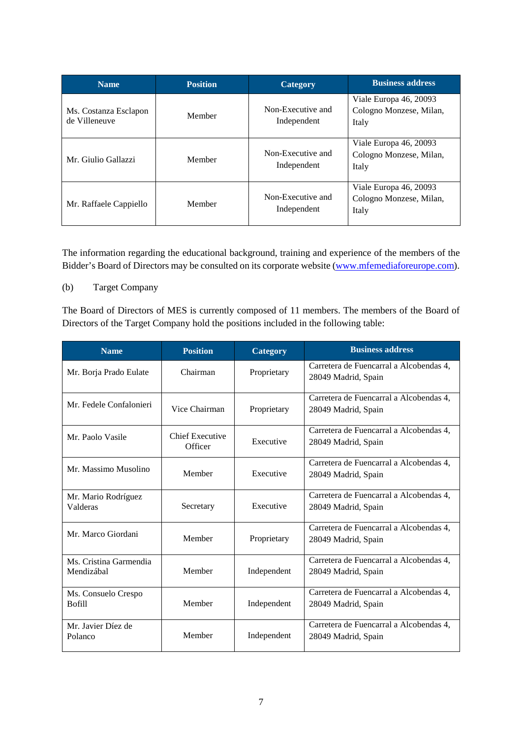| <b>Name</b>                            | <b>Position</b> | <b>Category</b>                  | <b>Business address</b>                                    |
|----------------------------------------|-----------------|----------------------------------|------------------------------------------------------------|
| Ms. Costanza Esclapon<br>de Villeneuve | Member          | Non-Executive and<br>Independent | Viale Europa 46, 20093<br>Cologno Monzese, Milan,<br>Italy |
| Mr. Giulio Gallazzi                    | Member          | Non-Executive and<br>Independent | Viale Europa 46, 20093<br>Cologno Monzese, Milan,<br>Italy |
| Member<br>Mr. Raffaele Cappiello       |                 | Non-Executive and<br>Independent | Viale Europa 46, 20093<br>Cologno Monzese, Milan,<br>Italy |

The information regarding the educational background, training and experience of the members of the Bidder's Board of Directors may be consulted on its corporate website [\(www.mfemediaforeurope.com\)](https://www.mfemediaforeurope.com/en/governance/corporate-bodies/).

### (b) Target Company

The Board of Directors of MES is currently composed of 11 members. The members of the Board of Directors of the Target Company hold the positions included in the following table:

| <b>Name</b>                          | <b>Position</b>                   | Category    | <b>Business address</b>                                        |
|--------------------------------------|-----------------------------------|-------------|----------------------------------------------------------------|
| Mr. Borja Prado Eulate               | Chairman                          |             | Carretera de Fuencarral a Alcobendas 4,<br>28049 Madrid, Spain |
| Mr. Fedele Confalonieri              | Vice Chairman                     | Proprietary | Carretera de Fuencarral a Alcobendas 4.<br>28049 Madrid, Spain |
| Mr. Paolo Vasile                     | <b>Chief Executive</b><br>Officer | Executive   | Carretera de Fuencarral a Alcobendas 4.<br>28049 Madrid, Spain |
| Mr. Massimo Musolino                 | Member                            | Executive   | Carretera de Fuencarral a Alcobendas 4.<br>28049 Madrid, Spain |
| Mr. Mario Rodríguez<br>Valderas      | Secretary                         | Executive   | Carretera de Fuencarral a Alcobendas 4,<br>28049 Madrid, Spain |
| Mr. Marco Giordani                   | Member                            | Proprietary | Carretera de Fuencarral a Alcobendas 4,<br>28049 Madrid, Spain |
| Ms. Cristina Garmendia<br>Mendizábal | Member                            | Independent | Carretera de Fuencarral a Alcobendas 4,<br>28049 Madrid, Spain |
| Ms. Consuelo Crespo<br><b>Bofill</b> | Member                            | Independent | Carretera de Fuencarral a Alcobendas 4,<br>28049 Madrid, Spain |
| Mr. Javier Díez de<br>Polanco        | Member                            | Independent | Carretera de Fuencarral a Alcobendas 4,<br>28049 Madrid, Spain |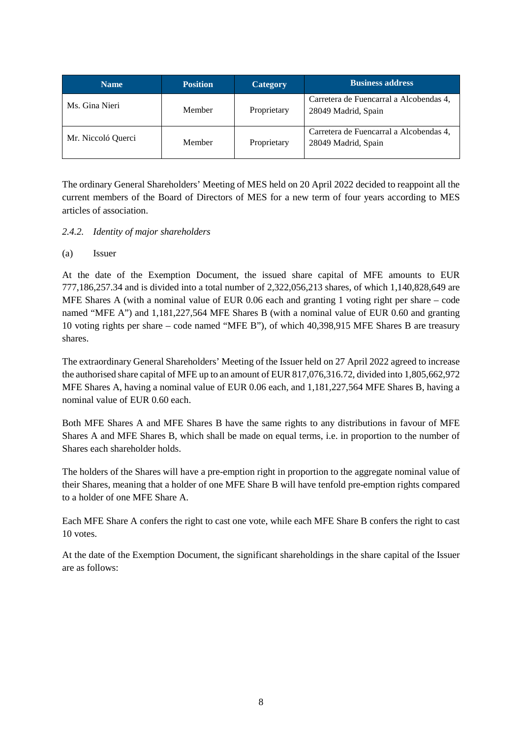| <b>Name</b>        | <b>Position</b> | Category    | <b>Business address</b>                                        |
|--------------------|-----------------|-------------|----------------------------------------------------------------|
| Ms. Gina Nieri     | Member          | Proprietary | Carretera de Fuencarral a Alcobendas 4,<br>28049 Madrid, Spain |
| Mr. Niccoló Querci | Member          | Proprietary | Carretera de Fuencarral a Alcobendas 4,<br>28049 Madrid, Spain |

The ordinary General Shareholders' Meeting of MES held on 20 April 2022 decided to reappoint all the current members of the Board of Directors of MES for a new term of four years according to MES articles of association.

## *2.4.2. Identity of major shareholders*

### (a) Issuer

At the date of the Exemption Document, the issued share capital of MFE amounts to EUR 777,186,257.34 and is divided into a total number of 2,322,056,213 shares, of which 1,140,828,649 are MFE Shares A (with a nominal value of EUR 0.06 each and granting 1 voting right per share – code named "MFE A") and 1,181,227,564 MFE Shares B (with a nominal value of EUR 0.60 and granting 10 voting rights per share – code named "MFE B"), of which 40,398,915 MFE Shares B are treasury shares.

The extraordinary General Shareholders' Meeting of the Issuer held on 27 April 2022 agreed to increase the authorised share capital of MFE up to an amount of EUR 817,076,316.72, divided into 1,805,662,972 MFE Shares A, having a nominal value of EUR 0.06 each, and 1,181,227,564 MFE Shares B, having a nominal value of EUR 0.60 each.

Both MFE Shares A and MFE Shares B have the same rights to any distributions in favour of MFE Shares A and MFE Shares B, which shall be made on equal terms, i.e. in proportion to the number of Shares each shareholder holds.

The holders of the Shares will have a pre-emption right in proportion to the aggregate nominal value of their Shares, meaning that a holder of one MFE Share B will have tenfold pre-emption rights compared to a holder of one MFE Share A.

Each MFE Share A confers the right to cast one vote, while each MFE Share B confers the right to cast 10 votes.

At the date of the Exemption Document, the significant shareholdings in the share capital of the Issuer are as follows: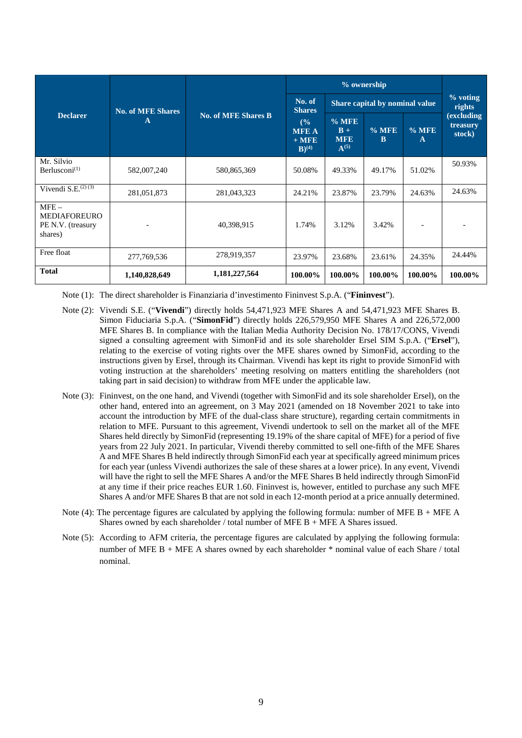|                                                                |                               |                            | % ownership                                           |                                             |                      |              |                                  |
|----------------------------------------------------------------|-------------------------------|----------------------------|-------------------------------------------------------|---------------------------------------------|----------------------|--------------|----------------------------------|
|                                                                | <b>No. of MFE Shares</b><br>A | <b>No. of MFE Shares B</b> | No. of<br><b>Shares</b>                               | Share capital by nominal value              | $%$ voting<br>rights |              |                                  |
| <b>Declarer</b>                                                |                               |                            | (%)<br><b>MFE A</b><br>$+$ MFE<br>$B)$ <sup>(4)</sup> | $%$ MFE<br>$B +$<br><b>MFE</b><br>$A^{(5)}$ | $%$ MFE<br>B         | $%$ MFE<br>A | (excluding<br>treasury<br>stock) |
| Mr. Silvio<br>Berlusconi $^{(1)}$                              | 582,007,240                   | 580,865,369                | 50.08%                                                | 49.33%                                      | 49.17%               | 51.02%       | 50.93%                           |
| Vivendi S.E. $^{(2)(3)}$                                       | 281,051,873                   | 281,043,323                | 24.21%                                                | 23.87%                                      | 23.79%               | 24.63%       | 24.63%                           |
| $MFE -$<br><b>MEDIAFOREURO</b><br>PE N.V. (treasury<br>shares) |                               | 40,398,915                 | 1.74%                                                 | 3.12%                                       | 3.42%                |              |                                  |
| Free float                                                     | 277, 769, 536                 | 278,919,357                | 23.97%                                                | 23.68%                                      | 23.61%               | 24.35%       | 24.44%                           |
| <b>Total</b>                                                   | 1,140,828,649                 | 1,181,227,564              | 100.00%                                               | 100.00%                                     | 100.00%              | 100.00%      | 100.00%                          |

Note (1): The direct shareholder is Finanziaria d'investimento Fininvest S.p.A. ("**Fininvest**").

- Note (2): Vivendi S.E. ("**Vivendi**") directly holds 54,471,923 MFE Shares A and 54,471,923 MFE Shares B. Simon Fiduciaria S.p.A. ("**SimonFid**") directly holds 226,579,950 MFE Shares A and 226,572,000 MFE Shares B. In compliance with the Italian Media Authority Decision No. 178/17/CONS, Vivendi signed a consulting agreement with SimonFid and its sole shareholder Ersel SIM S.p.A. ("**Ersel**"), relating to the exercise of voting rights over the MFE shares owned by SimonFid, according to the instructions given by Ersel, through its Chairman. Vivendi has kept its right to provide SimonFid with voting instruction at the shareholders' meeting resolving on matters entitling the shareholders (not taking part in said decision) to withdraw from MFE under the applicable law.
- Note (3): Fininvest, on the one hand, and Vivendi (together with SimonFid and its sole shareholder Ersel), on the other hand, entered into an agreement, on 3 May 2021 (amended on 18 November 2021 to take into account the introduction by MFE of the dual-class share structure), regarding certain commitments in relation to MFE. Pursuant to this agreement, Vivendi undertook to sell on the market all of the MFE Shares held directly by SimonFid (representing 19.19% of the share capital of MFE) for a period of five years from 22 July 2021. In particular, Vivendi thereby committed to sell one-fifth of the MFE Shares A and MFE Shares B held indirectly through SimonFid each year at specifically agreed minimum prices for each year (unless Vivendi authorizes the sale of these shares at a lower price). In any event, Vivendi will have the right to sell the MFE Shares A and/or the MFE Shares B held indirectly through SimonFid at any time if their price reaches EUR 1.60. Fininvest is, however, entitled to purchase any such MFE Shares A and/or MFE Shares B that are not sold in each 12-month period at a price annually determined.
- Note (4): The percentage figures are calculated by applying the following formula: number of MFE B + MFE A Shares owned by each shareholder / total number of MFE B + MFE A Shares issued.
- Note (5): According to AFM criteria, the percentage figures are calculated by applying the following formula: number of MFE B + MFE A shares owned by each shareholder \* nominal value of each Share / total nominal.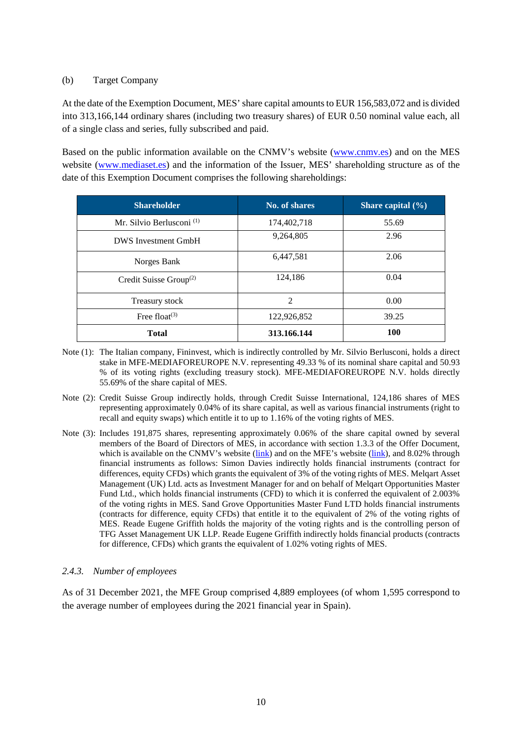### (b) Target Company

At the date of the Exemption Document, MES' share capital amounts to EUR 156,583,072 and is divided into 313,166,144 ordinary shares (including two treasury shares) of EUR 0.50 nominal value each, all of a single class and series, fully subscribed and paid.

Based on the public information available on the CNMV's website [\(www.cnmv.es\)](http://www.cnmv.es/) and on the MES website [\(www.mediaset.es\)](https://www.mediaset.es/inversores/es/capital-social-accionariado_18_3159199146.html) and the information of the Issuer, MES' shareholding structure as of the date of this Exemption Document comprises the following shareholdings:

| <b>Shareholder</b>                              | No. of shares  | Share capital $(\% )$ |
|-------------------------------------------------|----------------|-----------------------|
| Mr. Silvio Berlusconi <sup>(1)</sup>            | 174,402,718    | 55.69                 |
| <b>DWS</b> Investment GmbH                      | 9,264,805      | 2.96                  |
| Norges Bank                                     | 6,447,581      | 2.06                  |
| Credit Suisse Group <sup><math>(2)</math></sup> | 124,186        | 0.04                  |
| Treasury stock                                  | $\overline{2}$ | 0.00                  |
| Free float <sup><math>(3)</math></sup>          | 122,926,852    | 39.25                 |
| <b>Total</b>                                    | 313.166.144    | <b>100</b>            |

- Note (1): The Italian company, Fininvest, which is indirectly controlled by Mr. Silvio Berlusconi, holds a direct stake in MFE-MEDIAFOREUROPE N.V. representing 49.33 % of its nominal share capital and 50.93 % of its voting rights (excluding treasury stock). MFE-MEDIAFOREUROPE N.V. holds directly 55.69% of the share capital of MES.
- Note (2): Credit Suisse Group indirectly holds, through Credit Suisse International, 124,186 shares of MES representing approximately 0.04% of its share capital, as well as various financial instruments (right to recall and equity swaps) which entitle it to up to 1.16% of the voting rights of MES.
- Note (3): Includes 191,875 shares, representing approximately 0.06% of the share capital owned by several members of the Board of Directors of MES, in accordance with section 1.3.3 of the Offer Document, which is available on the CNMV's website [\(link\)](http://www.mfemediaforeurope.com/) and on the MFE's website (link), and 8.02% through financial instruments as follows: Simon Davies indirectly holds financial instruments (contract for differences, equity CFDs) which grants the equivalent of 3% of the voting rights of MES. Melqart Asset Management (UK) Ltd. acts as Investment Manager for and on behalf of Melqart Opportunities Master Fund Ltd., which holds financial instruments (CFD) to which it is conferred the equivalent of 2.003% of the voting rights in MES. Sand Grove Opportunities Master Fund LTD holds financial instruments (contracts for difference, equity CFDs) that entitle it to the equivalent of 2% of the voting rights of MES. Reade Eugene Griffith holds the majority of the voting rights and is the controlling person of TFG Asset Management UK LLP. Reade Eugene Griffith indirectly holds financial products (contracts for difference, CFDs) which grants the equivalent of 1.02% voting rights of MES.

### *2.4.3. Number of employees*

As of 31 December 2021, the MFE Group comprised 4,889 employees (of whom 1,595 correspond to the average number of employees during the 2021 financial year in Spain).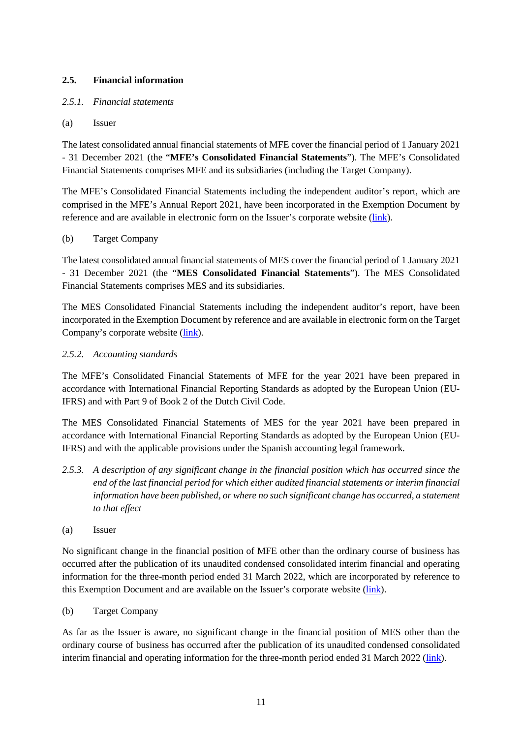## <span id="page-16-0"></span>**2.5. Financial information**

## <span id="page-16-2"></span>*2.5.1. Financial statements*

### <span id="page-16-1"></span>(a) Issuer

The latest consolidated annual financial statements of MFE cover the financial period of 1 January 2021 - 31 December 2021 (the "**MFE's Consolidated Financial Statements**"). The MFE's Consolidated Financial Statements comprises MFE and its subsidiaries (including the Target Company).

The MFE's Consolidated Financial Statements including the independent auditor's report, which are comprised in the MFE's Annual Report 2021, have been incorporated in the Exemption Document by reference and are available in electronic form on the Issuer's corporate website [\(link\)](https://www.mfemediaforeurope.com/binary/documentRepository/93/AR_2021_ENG_1791.pdf).

### <span id="page-16-3"></span>(b) Target Company

The latest consolidated annual financial statements of MES cover the financial period of 1 January 2021 - 31 December 2021 (the "**MES Consolidated Financial Statements**"). The MES Consolidated Financial Statements comprises MES and its subsidiaries.

The MES Consolidated Financial Statements including the independent auditor's report, have been incorporated in the Exemption Document by reference and are available in electronic form on the Target Company's corporate website [\(link\)](https://files.mediaset.es/file/10002/2022/04/26/Informe_Grupo_Mediaset_Espana_2021_COMPLETO_6cb7.pdf).

## *2.5.2. Accounting standards*

The MFE's Consolidated Financial Statements of MFE for the year 2021 have been prepared in accordance with International Financial Reporting Standards as adopted by the European Union (EU-IFRS) and with Part 9 of Book 2 of the Dutch Civil Code.

The MES Consolidated Financial Statements of MES for the year 2021 have been prepared in accordance with International Financial Reporting Standards as adopted by the European Union (EU-IFRS) and with the applicable provisions under the Spanish accounting legal framework.

- <span id="page-16-5"></span>*2.5.3. A description of any significant change in the financial position which has occurred since the end of the last financial period for which either audited financial statements or interim financial information have been published, or where no such significant change has occurred, a statement to that effect*
- <span id="page-16-4"></span>(a) Issuer

No significant change in the financial position of MFE other than the ordinary course of business has occurred after the publication of its unaudited condensed consolidated interim financial and operating information for the three-month period ended 31 March 2022, which are incorporated by reference to this Exemption Document and are available on the Issuer's corporate website [\(link\)](https://www.mfemediaforeurope.com/binary/documentRepository/66/Gruppo%20MFE%20-%20Informazioni%20Finanziarie%20Periodiche%20Aggiuntive%20al%2031%20Marzo%202022_ENG_1821.pdf).

### <span id="page-16-6"></span>(b) Target Company

As far as the Issuer is aware, no significant change in the financial position of MES other than the ordinary course of business has occurred after the publication of its unaudited condensed consolidated interim financial and operating information for the three-month period ended 31 March 2022 [\(link\)](https://files.mediaset.es/file/10002/2022/05/11/1Q_2022_ENGLISH_CNMV_f29f.pdf).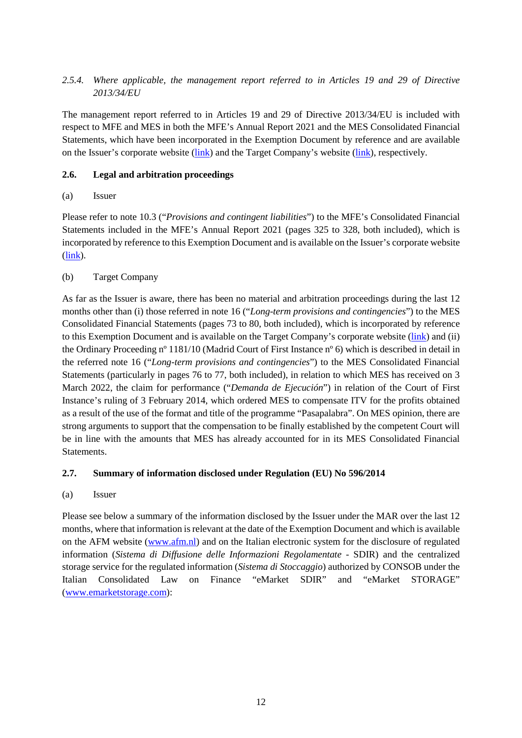## <span id="page-17-2"></span>*2.5.4. Where applicable, the management report referred to in Articles 19 and 29 of Directive 2013/34/EU*

The management report referred to in Articles 19 and 29 of Directive 2013/34/EU is included with respect to MFE and MES in both the MFE's Annual Report 2021 and the MES Consolidated Financial Statements, which have been incorporated in the Exemption Document by reference and are available on the Issuer's corporate website [\(link\)](https://www.mfemediaforeurope.com/binary/documentRepository/93/AR_2021_ENG_1791.pdf) and the Target Company's website [\(link\)](https://files.mediaset.es/file/10002/2022/04/26/Informe_Grupo_Mediaset_Espana_2021_COMPLETO_6cb7.pdf), respectively.

## <span id="page-17-0"></span>**2.6. Legal and arbitration proceedings**

### <span id="page-17-3"></span>(a) Issuer

Please refer to note 10.3 ("*Provisions and contingent liabilities*") to the MFE's Consolidated Financial Statements included in the MFE's Annual Report 2021 (pages 325 to 328, both included), which is incorporated by reference to this Exemption Document and is available on the Issuer's corporate website [\(link\)](https://www.mfemediaforeurope.com/binary/documentRepository/93/AR_2021_ENG_1791.pdf).

## <span id="page-17-4"></span>(b) Target Company

As far as the Issuer is aware, there has been no material and arbitration proceedings during the last 12 months other than (i) those referred in note 16 ("*Long-term provisions and contingencies*") to the MES Consolidated Financial Statements (pages 73 to 80, both included), which is incorporated by reference to this Exemption Document and is available on the Target Company's corporate website [\(link\)](https://files.mediaset.es/file/10002/2022/04/26/Informe_Grupo_Mediaset_Espana_2021_COMPLETO_6cb7.pdf) and (ii) the Ordinary Proceeding nº 1181/10 (Madrid Court of First Instance nº 6) which is described in detail in the referred note 16 ("*Long-term provisions and contingencies*") to the MES Consolidated Financial Statements (particularly in pages 76 to 77, both included), in relation to which MES has received on 3 March 2022, the claim for performance ("*Demanda de Ejecución*") in relation of the Court of First Instance's ruling of 3 February 2014, which ordered MES to compensate ITV for the profits obtained as a result of the use of the format and title of the programme "Pasapalabra". On MES opinion, there are strong arguments to support that the compensation to be finally established by the competent Court will be in line with the amounts that MES has already accounted for in its MES Consolidated Financial **Statements** 

### <span id="page-17-1"></span>**2.7. Summary of information disclosed under Regulation (EU) No 596/2014**

(a) Issuer

Please see below a summary of the information disclosed by the Issuer under the MAR over the last 12 months, where that information is relevant at the date of the Exemption Document and which is available on the AFM website [\(www.afm.nl\)](http://www.afm.nl/) and on the Italian electronic system for the disclosure of regulated information (*Sistema di Diffusione delle Informazioni Regolamentate* - SDIR) and the centralized storage service for the regulated information (*Sistema di Stoccaggio*) authorized by CONSOB under the Italian Consolidated Law on Finance "eMarket SDIR" and "eMarket STORAGE" [\(www.emarketstorage.com\)](http://www.emarketstorage.com/):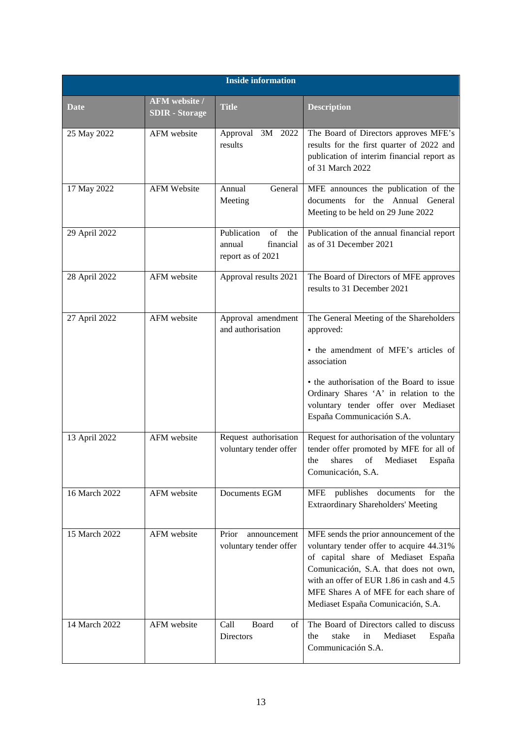|               | <b>Inside information</b>                     |                                                                      |                                                                                                                                                                                                                                                                                                 |  |  |  |  |
|---------------|-----------------------------------------------|----------------------------------------------------------------------|-------------------------------------------------------------------------------------------------------------------------------------------------------------------------------------------------------------------------------------------------------------------------------------------------|--|--|--|--|
| Date          | <b>AFM</b> website /<br><b>SDIR</b> - Storage | <b>Title</b>                                                         | <b>Description</b>                                                                                                                                                                                                                                                                              |  |  |  |  |
| 25 May 2022   | AFM website                                   | Approval 3M 2022<br>results                                          | The Board of Directors approves MFE's<br>results for the first quarter of 2022 and<br>publication of interim financial report as<br>of 31 March 2022                                                                                                                                            |  |  |  |  |
| 17 May 2022   | <b>AFM Website</b>                            | Annual<br>General<br>Meeting                                         | MFE announces the publication of the<br>documents for the Annual General<br>Meeting to be held on 29 June 2022                                                                                                                                                                                  |  |  |  |  |
| 29 April 2022 |                                               | Publication<br>of<br>the<br>financial<br>annual<br>report as of 2021 | Publication of the annual financial report<br>as of 31 December 2021                                                                                                                                                                                                                            |  |  |  |  |
| 28 April 2022 | AFM website                                   | Approval results 2021                                                | The Board of Directors of MFE approves<br>results to 31 December 2021                                                                                                                                                                                                                           |  |  |  |  |
| 27 April 2022 | AFM website                                   | Approval amendment<br>and authorisation                              | The General Meeting of the Shareholders<br>approved:<br>• the amendment of MFE's articles of<br>association                                                                                                                                                                                     |  |  |  |  |
|               |                                               |                                                                      | • the authorisation of the Board to issue<br>Ordinary Shares 'A' in relation to the<br>voluntary tender offer over Mediaset<br>España Communicación S.A.                                                                                                                                        |  |  |  |  |
| 13 April 2022 | AFM website                                   | Request authorisation<br>voluntary tender offer                      | Request for authorisation of the voluntary<br>tender offer promoted by MFE for all of<br>of<br>Mediaset<br>the<br>shares<br>España<br>Comunicación, S.A.                                                                                                                                        |  |  |  |  |
| 16 March 2022 | AFM website                                   | Documents EGM                                                        | publishes<br>for<br>MFE<br>documents<br>the<br><b>Extraordinary Shareholders' Meeting</b>                                                                                                                                                                                                       |  |  |  |  |
| 15 March 2022 | AFM website                                   | Prior<br>announcement<br>voluntary tender offer                      | MFE sends the prior announcement of the<br>voluntary tender offer to acquire 44.31%<br>of capital share of Mediaset España<br>Comunicación, S.A. that does not own,<br>with an offer of EUR 1.86 in cash and 4.5<br>MFE Shares A of MFE for each share of<br>Mediaset España Comunicación, S.A. |  |  |  |  |
| 14 March 2022 | AFM website                                   | Call<br>Board<br>οf<br>Directors                                     | The Board of Directors called to discuss<br>stake<br>Mediaset<br>the<br>in<br>España<br>Communicación S.A.                                                                                                                                                                                      |  |  |  |  |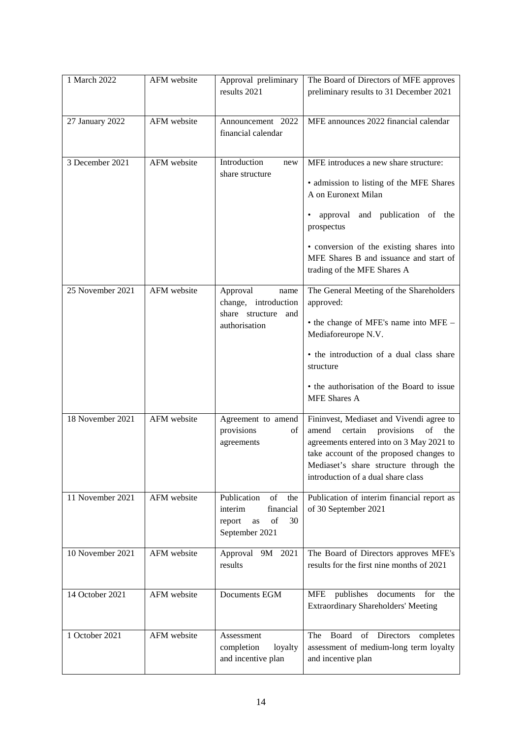| 1 March 2022     | AFM website | Approval preliminary<br>results 2021                                                           | The Board of Directors of MFE approves<br>preliminary results to 31 December 2021                                                                                                                                                                                                 |
|------------------|-------------|------------------------------------------------------------------------------------------------|-----------------------------------------------------------------------------------------------------------------------------------------------------------------------------------------------------------------------------------------------------------------------------------|
| 27 January 2022  | AFM website | Announcement 2022<br>financial calendar                                                        | MFE announces 2022 financial calendar                                                                                                                                                                                                                                             |
| 3 December 2021  | AFM website | Introduction<br>new<br>share structure                                                         | MFE introduces a new share structure:<br>• admission to listing of the MFE Shares<br>A on Euronext Milan<br>and publication of the<br>approval<br>prospectus<br>• conversion of the existing shares into<br>MFE Shares B and issuance and start of<br>trading of the MFE Shares A |
| 25 November 2021 | AFM website | Approval<br>name<br>change, introduction<br>share structure<br>and<br>authorisation            | The General Meeting of the Shareholders<br>approved:<br>• the change of MFE's name into MFE -<br>Mediaforeurope N.V.<br>• the introduction of a dual class share<br>structure<br>• the authorisation of the Board to issue<br><b>MFE</b> Shares A                                 |
| 18 November 2021 | AFM website | Agreement to amend<br>provisions<br>οf<br>agreements                                           | Fininvest, Mediaset and Vivendi agree to<br>amend<br>certain<br>provisions<br>of<br>the<br>agreements entered into on 3 May 2021 to<br>take account of the proposed changes to<br>Mediaset's share structure through the<br>introduction of a dual share class                    |
| 11 November 2021 | AFM website | Publication<br>of<br>the<br>financial<br>interim<br>of<br>30<br>report<br>as<br>September 2021 | Publication of interim financial report as<br>of 30 September 2021                                                                                                                                                                                                                |
| 10 November 2021 | AFM website | Approval 9M 2021<br>results                                                                    | The Board of Directors approves MFE's<br>results for the first nine months of 2021                                                                                                                                                                                                |
| 14 October 2021  | AFM website | Documents EGM                                                                                  | publishes<br>documents for<br><b>MFE</b><br>the<br><b>Extraordinary Shareholders' Meeting</b>                                                                                                                                                                                     |
| 1 October 2021   | AFM website | Assessment<br>completion<br>loyalty<br>and incentive plan                                      | Board<br>Directors<br>The<br>of<br>completes<br>assessment of medium-long term loyalty<br>and incentive plan                                                                                                                                                                      |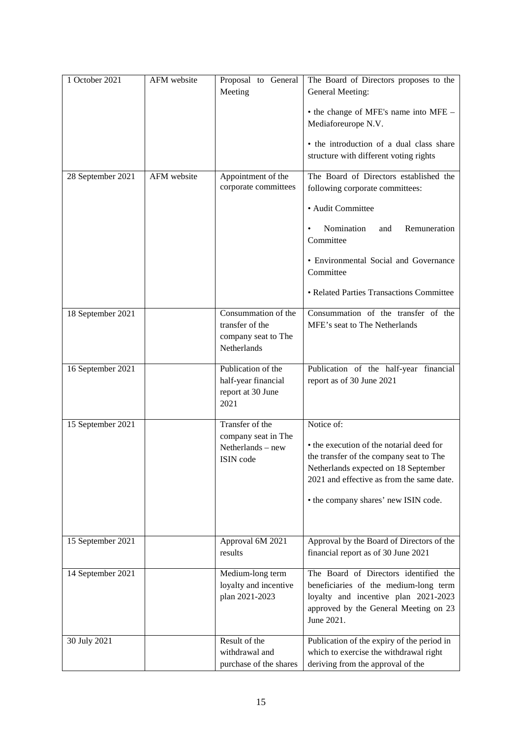| 1 October 2021    | AFM website | Proposal to General<br>Meeting                                               | The Board of Directors proposes to the<br>General Meeting:                                                                                                                                                                     |
|-------------------|-------------|------------------------------------------------------------------------------|--------------------------------------------------------------------------------------------------------------------------------------------------------------------------------------------------------------------------------|
|                   |             |                                                                              | • the change of MFE's name into MFE -<br>Mediaforeurope N.V.                                                                                                                                                                   |
|                   |             |                                                                              | • the introduction of a dual class share<br>structure with different voting rights                                                                                                                                             |
|                   |             |                                                                              |                                                                                                                                                                                                                                |
| 28 September 2021 | AFM website | Appointment of the<br>corporate committees                                   | The Board of Directors established the<br>following corporate committees:                                                                                                                                                      |
|                   |             |                                                                              | · Audit Committee                                                                                                                                                                                                              |
|                   |             |                                                                              | Nomination<br>Remuneration<br>and<br>Committee                                                                                                                                                                                 |
|                   |             |                                                                              | • Environmental Social and Governance<br>Committee                                                                                                                                                                             |
|                   |             |                                                                              | • Related Parties Transactions Committee                                                                                                                                                                                       |
| 18 September 2021 |             | Consummation of the<br>transfer of the<br>company seat to The<br>Netherlands | Consummation of the transfer of the<br>MFE's seat to The Netherlands                                                                                                                                                           |
| 16 September 2021 |             | Publication of the<br>half-year financial<br>report at 30 June<br>2021       | Publication of the half-year financial<br>report as of 30 June 2021                                                                                                                                                            |
| 15 September 2021 |             | Transfer of the<br>company seat in The<br>Netherlands - new<br>ISIN code     | Notice of:<br>• the execution of the notarial deed for<br>the transfer of the company seat to The<br>Netherlands expected on 18 September<br>2021 and effective as from the same date.<br>• the company shares' new ISIN code. |
| 15 September 2021 |             | Approval 6M 2021<br>results                                                  | Approval by the Board of Directors of the<br>financial report as of 30 June 2021                                                                                                                                               |
| 14 September 2021 |             | Medium-long term<br>loyalty and incentive<br>plan 2021-2023                  | The Board of Directors identified the<br>beneficiaries of the medium-long term<br>loyalty and incentive plan 2021-2023<br>approved by the General Meeting on 23<br>June 2021.                                                  |
| 30 July 2021      |             | Result of the<br>withdrawal and<br>purchase of the shares                    | Publication of the expiry of the period in<br>which to exercise the withdrawal right<br>deriving from the approval of the                                                                                                      |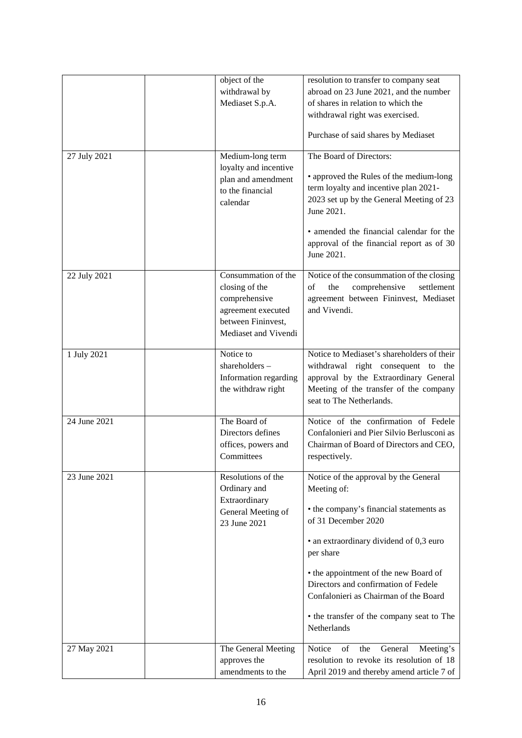|              | object of the<br>withdrawal by<br>Mediaset S.p.A.                                                                          | resolution to transfer to company seat<br>abroad on 23 June 2021, and the number<br>of shares in relation to which the<br>withdrawal right was exercised.<br>Purchase of said shares by Mediaset                  |
|--------------|----------------------------------------------------------------------------------------------------------------------------|-------------------------------------------------------------------------------------------------------------------------------------------------------------------------------------------------------------------|
| 27 July 2021 | Medium-long term<br>loyalty and incentive<br>plan and amendment<br>to the financial<br>calendar                            | The Board of Directors:<br>• approved the Rules of the medium-long<br>term loyalty and incentive plan 2021-<br>2023 set up by the General Meeting of 23<br>June 2021.<br>• amended the financial calendar for the |
|              |                                                                                                                            | approval of the financial report as of 30<br>June 2021.                                                                                                                                                           |
| 22 July 2021 | Consummation of the<br>closing of the<br>comprehensive<br>agreement executed<br>between Fininvest,<br>Mediaset and Vivendi | Notice of the consummation of the closing<br>of<br>the<br>comprehensive<br>settlement<br>agreement between Fininvest, Mediaset<br>and Vivendi.                                                                    |
| 1 July 2021  | Notice to<br>shareholders-<br>Information regarding<br>the withdraw right                                                  | Notice to Mediaset's shareholders of their<br>withdrawal right consequent to the<br>approval by the Extraordinary General<br>Meeting of the transfer of the company<br>seat to The Netherlands.                   |
| 24 June 2021 | The Board of<br>Directors defines<br>offices, powers and<br>Committees                                                     | Notice of the confirmation of Fedele<br>Confalonieri and Pier Silvio Berlusconi as<br>Chairman of Board of Directors and CEO,<br>respectively.                                                                    |
| 23 June 2021 | Resolutions of the<br>Ordinary and                                                                                         | Notice of the approval by the General<br>Meeting of:                                                                                                                                                              |
|              | Extraordinary<br>General Meeting of<br>23 June 2021                                                                        | • the company's financial statements as<br>of 31 December 2020                                                                                                                                                    |
|              |                                                                                                                            | • an extraordinary dividend of 0,3 euro<br>per share                                                                                                                                                              |
|              |                                                                                                                            | • the appointment of the new Board of<br>Directors and confirmation of Fedele<br>Confalonieri as Chairman of the Board                                                                                            |
|              |                                                                                                                            | • the transfer of the company seat to The<br>Netherlands                                                                                                                                                          |
| 27 May 2021  | The General Meeting<br>approves the                                                                                        | Notice<br>of<br>the<br>General<br>Meeting's<br>resolution to revoke its resolution of 18                                                                                                                          |
|              | amendments to the                                                                                                          | April 2019 and thereby amend article 7 of                                                                                                                                                                         |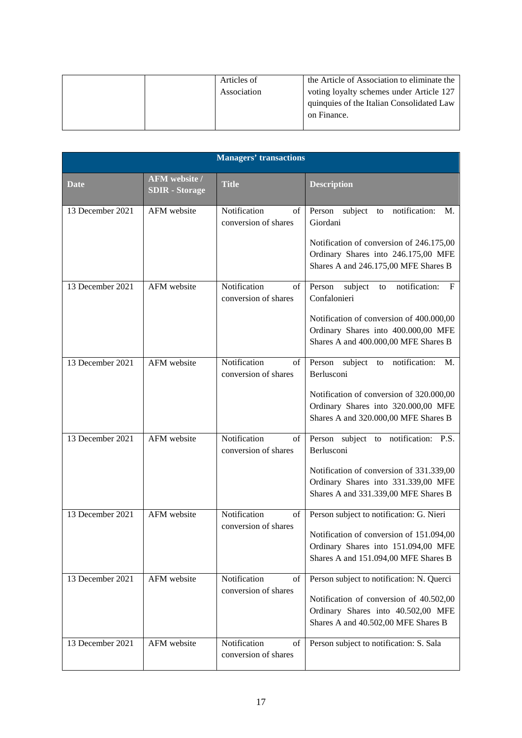|  | Articles of | the Article of Association to eliminate the |
|--|-------------|---------------------------------------------|
|  | Association | voting loyalty schemes under Article 127    |
|  |             | quinquies of the Italian Consolidated Law   |
|  |             | on Finance.                                 |
|  |             |                                             |

| <b>Managers' transactions</b> |                                        |                                            |                                                                                                                                                                                          |
|-------------------------------|----------------------------------------|--------------------------------------------|------------------------------------------------------------------------------------------------------------------------------------------------------------------------------------------|
| Date                          | AFM website /<br><b>SDIR</b> - Storage | <b>Title</b>                               | <b>Description</b>                                                                                                                                                                       |
| 13 December 2021              | AFM website                            | Notification<br>of<br>conversion of shares | Person subject to<br>notification:<br>M.<br>Giordani<br>Notification of conversion of 246.175,00<br>Ordinary Shares into 246.175,00 MFE<br>Shares A and 246.175,00 MFE Shares B          |
| 13 December 2021              | AFM website                            | Notification<br>of<br>conversion of shares | Person<br>notification:<br>subject<br>F<br>to<br>Confalonieri<br>Notification of conversion of 400.000,00<br>Ordinary Shares into 400.000,00 MFE<br>Shares A and 400.000,00 MFE Shares B |
| 13 December 2021              | AFM website                            | Notification<br>of<br>conversion of shares | notification:<br>subject<br>Person<br>to<br>M.<br>Berlusconi<br>Notification of conversion of 320.000,00<br>Ordinary Shares into 320.000,00 MFE<br>Shares A and 320.000,00 MFE Shares B  |
| 13 December 2021              | AFM website                            | Notification<br>of<br>conversion of shares | Person subject to notification: P.S.<br>Berlusconi<br>Notification of conversion of 331.339,00<br>Ordinary Shares into 331.339,00 MFE<br>Shares A and 331.339,00 MFE Shares B            |
| 13 December 2021              | AFM website                            | Notification<br>of<br>conversion of shares | Person subject to notification: G. Nieri<br>Notification of conversion of 151.094,00<br>Ordinary Shares into 151.094,00 MFE<br>Shares A and 151.094,00 MFE Shares B                      |
| 13 December 2021              | AFM website                            | Notification<br>of<br>conversion of shares | Person subject to notification: N. Querci<br>Notification of conversion of 40.502,00<br>Ordinary Shares into 40.502,00 MFE<br>Shares A and 40.502,00 MFE Shares B                        |
| 13 December 2021              | AFM website                            | Notification<br>of<br>conversion of shares | Person subject to notification: S. Sala                                                                                                                                                  |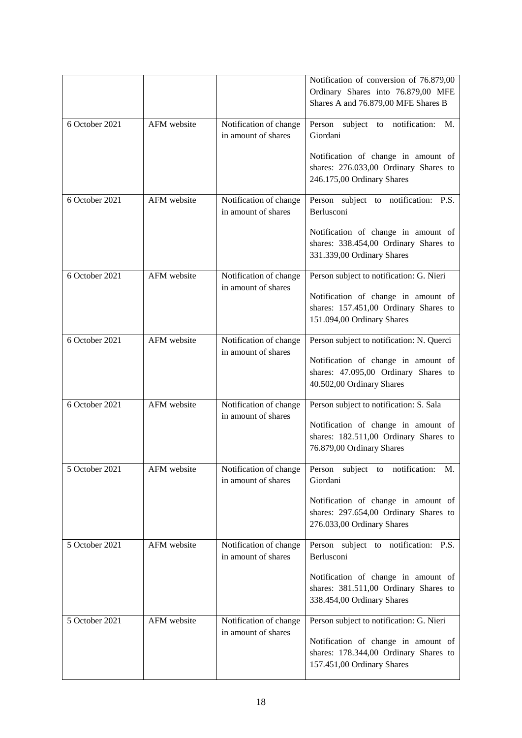|                |             |                                               | Notification of conversion of 76.879,00<br>Ordinary Shares into 76.879,00 MFE<br>Shares A and 76.879,00 MFE Shares B |
|----------------|-------------|-----------------------------------------------|----------------------------------------------------------------------------------------------------------------------|
| 6 October 2021 | AFM website | Notification of change<br>in amount of shares | Person subject to notification:<br>M.<br>Giordani                                                                    |
|                |             |                                               | Notification of change in amount of<br>shares: 276.033,00 Ordinary Shares to<br>246.175,00 Ordinary Shares           |
| 6 October 2021 | AFM website | Notification of change<br>in amount of shares | Person subject to notification: P.S.<br>Berlusconi                                                                   |
|                |             |                                               | Notification of change in amount of<br>shares: 338.454,00 Ordinary Shares to<br>331.339,00 Ordinary Shares           |
| 6 October 2021 | AFM website | Notification of change<br>in amount of shares | Person subject to notification: G. Nieri                                                                             |
|                |             |                                               | Notification of change in amount of<br>shares: 157.451,00 Ordinary Shares to<br>151.094,00 Ordinary Shares           |
| 6 October 2021 | AFM website | Notification of change<br>in amount of shares | Person subject to notification: N. Querci                                                                            |
|                |             |                                               | Notification of change in amount of<br>shares: 47.095,00 Ordinary Shares to<br>40.502,00 Ordinary Shares             |
| 6 October 2021 | AFM website | Notification of change<br>in amount of shares | Person subject to notification: S. Sala                                                                              |
|                |             |                                               | Notification of change in amount of<br>shares: 182.511,00 Ordinary Shares to<br>76.879,00 Ordinary Shares            |
| 5 October 2021 | AFM website | Notification of change<br>in amount of shares | Person<br>subject to<br>M.<br>notification:<br>Giordani                                                              |
|                |             |                                               | Notification of change in amount of<br>shares: 297.654,00 Ordinary Shares to<br>276.033,00 Ordinary Shares           |
| 5 October 2021 | AFM website | Notification of change<br>in amount of shares | Person subject to notification: P.S.<br>Berlusconi                                                                   |
|                |             |                                               | Notification of change in amount of<br>shares: 381.511,00 Ordinary Shares to<br>338.454,00 Ordinary Shares           |
| 5 October 2021 | AFM website | Notification of change<br>in amount of shares | Person subject to notification: G. Nieri                                                                             |
|                |             |                                               | Notification of change in amount of<br>shares: 178.344,00 Ordinary Shares to<br>157.451,00 Ordinary Shares           |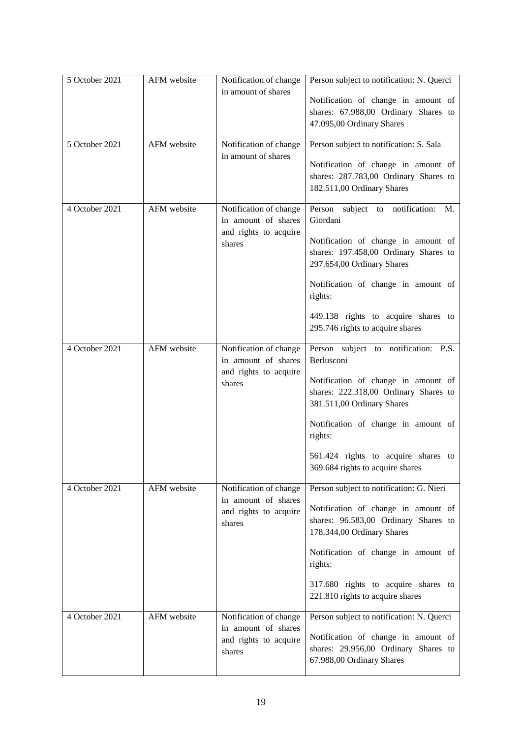| 5 October 2021 | AFM website | Notification of change<br>in amount of shares                                    | Person subject to notification: N. Querci<br>Notification of change in amount of<br>shares: 67.988,00 Ordinary Shares to<br>47.095,00 Ordinary Shares                                                                                                                                         |
|----------------|-------------|----------------------------------------------------------------------------------|-----------------------------------------------------------------------------------------------------------------------------------------------------------------------------------------------------------------------------------------------------------------------------------------------|
| 5 October 2021 | AFM website | Notification of change<br>in amount of shares                                    | Person subject to notification: S. Sala<br>Notification of change in amount of<br>shares: 287.783,00 Ordinary Shares to<br>182.511,00 Ordinary Shares                                                                                                                                         |
| 4 October 2021 | AFM website | Notification of change<br>in amount of shares<br>and rights to acquire<br>shares | Person subject to notification:<br>M.<br>Giordani<br>Notification of change in amount of<br>shares: 197.458,00 Ordinary Shares to<br>297.654,00 Ordinary Shares<br>Notification of change in amount of<br>rights:<br>449.138 rights to acquire shares to<br>295.746 rights to acquire shares  |
| 4 October 2021 | AFM website | Notification of change<br>in amount of shares<br>and rights to acquire<br>shares | Person subject to notification: P.S.<br>Berlusconi<br>Notification of change in amount of<br>shares: 222.318,00 Ordinary Shares to<br>381.511,00 Ordinary Shares<br>Notification of change in amount of<br>rights:<br>561.424 rights to acquire shares to<br>369.684 rights to acquire shares |
| 4 October 2021 | AFM website | Notification of change<br>in amount of shares<br>and rights to acquire<br>shares | Person subject to notification: G. Nieri<br>Notification of change in amount of<br>shares: 96.583,00 Ordinary Shares to<br>178.344,00 Ordinary Shares<br>Notification of change in amount of<br>rights:<br>317.680 rights to acquire shares to<br>221.810 rights to acquire shares            |
| 4 October 2021 | AFM website | Notification of change<br>in amount of shares<br>and rights to acquire<br>shares | Person subject to notification: N. Querci<br>Notification of change in amount of<br>shares: 29.956,00 Ordinary Shares to<br>67.988,00 Ordinary Shares                                                                                                                                         |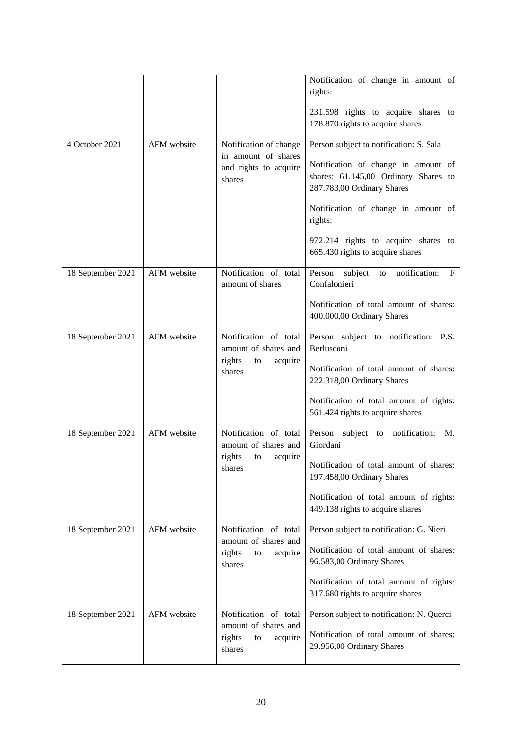|                   |             |                                                           | Notification of change in amount of<br>rights:                                                            |
|-------------------|-------------|-----------------------------------------------------------|-----------------------------------------------------------------------------------------------------------|
|                   |             |                                                           | 231.598 rights to acquire shares to<br>178.870 rights to acquire shares                                   |
| 4 October 2021    | AFM website | Notification of change                                    | Person subject to notification: S. Sala                                                                   |
|                   |             | in amount of shares<br>and rights to acquire<br>shares    | Notification of change in amount of<br>shares: 61.145,00 Ordinary Shares to<br>287.783,00 Ordinary Shares |
|                   |             |                                                           | Notification of change in amount of<br>rights:                                                            |
|                   |             |                                                           | 972.214 rights to acquire shares to<br>665.430 rights to acquire shares                                   |
| 18 September 2021 | AFM website | Notification of total<br>amount of shares                 | Person<br>subject<br>notification:<br>F<br>to<br>Confalonieri                                             |
|                   |             |                                                           | Notification of total amount of shares:<br>400.000,00 Ordinary Shares                                     |
| 18 September 2021 | AFM website | Notification of total<br>amount of shares and             | Person subject to notification: P.S.<br>Berlusconi                                                        |
|                   |             | rights<br>acquire<br>to<br>shares                         | Notification of total amount of shares:<br>222.318,00 Ordinary Shares                                     |
|                   |             |                                                           | Notification of total amount of rights:<br>561.424 rights to acquire shares                               |
| 18 September 2021 | AFM website | Notification of total<br>amount of shares and             | Person<br>subject<br>to notification:<br>M.<br>Giordani                                                   |
|                   |             | rights<br>acquire<br>to<br>shares                         | Notification of total amount of shares:<br>197.458,00 Ordinary Shares                                     |
|                   |             |                                                           | Notification of total amount of rights:<br>449.138 rights to acquire shares                               |
| 18 September 2021 | AFM website | Notification of total                                     | Person subject to notification: G. Nieri                                                                  |
|                   |             | amount of shares and<br>rights<br>acquire<br>to<br>shares | Notification of total amount of shares:<br>96.583,00 Ordinary Shares                                      |
|                   |             |                                                           | Notification of total amount of rights:<br>317.680 rights to acquire shares                               |
| 18 September 2021 | AFM website | Notification of total                                     | Person subject to notification: N. Querci                                                                 |
|                   |             | amount of shares and<br>rights<br>acquire<br>to<br>shares | Notification of total amount of shares:<br>29.956,00 Ordinary Shares                                      |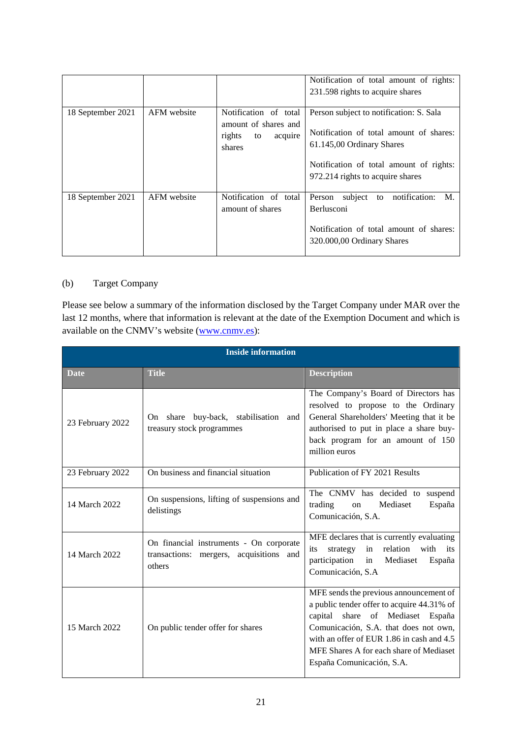|                   |             |                                                                                    | Notification of total amount of rights:<br>231.598 rights to acquire shares                                                                                                                    |
|-------------------|-------------|------------------------------------------------------------------------------------|------------------------------------------------------------------------------------------------------------------------------------------------------------------------------------------------|
| 18 September 2021 | AFM website | Notification of total<br>amount of shares and<br>acquire<br>rights<br>to<br>shares | Person subject to notification: S. Sala<br>Notification of total amount of shares:<br>61.145,00 Ordinary Shares<br>Notification of total amount of rights:<br>972.214 rights to acquire shares |
| 18 September 2021 | AFM website | Notification of total<br>amount of shares                                          | subject to notification:<br>Person<br>M.<br><b>Berlusconi</b><br>Notification of total amount of shares:<br>320.000,00 Ordinary Shares                                                         |

### (b) Target Company

Please see below a summary of the information disclosed by the Target Company under MAR over the last 12 months, where that information is relevant at the date of the Exemption Document and which is available on the CNMV's website [\(www.cnmv.es\)](https://www.cnmv.es/portal/Consultas/DatosEntidad.aspx?nif=A-79075438&lang=es):

| <b>Inside information</b> |                                                                                              |                                                                                                                                                                                                                                                                                        |  |
|---------------------------|----------------------------------------------------------------------------------------------|----------------------------------------------------------------------------------------------------------------------------------------------------------------------------------------------------------------------------------------------------------------------------------------|--|
| <b>Date</b>               | <b>Title</b>                                                                                 | <b>Description</b>                                                                                                                                                                                                                                                                     |  |
| 23 February 2022          | On share buy-back, stabilisation and<br>treasury stock programmes                            | The Company's Board of Directors has<br>resolved to propose to the Ordinary<br>General Shareholders' Meeting that it be<br>authorised to put in place a share buy-<br>back program for an amount of 150<br>million euros                                                               |  |
| 23 February 2022          | On business and financial situation                                                          | Publication of FY 2021 Results                                                                                                                                                                                                                                                         |  |
| 14 March 2022             | On suspensions, lifting of suspensions and<br>delistings                                     | The CNMV has decided to suspend<br>trading<br>Mediaset<br>España<br>on<br>Comunicación, S.A.                                                                                                                                                                                           |  |
| 14 March 2022             | On financial instruments - On corporate<br>transactions: mergers, acquisitions and<br>others | MFE declares that is currently evaluating<br>in<br>relation<br>with its<br>strategy<br>its<br>participation<br>Mediaset<br>in<br>España<br>Comunicación, S.A                                                                                                                           |  |
| 15 March 2022             | On public tender offer for shares                                                            | MFE sends the previous announcement of<br>a public tender offer to acquire 44.31% of<br>capital share of Mediaset España<br>Comunicación, S.A. that does not own,<br>with an offer of EUR 1.86 in cash and 4.5<br>MFE Shares A for each share of Mediaset<br>España Comunicación, S.A. |  |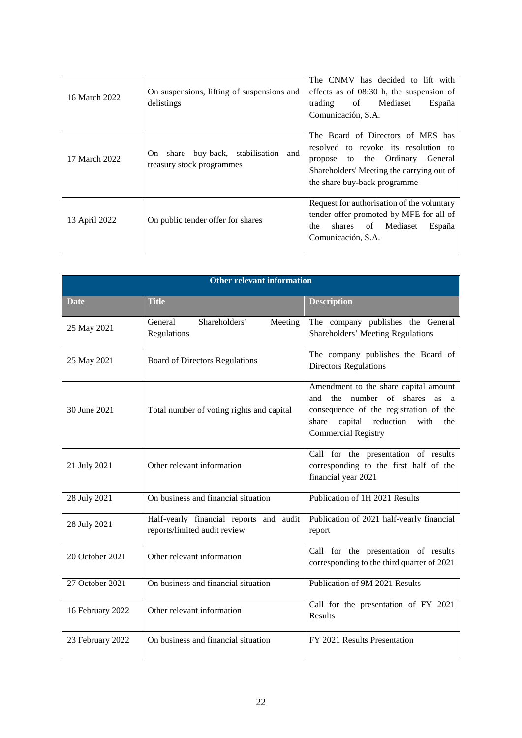| 16 March 2022 | On suspensions, lifting of suspensions and<br>delistings                       | The CNMV has decided to lift with<br>effects as of $08:30$ h, the suspension of<br>trading of<br>Mediaset<br>España<br>Comunicación, S.A.                                                          |
|---------------|--------------------------------------------------------------------------------|----------------------------------------------------------------------------------------------------------------------------------------------------------------------------------------------------|
| 17 March 2022 | buy-back, stabilisation and<br>share<br><b>On</b><br>treasury stock programmes | The Board of Directors of MES has<br>resolved to revoke its resolution to<br>Ordinary<br>to the<br>General<br>propose<br>Shareholders' Meeting the carrying out of<br>the share buy-back programme |
| 13 April 2022 | On public tender offer for shares                                              | Request for authorisation of the voluntary<br>tender offer promoted by MFE for all of<br>of Mediaset<br>the<br>shares<br>España<br>Comunicación, S.A.                                              |

|                  | <b>Other relevant information</b>                                       |                                                                                                                                                                                                                |  |  |
|------------------|-------------------------------------------------------------------------|----------------------------------------------------------------------------------------------------------------------------------------------------------------------------------------------------------------|--|--|
| <b>Date</b>      | <b>Title</b>                                                            | <b>Description</b>                                                                                                                                                                                             |  |  |
| 25 May 2021      | Shareholders'<br>General<br>Meeting<br>Regulations                      | The company publishes the General<br><b>Shareholders' Meeting Regulations</b>                                                                                                                                  |  |  |
| 25 May 2021      | <b>Board of Directors Regulations</b>                                   | The company publishes the Board of<br><b>Directors Regulations</b>                                                                                                                                             |  |  |
| 30 June 2021     | Total number of voting rights and capital                               | Amendment to the share capital amount<br>number of shares<br>and<br>the<br><b>as</b><br>a<br>consequence of the registration of the<br>capital reduction<br>share<br>with<br>the<br><b>Commercial Registry</b> |  |  |
| 21 July 2021     | Other relevant information                                              | Call for the presentation of results<br>corresponding to the first half of the<br>financial year 2021                                                                                                          |  |  |
| 28 July 2021     | On business and financial situation                                     | Publication of 1H 2021 Results                                                                                                                                                                                 |  |  |
| 28 July 2021     | Half-yearly financial reports and audit<br>reports/limited audit review | Publication of 2021 half-yearly financial<br>report                                                                                                                                                            |  |  |
| 20 October 2021  | Other relevant information                                              | Call for the presentation of results<br>corresponding to the third quarter of 2021                                                                                                                             |  |  |
| 27 October 2021  | On business and financial situation                                     | Publication of 9M 2021 Results                                                                                                                                                                                 |  |  |
| 16 February 2022 | Other relevant information                                              | Call for the presentation of FY 2021<br><b>Results</b>                                                                                                                                                         |  |  |
| 23 February 2022 | On business and financial situation                                     | FY 2021 Results Presentation                                                                                                                                                                                   |  |  |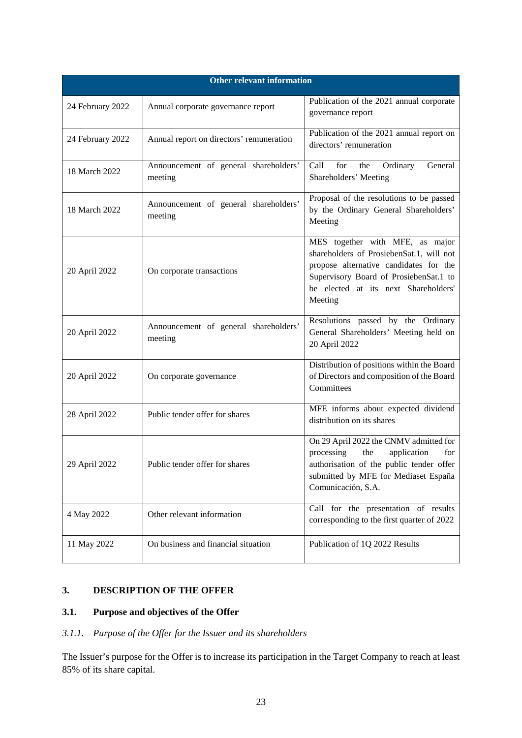| <b>Other relevant information</b> |                                                  |                                                                                                                                                                                                                    |  |
|-----------------------------------|--------------------------------------------------|--------------------------------------------------------------------------------------------------------------------------------------------------------------------------------------------------------------------|--|
| 24 February 2022                  | Annual corporate governance report               | Publication of the 2021 annual corporate<br>governance report                                                                                                                                                      |  |
| 24 February 2022                  | Annual report on directors' remuneration         | Publication of the 2021 annual report on<br>directors' remuneration                                                                                                                                                |  |
| 18 March 2022                     | Announcement of general shareholders'<br>meeting | Call<br>for<br>the<br>Ordinary<br>General<br>Shareholders' Meeting                                                                                                                                                 |  |
| 18 March 2022                     | Announcement of general shareholders'<br>meeting | Proposal of the resolutions to be passed<br>by the Ordinary General Shareholders'<br>Meeting                                                                                                                       |  |
| 20 April 2022                     | On corporate transactions                        | MES together with MFE, as major<br>shareholders of ProsiebenSat.1, will not<br>propose alternative candidates for the<br>Supervisory Board of ProsiebenSat.1 to<br>be elected at its next Shareholders'<br>Meeting |  |
| 20 April 2022                     | Announcement of general shareholders'<br>meeting | Resolutions passed by the Ordinary<br>General Shareholders' Meeting held on<br>20 April 2022                                                                                                                       |  |
| 20 April 2022                     | On corporate governance                          | Distribution of positions within the Board<br>of Directors and composition of the Board<br>Committees                                                                                                              |  |
| 28 April 2022                     | Public tender offer for shares                   | MFE informs about expected dividend<br>distribution on its shares                                                                                                                                                  |  |
| 29 April 2022                     | Public tender offer for shares                   | On 29 April 2022 the CNMV admitted for<br>processing<br>the<br>application<br>for<br>authorisation of the public tender offer<br>submitted by MFE for Mediaset España<br>Comunicación, S.A.                        |  |
| 4 May 2022                        | Other relevant information                       | Call for the presentation of results<br>corresponding to the first quarter of 2022                                                                                                                                 |  |
| 11 May 2022                       | On business and financial situation              | Publication of 1Q 2022 Results                                                                                                                                                                                     |  |

# <span id="page-28-0"></span>**3. DESCRIPTION OF THE OFFER**

# <span id="page-28-1"></span>**3.1. Purpose and objectives of the Offer**

# <span id="page-28-2"></span>*3.1.1. Purpose of the Offer for the Issuer and its shareholders*

The Issuer's purpose for the Offer is to increase its participation in the Target Company to reach at least 85% of its share capital.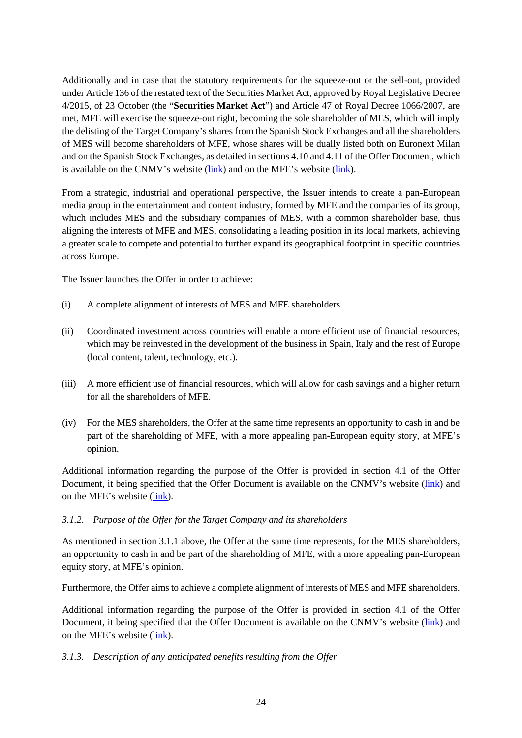Additionally and in case that the statutory requirements for the squeeze-out or the sell-out, provided under Article 136 of the restated text of the Securities Market Act, approved by Royal Legislative Decree 4/2015, of 23 October (the "**Securities Market Act**") and Article 47 of Royal Decree 1066/2007, are met, MFE will exercise the squeeze-out right, becoming the sole shareholder of MES, which will imply the delisting of the Target Company's shares from the Spanish Stock Exchanges and all the shareholders of MES will become shareholders of MFE, whose shares will be dually listed both on Euronext Milan and on the Spanish Stock Exchanges, as detailed in sections 4.10 and 4.11 of the Offer Document, which is available on the CNMV's website [\(link\)](https://www.cnmv.es/portal/home.aspx) and on the MFE's website [\(link\)](http://www.mfemediaforeurope.com/).

From a strategic, industrial and operational perspective, the Issuer intends to create a pan-European media group in the entertainment and content industry, formed by MFE and the companies of its group, which includes MES and the subsidiary companies of MES, with a common shareholder base, thus aligning the interests of MFE and MES, consolidating a leading position in its local markets, achieving a greater scale to compete and potential to further expand its geographical footprint in specific countries across Europe.

The Issuer launches the Offer in order to achieve:

- (i) A complete alignment of interests of MES and MFE shareholders.
- (ii) Coordinated investment across countries will enable a more efficient use of financial resources, which may be reinvested in the development of the business in Spain, Italy and the rest of Europe (local content, talent, technology, etc.).
- (iii) A more efficient use of financial resources, which will allow for cash savings and a higher return for all the shareholders of MFE.
- (iv) For the MES shareholders, the Offer at the same time represents an opportunity to cash in and be part of the shareholding of MFE, with a more appealing pan-European equity story, at MFE's opinion.

Additional information regarding the purpose of the Offer is provided in section 4.1 of the Offer Document, it being specified that the Offer Document is available on the CNMV's website [\(link\)](https://www.cnmv.es/portal/home.aspx) and on the MFE's website [\(link\)](http://www.mfemediaforeurope.com/).

### *3.1.2. Purpose of the Offer for the Target Company and its shareholders*

As mentioned in section [3.1.1](#page-28-2) above, the Offer at the same time represents, for the MES shareholders, an opportunity to cash in and be part of the shareholding of MFE, with a more appealing pan-European equity story, at MFE's opinion.

Furthermore, the Offer aims to achieve a complete alignment of interests of MES and MFE shareholders.

Additional information regarding the purpose of the Offer is provided in section 4.1 of the Offer Document, it being specified that the Offer Document is available on the CNMV's website [\(link\)](https://www.cnmv.es/portal/home.aspx) and on the MFE's website [\(link\)](http://www.mfemediaforeurope.com/).

### <span id="page-29-0"></span>*3.1.3. Description of any anticipated benefits resulting from the Offer*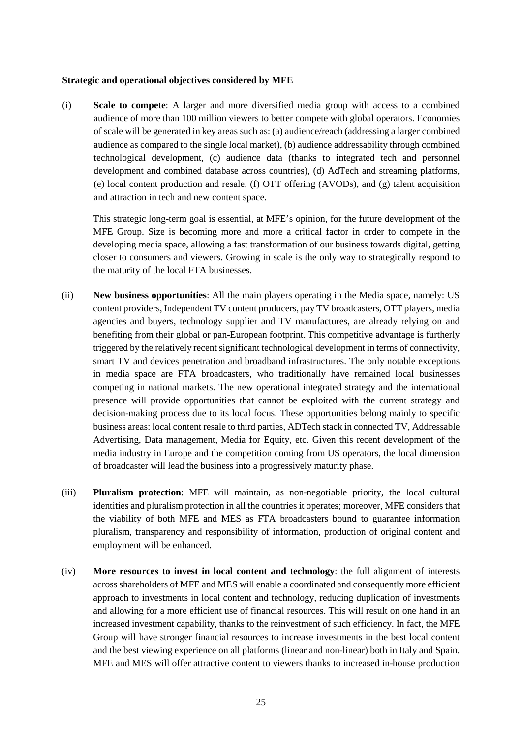#### **Strategic and operational objectives considered by MFE**

(i) **Scale to compete**: A larger and more diversified media group with access to a combined audience of more than 100 million viewers to better compete with global operators. Economies of scale will be generated in key areas such as: (a) audience/reach (addressing a larger combined audience as compared to the single local market), (b) audience addressability through combined technological development, (c) audience data (thanks to integrated tech and personnel development and combined database across countries), (d) AdTech and streaming platforms, (e) local content production and resale, (f) OTT offering (AVODs), and (g) talent acquisition and attraction in tech and new content space.

This strategic long-term goal is essential, at MFE's opinion, for the future development of the MFE Group. Size is becoming more and more a critical factor in order to compete in the developing media space, allowing a fast transformation of our business towards digital, getting closer to consumers and viewers. Growing in scale is the only way to strategically respond to the maturity of the local FTA businesses.

- (ii) **New business opportunities**: All the main players operating in the Media space, namely: US content providers, Independent TV content producers, pay TV broadcasters, OTT players, media agencies and buyers, technology supplier and TV manufactures, are already relying on and benefiting from their global or pan-European footprint. This competitive advantage is furtherly triggered by the relatively recent significant technological development in terms of connectivity, smart TV and devices penetration and broadband infrastructures. The only notable exceptions in media space are FTA broadcasters, who traditionally have remained local businesses competing in national markets. The new operational integrated strategy and the international presence will provide opportunities that cannot be exploited with the current strategy and decision-making process due to its local focus. These opportunities belong mainly to specific business areas: local content resale to third parties, ADTech stack in connected TV, Addressable Advertising, Data management, Media for Equity, etc. Given this recent development of the media industry in Europe and the competition coming from US operators, the local dimension of broadcaster will lead the business into a progressively maturity phase.
- (iii) **Pluralism protection**: MFE will maintain, as non-negotiable priority, the local cultural identities and pluralism protection in all the countries it operates; moreover, MFE considers that the viability of both MFE and MES as FTA broadcasters bound to guarantee information pluralism, transparency and responsibility of information, production of original content and employment will be enhanced.
- (iv) **More resources to invest in local content and technology**: the full alignment of interests across shareholders of MFE and MES will enable a coordinated and consequently more efficient approach to investments in local content and technology, reducing duplication of investments and allowing for a more efficient use of financial resources. This will result on one hand in an increased investment capability, thanks to the reinvestment of such efficiency. In fact, the MFE Group will have stronger financial resources to increase investments in the best local content and the best viewing experience on all platforms (linear and non-linear) both in Italy and Spain. MFE and MES will offer attractive content to viewers thanks to increased in-house production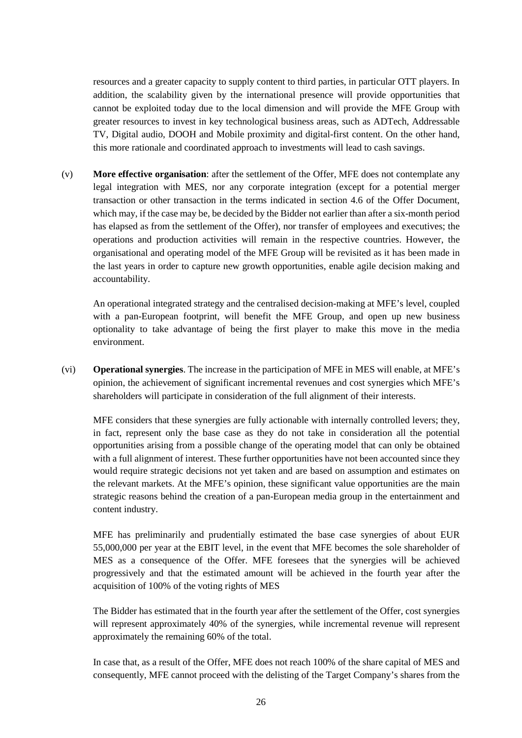resources and a greater capacity to supply content to third parties, in particular OTT players. In addition, the scalability given by the international presence will provide opportunities that cannot be exploited today due to the local dimension and will provide the MFE Group with greater resources to invest in key technological business areas, such as ADTech, Addressable TV, Digital audio, DOOH and Mobile proximity and digital-first content. On the other hand, this more rationale and coordinated approach to investments will lead to cash savings.

(v) **More effective organisation**: after the settlement of the Offer, MFE does not contemplate any legal integration with MES, nor any corporate integration (except for a potential merger transaction or other transaction in the terms indicated in section 4.6 of the Offer Document, which may, if the case may be, be decided by the Bidder not earlier than after a six-month period has elapsed as from the settlement of the Offer), nor transfer of employees and executives; the operations and production activities will remain in the respective countries. However, the organisational and operating model of the MFE Group will be revisited as it has been made in the last years in order to capture new growth opportunities, enable agile decision making and accountability.

An operational integrated strategy and the centralised decision-making at MFE's level, coupled with a pan-European footprint, will benefit the MFE Group, and open up new business optionality to take advantage of being the first player to make this move in the media environment.

(vi) **Operational synergies**. The increase in the participation of MFE in MES will enable, at MFE's opinion, the achievement of significant incremental revenues and cost synergies which MFE's shareholders will participate in consideration of the full alignment of their interests.

MFE considers that these synergies are fully actionable with internally controlled levers; they, in fact, represent only the base case as they do not take in consideration all the potential opportunities arising from a possible change of the operating model that can only be obtained with a full alignment of interest. These further opportunities have not been accounted since they would require strategic decisions not yet taken and are based on assumption and estimates on the relevant markets. At the MFE's opinion, these significant value opportunities are the main strategic reasons behind the creation of a pan-European media group in the entertainment and content industry.

MFE has preliminarily and prudentially estimated the base case synergies of about EUR 55,000,000 per year at the EBIT level, in the event that MFE becomes the sole shareholder of MES as a consequence of the Offer. MFE foresees that the synergies will be achieved progressively and that the estimated amount will be achieved in the fourth year after the acquisition of 100% of the voting rights of MES

The Bidder has estimated that in the fourth year after the settlement of the Offer, cost synergies will represent approximately 40% of the synergies, while incremental revenue will represent approximately the remaining 60% of the total.

In case that, as a result of the Offer, MFE does not reach 100% of the share capital of MES and consequently, MFE cannot proceed with the delisting of the Target Company's shares from the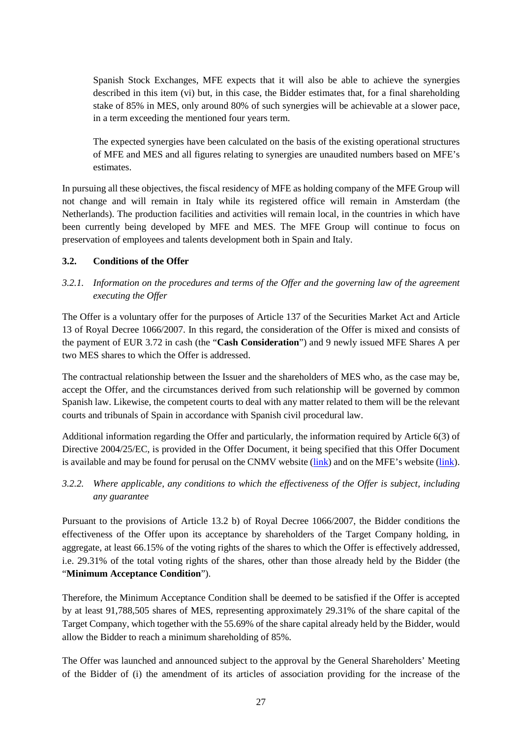Spanish Stock Exchanges, MFE expects that it will also be able to achieve the synergies described in this item (vi) but, in this case, the Bidder estimates that, for a final shareholding stake of 85% in MES, only around 80% of such synergies will be achievable at a slower pace, in a term exceeding the mentioned four years term.

The expected synergies have been calculated on the basis of the existing operational structures of MFE and MES and all figures relating to synergies are unaudited numbers based on MFE's estimates.

In pursuing all these objectives, the fiscal residency of MFE as holding company of the MFE Group will not change and will remain in Italy while its registered office will remain in Amsterdam (the Netherlands). The production facilities and activities will remain local, in the countries in which have been currently being developed by MFE and MES. The MFE Group will continue to focus on preservation of employees and talents development both in Spain and Italy.

## <span id="page-32-0"></span>**3.2. Conditions of the Offer**

*3.2.1. Information on the procedures and terms of the Offer and the governing law of the agreement executing the Offer*

The Offer is a voluntary offer for the purposes of Article 137 of the Securities Market Act and Article 13 of Royal Decree 1066/2007. In this regard, the consideration of the Offer is mixed and consists of the payment of EUR 3.72 in cash (the "**Cash Consideration**") and 9 newly issued MFE Shares A per two MES shares to which the Offer is addressed.

The contractual relationship between the Issuer and the shareholders of MES who, as the case may be, accept the Offer, and the circumstances derived from such relationship will be governed by common Spanish law. Likewise, the competent courts to deal with any matter related to them will be the relevant courts and tribunals of Spain in accordance with Spanish civil procedural law.

Additional information regarding the Offer and particularly, the information required by Article 6(3) of Directive 2004/25/EC, is provided in the Offer Document, it being specified that this Offer Document is available and may be found for perusal on the CNMV website [\(link\)](https://www.cnmv.es/portal/home.aspx) and on the MFE's website [\(link\)](http://www.mfemediaforeurope.com/).

*3.2.2. Where applicable, any conditions to which the effectiveness of the Offer is subject, including any guarantee*

Pursuant to the provisions of Article 13.2 b) of Royal Decree 1066/2007, the Bidder conditions the effectiveness of the Offer upon its acceptance by shareholders of the Target Company holding, in aggregate, at least 66.15% of the voting rights of the shares to which the Offer is effectively addressed, i.e. 29.31% of the total voting rights of the shares, other than those already held by the Bidder (the "**Minimum Acceptance Condition**").

Therefore, the Minimum Acceptance Condition shall be deemed to be satisfied if the Offer is accepted by at least 91,788,505 shares of MES, representing approximately 29.31% of the share capital of the Target Company, which together with the 55.69% of the share capital already held by the Bidder, would allow the Bidder to reach a minimum shareholding of 85%.

The Offer was launched and announced subject to the approval by the General Shareholders' Meeting of the Bidder of (i) the amendment of its articles of association providing for the increase of the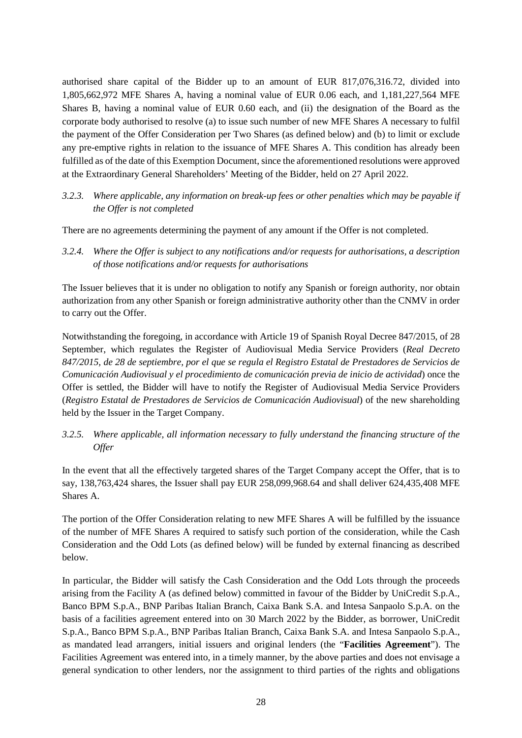authorised share capital of the Bidder up to an amount of EUR 817,076,316.72, divided into 1,805,662,972 MFE Shares A, having a nominal value of EUR 0.06 each, and 1,181,227,564 MFE Shares B, having a nominal value of EUR 0.60 each, and (ii) the designation of the Board as the corporate body authorised to resolve (a) to issue such number of new MFE Shares A necessary to fulfil the payment of the Offer Consideration per Two Shares (as defined below) and (b) to limit or exclude any pre-emptive rights in relation to the issuance of MFE Shares A. This condition has already been fulfilled as of the date of this Exemption Document, since the aforementioned resolutions were approved at the Extraordinary General Shareholders' Meeting of the Bidder, held on 27 April 2022.

*3.2.3. Where applicable, any information on break-up fees or other penalties which may be payable if the Offer is not completed*

There are no agreements determining the payment of any amount if the Offer is not completed.

*3.2.4. Where the Offer is subject to any notifications and/or requests for authorisations, a description of those notifications and/or requests for authorisations*

The Issuer believes that it is under no obligation to notify any Spanish or foreign authority, nor obtain authorization from any other Spanish or foreign administrative authority other than the CNMV in order to carry out the Offer.

Notwithstanding the foregoing, in accordance with Article 19 of Spanish Royal Decree 847/2015, of 28 September, which regulates the Register of Audiovisual Media Service Providers (*Real Decreto 847/2015, de 28 de septiembre, por el que se regula el Registro Estatal de Prestadores de Servicios de Comunicación Audiovisual y el procedimiento de comunicación previa de inicio de actividad*) once the Offer is settled, the Bidder will have to notify the Register of Audiovisual Media Service Providers (*Registro Estatal de Prestadores de Servicios de Comunicación Audiovisual*) of the new shareholding held by the Issuer in the Target Company.

*3.2.5. Where applicable, all information necessary to fully understand the financing structure of the Offer*

In the event that all the effectively targeted shares of the Target Company accept the Offer, that is to say, 138,763,424 shares, the Issuer shall pay EUR 258,099,968.64 and shall deliver 624,435,408 MFE Shares A.

The portion of the Offer Consideration relating to new MFE Shares A will be fulfilled by the issuance of the number of MFE Shares A required to satisfy such portion of the consideration, while the Cash Consideration and the Odd Lots (as defined below) will be funded by external financing as described below.

In particular, the Bidder will satisfy the Cash Consideration and the Odd Lots through the proceeds arising from the Facility A (as defined below) committed in favour of the Bidder by UniCredit S.p.A., Banco BPM S.p.A., BNP Paribas Italian Branch, Caixa Bank S.A. and Intesa Sanpaolo S.p.A. on the basis of a facilities agreement entered into on 30 March 2022 by the Bidder, as borrower, UniCredit S.p.A., Banco BPM S.p.A., BNP Paribas Italian Branch, Caixa Bank S.A. and Intesa Sanpaolo S.p.A., as mandated lead arrangers, initial issuers and original lenders (the "**Facilities Agreement**"). The Facilities Agreement was entered into, in a timely manner, by the above parties and does not envisage a general syndication to other lenders, nor the assignment to third parties of the rights and obligations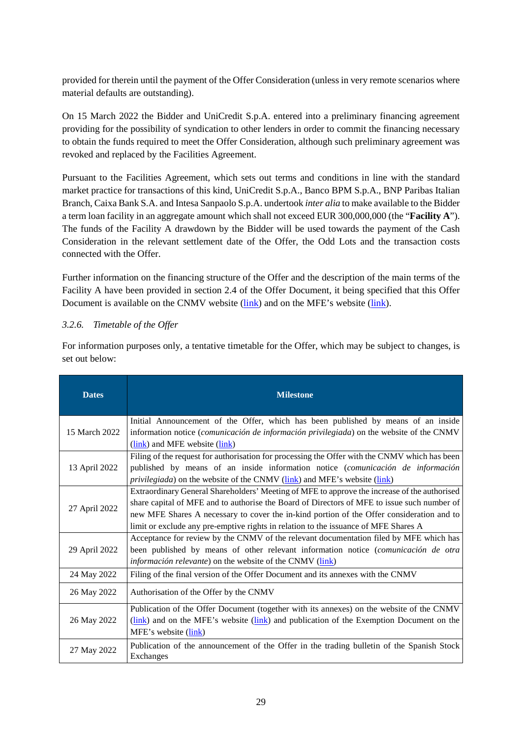provided for therein until the payment of the Offer Consideration (unless in very remote scenarios where material defaults are outstanding).

On 15 March 2022 the Bidder and UniCredit S.p.A. entered into a preliminary financing agreement providing for the possibility of syndication to other lenders in order to commit the financing necessary to obtain the funds required to meet the Offer Consideration, although such preliminary agreement was revoked and replaced by the Facilities Agreement.

Pursuant to the Facilities Agreement, which sets out terms and conditions in line with the standard market practice for transactions of this kind, UniCredit S.p.A., Banco BPM S.p.A., BNP Paribas Italian Branch, Caixa Bank S.A. and Intesa Sanpaolo S.p.A. undertook *inter alia* to make available to the Bidder a term loan facility in an aggregate amount which shall not exceed EUR 300,000,000 (the "**Facility A**"). The funds of the Facility A drawdown by the Bidder will be used towards the payment of the Cash Consideration in the relevant settlement date of the Offer, the Odd Lots and the transaction costs connected with the Offer.

Further information on the financing structure of the Offer and the description of the main terms of the Facility A have been provided in section 2.4 of the Offer Document, it being specified that this Offer Document is available on the CNMV website [\(link\)](http://www.mfemediaforeurope.com/) and on the MFE's website (link).

### *3.2.6. Timetable of the Offer*

For information purposes only, a tentative timetable for the Offer, which may be subject to changes, is set out below:

| <b>Dates</b>  | <b>Milestone</b>                                                                                                                                                                                                                                                                                                                                                                |
|---------------|---------------------------------------------------------------------------------------------------------------------------------------------------------------------------------------------------------------------------------------------------------------------------------------------------------------------------------------------------------------------------------|
| 15 March 2022 | Initial Announcement of the Offer, which has been published by means of an inside<br>information notice ( <i>comunicación de información privilegiada</i> ) on the website of the CNMV<br>(link) and MFE website (link)                                                                                                                                                         |
| 13 April 2022 | Filing of the request for authorisation for processing the Offer with the CNMV which has been<br>published by means of an inside information notice (comunicación de información<br><i>privilegiada</i> ) on the website of the CNMV ( <i>link</i> ) and MFE's website ( <i>link</i> )                                                                                          |
| 27 April 2022 | Extraordinary General Shareholders' Meeting of MFE to approve the increase of the authorised<br>share capital of MFE and to authorise the Board of Directors of MFE to issue such number of<br>new MFE Shares A necessary to cover the in-kind portion of the Offer consideration and to<br>limit or exclude any pre-emptive rights in relation to the issuance of MFE Shares A |
| 29 April 2022 | Acceptance for review by the CNMV of the relevant documentation filed by MFE which has<br>been published by means of other relevant information notice (comunicación de otra<br><i>información relevante</i> ) on the website of the CNMV ( <i>link</i> )                                                                                                                       |
| 24 May 2022   | Filing of the final version of the Offer Document and its annexes with the CNMV                                                                                                                                                                                                                                                                                                 |
| 26 May 2022   | Authorisation of the Offer by the CNMV                                                                                                                                                                                                                                                                                                                                          |
| 26 May 2022   | Publication of the Offer Document (together with its annexes) on the website of the CNMV<br>(link) and on the MFE's website (link) and publication of the Exemption Document on the<br>MFE's website (link)                                                                                                                                                                     |
| 27 May 2022   | Publication of the announcement of the Offer in the trading bulletin of the Spanish Stock<br>Exchanges                                                                                                                                                                                                                                                                          |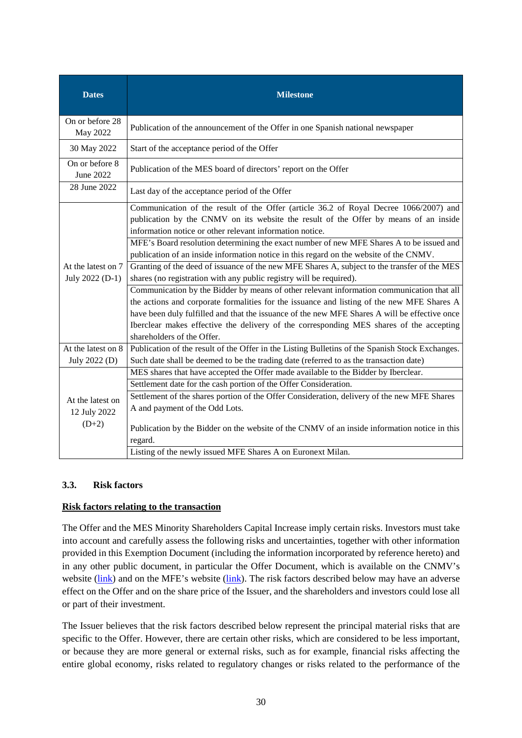| <b>Dates</b>                                | <b>Milestone</b>                                                                                                                                                                                                                                                                                                                                                                                                  |
|---------------------------------------------|-------------------------------------------------------------------------------------------------------------------------------------------------------------------------------------------------------------------------------------------------------------------------------------------------------------------------------------------------------------------------------------------------------------------|
| On or before 28<br>May 2022                 | Publication of the announcement of the Offer in one Spanish national newspaper                                                                                                                                                                                                                                                                                                                                    |
| 30 May 2022                                 | Start of the acceptance period of the Offer                                                                                                                                                                                                                                                                                                                                                                       |
| On or before 8<br>June 2022                 | Publication of the MES board of directors' report on the Offer                                                                                                                                                                                                                                                                                                                                                    |
| 28 June 2022                                | Last day of the acceptance period of the Offer                                                                                                                                                                                                                                                                                                                                                                    |
|                                             | Communication of the result of the Offer (article 36.2 of Royal Decree 1066/2007) and<br>publication by the CNMV on its website the result of the Offer by means of an inside<br>information notice or other relevant information notice.                                                                                                                                                                         |
|                                             | MFE's Board resolution determining the exact number of new MFE Shares A to be issued and<br>publication of an inside information notice in this regard on the website of the CNMV.                                                                                                                                                                                                                                |
| At the latest on 7<br>July 2022 (D-1)       | Granting of the deed of issuance of the new MFE Shares A, subject to the transfer of the MES<br>shares (no registration with any public registry will be required).                                                                                                                                                                                                                                               |
|                                             | Communication by the Bidder by means of other relevant information communication that all<br>the actions and corporate formalities for the issuance and listing of the new MFE Shares A<br>have been duly fulfilled and that the issuance of the new MFE Shares A will be effective once<br>Iberclear makes effective the delivery of the corresponding MES shares of the accepting<br>shareholders of the Offer. |
| At the latest on 8<br>July 2022 (D)         | Publication of the result of the Offer in the Listing Bulletins of the Spanish Stock Exchanges.<br>Such date shall be deemed to be the trading date (referred to as the transaction date)                                                                                                                                                                                                                         |
| At the latest on<br>12 July 2022<br>$(D+2)$ | MES shares that have accepted the Offer made available to the Bidder by Iberclear.<br>Settlement date for the cash portion of the Offer Consideration.<br>Settlement of the shares portion of the Offer Consideration, delivery of the new MFE Shares<br>A and payment of the Odd Lots.<br>Publication by the Bidder on the website of the CNMV of an inside information notice in this                           |
|                                             | regard.<br>Listing of the newly issued MFE Shares A on Euronext Milan.                                                                                                                                                                                                                                                                                                                                            |

### <span id="page-35-0"></span>**3.3. Risk factors**

### **Risk factors relating to the transaction**

The Offer and the MES Minority Shareholders Capital Increase imply certain risks. Investors must take into account and carefully assess the following risks and uncertainties, together with other information provided in this Exemption Document (including the information incorporated by reference hereto) and in any other public document, in particular the Offer Document, which is available on the CNMV's website [\(link\)](http://www.mfemediaforeurope.com/) and on the MFE's website (link). The risk factors described below may have an adverse effect on the Offer and on the share price of the Issuer, and the shareholders and investors could lose all or part of their investment.

The Issuer believes that the risk factors described below represent the principal material risks that are specific to the Offer. However, there are certain other risks, which are considered to be less important, or because they are more general or external risks, such as for example, financial risks affecting the entire global economy, risks related to regulatory changes or risks related to the performance of the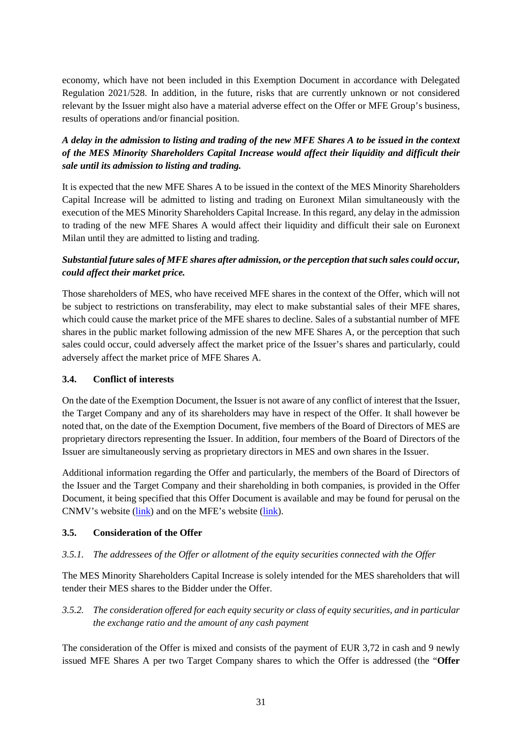economy, which have not been included in this Exemption Document in accordance with Delegated Regulation 2021/528. In addition, in the future, risks that are currently unknown or not considered relevant by the Issuer might also have a material adverse effect on the Offer or MFE Group's business, results of operations and/or financial position.

# *A delay in the admission to listing and trading of the new MFE Shares A to be issued in the context of the MES Minority Shareholders Capital Increase would affect their liquidity and difficult their sale until its admission to listing and trading.*

It is expected that the new MFE Shares A to be issued in the context of the MES Minority Shareholders Capital Increase will be admitted to listing and trading on Euronext Milan simultaneously with the execution of the MES Minority Shareholders Capital Increase. In this regard, any delay in the admission to trading of the new MFE Shares A would affect their liquidity and difficult their sale on Euronext Milan until they are admitted to listing and trading.

# *Substantial future sales of MFE shares after admission, or the perception that such sales could occur, could affect their market price.*

Those shareholders of MES, who have received MFE shares in the context of the Offer, which will not be subject to restrictions on transferability, may elect to make substantial sales of their MFE shares, which could cause the market price of the MFE shares to decline. Sales of a substantial number of MFE shares in the public market following admission of the new MFE Shares A, or the perception that such sales could occur, could adversely affect the market price of the Issuer's shares and particularly, could adversely affect the market price of MFE Shares A.

### <span id="page-36-0"></span>**3.4. Conflict of interests**

On the date of the Exemption Document, the Issuer is not aware of any conflict of interest that the Issuer, the Target Company and any of its shareholders may have in respect of the Offer. It shall however be noted that, on the date of the Exemption Document, five members of the Board of Directors of MES are proprietary directors representing the Issuer. In addition, four members of the Board of Directors of the Issuer are simultaneously serving as proprietary directors in MES and own shares in the Issuer.

Additional information regarding the Offer and particularly, the members of the Board of Directors of the Issuer and the Target Company and their shareholding in both companies, is provided in the Offer Document, it being specified that this Offer Document is available and may be found for perusal on the CNMV's website [\(link\)](https://www.cnmv.es/portal/home.aspx) and on the MFE's website [\(link\)](https://www.mfemediaforeurope.com/en/).

# <span id="page-36-1"></span>**3.5. Consideration of the Offer**

# *3.5.1. The addressees of the Offer or allotment of the equity securities connected with the Offer*

The MES Minority Shareholders Capital Increase is solely intended for the MES shareholders that will tender their MES shares to the Bidder under the Offer.

# <span id="page-36-2"></span>*3.5.2. The consideration offered for each equity security or class of equity securities, and in particular the exchange ratio and the amount of any cash payment*

The consideration of the Offer is mixed and consists of the payment of EUR 3,72 in cash and 9 newly issued MFE Shares A per two Target Company shares to which the Offer is addressed (the "**Offer**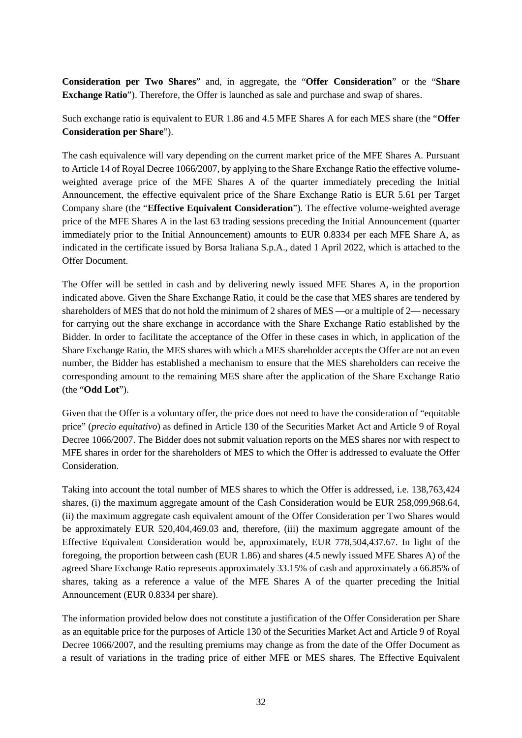**Consideration per Two Shares**" and, in aggregate, the "**Offer Consideration**" or the "**Share Exchange Ratio**"). Therefore, the Offer is launched as sale and purchase and swap of shares.

Such exchange ratio is equivalent to EUR 1.86 and 4.5 MFE Shares A for each MES share (the "**Offer Consideration per Share**").

The cash equivalence will vary depending on the current market price of the MFE Shares A. Pursuant to Article 14 of Royal Decree 1066/2007, by applying to the Share Exchange Ratio the effective volumeweighted average price of the MFE Shares A of the quarter immediately preceding the Initial Announcement, the effective equivalent price of the Share Exchange Ratio is EUR 5.61 per Target Company share (the "**Effective Equivalent Consideration**"). The effective volume-weighted average price of the MFE Shares A in the last 63 trading sessions preceding the Initial Announcement (quarter immediately prior to the Initial Announcement) amounts to EUR 0.8334 per each MFE Share A, as indicated in the certificate issued by Borsa Italiana S.p.A., dated 1 April 2022, which is attached to the Offer Document.

The Offer will be settled in cash and by delivering newly issued MFE Shares A, in the proportion indicated above. Given the Share Exchange Ratio, it could be the case that MES shares are tendered by shareholders of MES that do not hold the minimum of 2 shares of MES —or a multiple of 2— necessary for carrying out the share exchange in accordance with the Share Exchange Ratio established by the Bidder. In order to facilitate the acceptance of the Offer in these cases in which, in application of the Share Exchange Ratio, the MES shares with which a MES shareholder accepts the Offer are not an even number, the Bidder has established a mechanism to ensure that the MES shareholders can receive the corresponding amount to the remaining MES share after the application of the Share Exchange Ratio (the "**Odd Lot**").

Given that the Offer is a voluntary offer, the price does not need to have the consideration of "equitable" price" (*precio equitativo*) as defined in Article 130 of the Securities Market Act and Article 9 of Royal Decree 1066/2007. The Bidder does not submit valuation reports on the MES shares nor with respect to MFE shares in order for the shareholders of MES to which the Offer is addressed to evaluate the Offer Consideration.

Taking into account the total number of MES shares to which the Offer is addressed, i.e. 138,763,424 shares, (i) the maximum aggregate amount of the Cash Consideration would be EUR 258,099,968.64, (ii) the maximum aggregate cash equivalent amount of the Offer Consideration per Two Shares would be approximately EUR 520,404,469.03 and, therefore, (iii) the maximum aggregate amount of the Effective Equivalent Consideration would be, approximately, EUR 778,504,437.67. In light of the foregoing, the proportion between cash (EUR 1.86) and shares (4.5 newly issued MFE Shares A) of the agreed Share Exchange Ratio represents approximately 33.15% of cash and approximately a 66.85% of shares, taking as a reference a value of the MFE Shares A of the quarter preceding the Initial Announcement (EUR 0.8334 per share).

The information provided below does not constitute a justification of the Offer Consideration per Share as an equitable price for the purposes of Article 130 of the Securities Market Act and Article 9 of Royal Decree 1066/2007, and the resulting premiums may change as from the date of the Offer Document as a result of variations in the trading price of either MFE or MES shares. The Effective Equivalent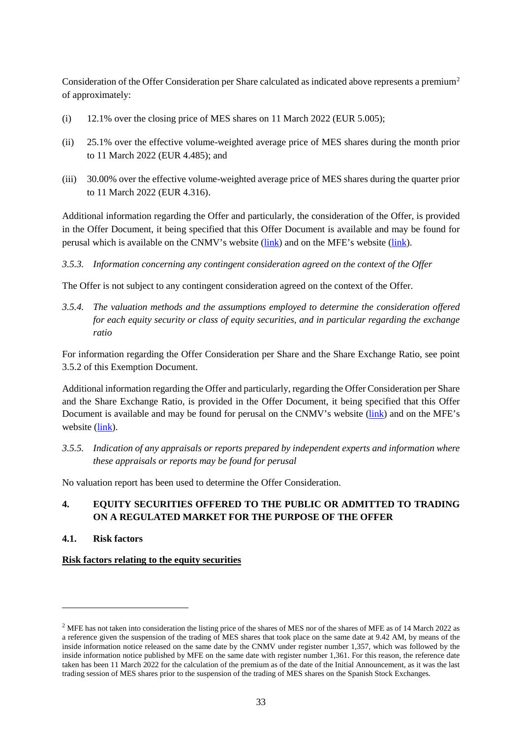Consideration of the Offer Consideration per Share calculated as indicated above represents a premium<sup>[2](#page-38-2)</sup> of approximately:

- (i) 12.1% over the closing price of MES shares on 11 March 2022 (EUR 5.005);
- (ii) 25.1% over the effective volume-weighted average price of MES shares during the month prior to 11 March 2022 (EUR 4.485); and
- (iii) 30.00% over the effective volume-weighted average price of MES shares during the quarter prior to 11 March 2022 (EUR 4.316).

Additional information regarding the Offer and particularly, the consideration of the Offer, is provided in the Offer Document, it being specified that this Offer Document is available and may be found for perusal which is available on the CNMV's website [\(link\)](https://www.cnmv.es/portal/home.aspx) and on the MFE's website [\(link\)](http://www.mfemediaforeurope.com/).

*3.5.3. Information concerning any contingent consideration agreed on the context of the Offer*

The Offer is not subject to any contingent consideration agreed on the context of the Offer.

*3.5.4. The valuation methods and the assumptions employed to determine the consideration offered for each equity security or class of equity securities, and in particular regarding the exchange ratio*

For information regarding the Offer Consideration per Share and the Share Exchange Ratio, see point [3.5.2](#page-36-2) of this Exemption Document.

Additional information regarding the Offer and particularly, regarding the Offer Consideration per Share and the Share Exchange Ratio, is provided in the Offer Document, it being specified that this Offer Document is available and may be found for perusal on the CNMV's website [\(link\)](https://www.cnmv.es/portal/home.aspx) and on the MFE's website [\(link\)](https://www.mfemediaforeurope.com/en/).

*3.5.5. Indication of any appraisals or reports prepared by independent experts and information where these appraisals or reports may be found for perusal*

No valuation report has been used to determine the Offer Consideration.

# <span id="page-38-0"></span>**4. EQUITY SECURITIES OFFERED TO THE PUBLIC OR ADMITTED TO TRADING ON A REGULATED MARKET FOR THE PURPOSE OF THE OFFER**

<span id="page-38-1"></span>**4.1. Risk factors**

<u>.</u>

### **Risk factors relating to the equity securities**

<span id="page-38-2"></span><sup>&</sup>lt;sup>2</sup> MFE has not taken into consideration the listing price of the shares of MES nor of the shares of MFE as of 14 March 2022 as a reference given the suspension of the trading of MES shares that took place on the same date at 9.42 AM, by means of the inside information notice released on the same date by the CNMV under register number 1,357, which was followed by the inside information notice published by MFE on the same date with register number 1,361. For this reason, the reference date taken has been 11 March 2022 for the calculation of the premium as of the date of the Initial Announcement, as it was the last trading session of MES shares prior to the suspension of the trading of MES shares on the Spanish Stock Exchanges.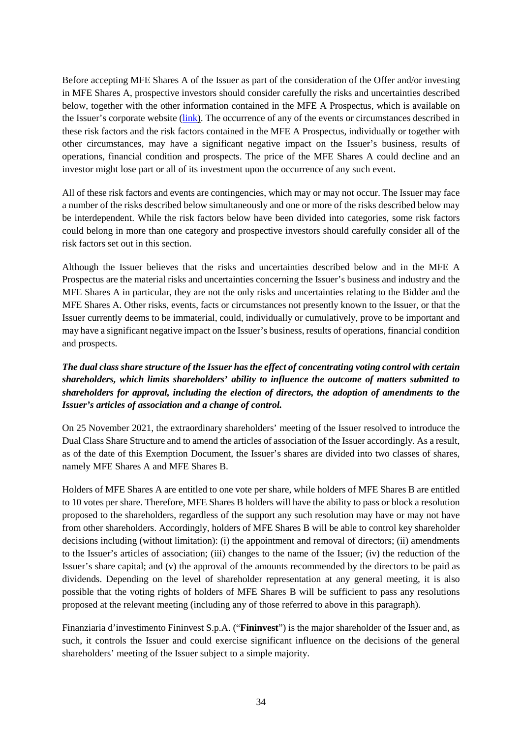Before accepting MFE Shares A of the Issuer as part of the consideration of the Offer and/or investing in MFE Shares A, prospective investors should consider carefully the risks and uncertainties described below, together with the other information contained in the MFE A Prospectus, which is available on the Issuer's corporate website [\(link\)](https://www.mfemediaforeurope.com/binary/documentRepository/59/EUO3-2006541099-v1%20NL%20-%20Prospectus%20(FINAL).cleaned_1707.pdf). The occurrence of any of the events or circumstances described in these risk factors and the risk factors contained in the MFE A Prospectus, individually or together with other circumstances, may have a significant negative impact on the Issuer's business, results of operations, financial condition and prospects. The price of the MFE Shares A could decline and an investor might lose part or all of its investment upon the occurrence of any such event.

All of these risk factors and events are contingencies, which may or may not occur. The Issuer may face a number of the risks described below simultaneously and one or more of the risks described below may be interdependent. While the risk factors below have been divided into categories, some risk factors could belong in more than one category and prospective investors should carefully consider all of the risk factors set out in this section.

Although the Issuer believes that the risks and uncertainties described below and in the MFE A Prospectus are the material risks and uncertainties concerning the Issuer's business and industry and the MFE Shares A in particular, they are not the only risks and uncertainties relating to the Bidder and the MFE Shares A. Other risks, events, facts or circumstances not presently known to the Issuer, or that the Issuer currently deems to be immaterial, could, individually or cumulatively, prove to be important and may have a significant negative impact on the Issuer's business, results of operations, financial condition and prospects.

# *The dual class share structure of the Issuer has the effect of concentrating voting control with certain shareholders, which limits shareholders' ability to influence the outcome of matters submitted to shareholders for approval, including the election of directors, the adoption of amendments to the Issuer's articles of association and a change of control.*

On 25 November 2021, the extraordinary shareholders' meeting of the Issuer resolved to introduce the Dual Class Share Structure and to amend the articles of association of the Issuer accordingly. As a result, as of the date of this Exemption Document, the Issuer's shares are divided into two classes of shares, namely MFE Shares A and MFE Shares B.

Holders of MFE Shares A are entitled to one vote per share, while holders of MFE Shares B are entitled to 10 votes per share. Therefore, MFE Shares B holders will have the ability to pass or block a resolution proposed to the shareholders, regardless of the support any such resolution may have or may not have from other shareholders. Accordingly, holders of MFE Shares B will be able to control key shareholder decisions including (without limitation): (i) the appointment and removal of directors; (ii) amendments to the Issuer's articles of association; (iii) changes to the name of the Issuer; (iv) the reduction of the Issuer's share capital; and (v) the approval of the amounts recommended by the directors to be paid as dividends. Depending on the level of shareholder representation at any general meeting, it is also possible that the voting rights of holders of MFE Shares B will be sufficient to pass any resolutions proposed at the relevant meeting (including any of those referred to above in this paragraph).

Finanziaria d'investimento Fininvest S.p.A. ("**Fininvest**") is the major shareholder of the Issuer and, as such, it controls the Issuer and could exercise significant influence on the decisions of the general shareholders' meeting of the Issuer subject to a simple majority.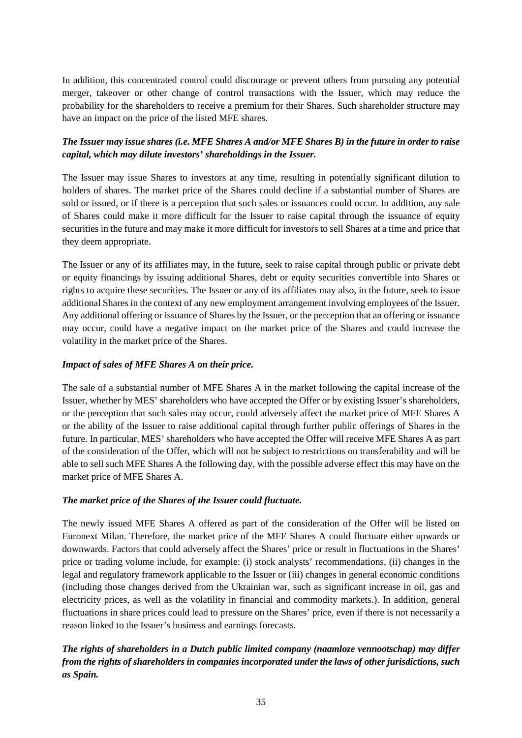In addition, this concentrated control could discourage or prevent others from pursuing any potential merger, takeover or other change of control transactions with the Issuer, which may reduce the probability for the shareholders to receive a premium for their Shares. Such shareholder structure may have an impact on the price of the listed MFE shares.

## *The Issuer may issue shares (i.e. MFE Shares A and/or MFE Shares B) in the future in order to raise capital, which may dilute investors' shareholdings in the Issuer.*

The Issuer may issue Shares to investors at any time, resulting in potentially significant dilution to holders of shares. The market price of the Shares could decline if a substantial number of Shares are sold or issued, or if there is a perception that such sales or issuances could occur. In addition, any sale of Shares could make it more difficult for the Issuer to raise capital through the issuance of equity securities in the future and may make it more difficult for investors to sell Shares at a time and price that they deem appropriate.

The Issuer or any of its affiliates may, in the future, seek to raise capital through public or private debt or equity financings by issuing additional Shares, debt or equity securities convertible into Shares or rights to acquire these securities. The Issuer or any of its affiliates may also, in the future, seek to issue additional Shares in the context of any new employment arrangement involving employees of the Issuer. Any additional offering or issuance of Shares by the Issuer, or the perception that an offering or issuance may occur, could have a negative impact on the market price of the Shares and could increase the volatility in the market price of the Shares.

### *Impact of sales of MFE Shares A on their price.*

The sale of a substantial number of MFE Shares A in the market following the capital increase of the Issuer, whether by MES' shareholders who have accepted the Offer or by existing Issuer's shareholders, or the perception that such sales may occur, could adversely affect the market price of MFE Shares A or the ability of the Issuer to raise additional capital through further public offerings of Shares in the future. In particular, MES' shareholders who have accepted the Offer will receive MFE Shares A as part of the consideration of the Offer, which will not be subject to restrictions on transferability and will be able to sell such MFE Shares A the following day, with the possible adverse effect this may have on the market price of MFE Shares A.

### *The market price of the Shares of the Issuer could fluctuate.*

The newly issued MFE Shares A offered as part of the consideration of the Offer will be listed on Euronext Milan. Therefore, the market price of the MFE Shares A could fluctuate either upwards or downwards. Factors that could adversely affect the Shares' price or result in fluctuations in the Shares' price or trading volume include, for example: (i) stock analysts' recommendations, (ii) changes in the legal and regulatory framework applicable to the Issuer or (iii) changes in general economic conditions (including those changes derived from the Ukrainian war, such as significant increase in oil, gas and electricity prices, as well as the volatility in financial and commodity markets.). In addition, general fluctuations in share prices could lead to pressure on the Shares' price, even if there is not necessarily a reason linked to the Issuer's business and earnings forecasts.

*The rights of shareholders in a Dutch public limited company (naamloze vennootschap) may differ from the rights of shareholders in companies incorporated under the laws of other jurisdictions, such as Spain.*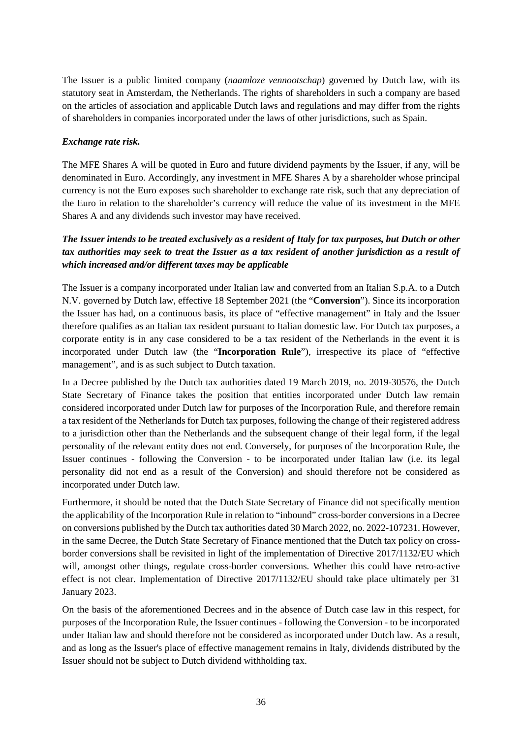The Issuer is a public limited company (*naamloze vennootschap*) governed by Dutch law, with its statutory seat in Amsterdam, the Netherlands. The rights of shareholders in such a company are based on the articles of association and applicable Dutch laws and regulations and may differ from the rights of shareholders in companies incorporated under the laws of other jurisdictions, such as Spain.

### *Exchange rate risk.*

The MFE Shares A will be quoted in Euro and future dividend payments by the Issuer, if any, will be denominated in Euro. Accordingly, any investment in MFE Shares A by a shareholder whose principal currency is not the Euro exposes such shareholder to exchange rate risk, such that any depreciation of the Euro in relation to the shareholder's currency will reduce the value of its investment in the MFE Shares A and any dividends such investor may have received.

# *The Issuer intends to be treated exclusively as a resident of Italy for tax purposes, but Dutch or other tax authorities may seek to treat the Issuer as a tax resident of another jurisdiction as a result of which increased and/or different taxes may be applicable*

The Issuer is a company incorporated under Italian law and converted from an Italian S.p.A. to a Dutch N.V. governed by Dutch law, effective 18 September 2021 (the "**Conversion**"). Since its incorporation the Issuer has had, on a continuous basis, its place of "effective management" in Italy and the Issuer therefore qualifies as an Italian tax resident pursuant to Italian domestic law. For Dutch tax purposes, a corporate entity is in any case considered to be a tax resident of the Netherlands in the event it is incorporated under Dutch law (the "**Incorporation Rule**"), irrespective its place of "effective management", and is as such subject to Dutch taxation.

In a Decree published by the Dutch tax authorities dated 19 March 2019, no. 2019-30576, the Dutch State Secretary of Finance takes the position that entities incorporated under Dutch law remain considered incorporated under Dutch law for purposes of the Incorporation Rule, and therefore remain a tax resident of the Netherlands for Dutch tax purposes, following the change of their registered address to a jurisdiction other than the Netherlands and the subsequent change of their legal form, if the legal personality of the relevant entity does not end. Conversely, for purposes of the Incorporation Rule, the Issuer continues - following the Conversion - to be incorporated under Italian law (i.e. its legal personality did not end as a result of the Conversion) and should therefore not be considered as incorporated under Dutch law.

Furthermore, it should be noted that the Dutch State Secretary of Finance did not specifically mention the applicability of the Incorporation Rule in relation to "inbound" cross-border conversions in a Decree on conversions published by the Dutch tax authorities dated 30 March 2022, no. 2022-107231. However, in the same Decree, the Dutch State Secretary of Finance mentioned that the Dutch tax policy on crossborder conversions shall be revisited in light of the implementation of Directive 2017/1132/EU which will, amongst other things, regulate cross-border conversions. Whether this could have retro-active effect is not clear. Implementation of Directive 2017/1132/EU should take place ultimately per 31 January 2023.

On the basis of the aforementioned Decrees and in the absence of Dutch case law in this respect, for purposes of the Incorporation Rule, the Issuer continues - following the Conversion - to be incorporated under Italian law and should therefore not be considered as incorporated under Dutch law. As a result, and as long as the Issuer's place of effective management remains in Italy, dividends distributed by the Issuer should not be subject to Dutch dividend withholding tax.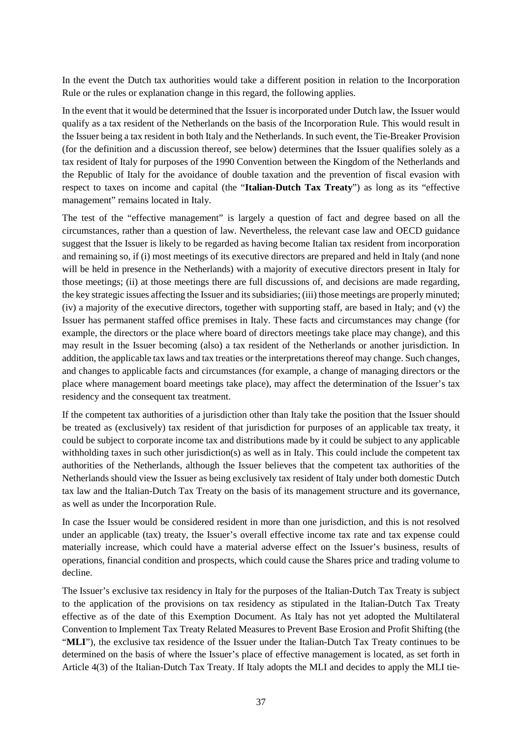In the event the Dutch tax authorities would take a different position in relation to the Incorporation Rule or the rules or explanation change in this regard, the following applies.

In the event that it would be determined that the Issuer is incorporated under Dutch law, the Issuer would qualify as a tax resident of the Netherlands on the basis of the Incorporation Rule. This would result in the Issuer being a tax resident in both Italy and the Netherlands. In such event, the Tie-Breaker Provision (for the definition and a discussion thereof, see below) determines that the Issuer qualifies solely as a tax resident of Italy for purposes of the 1990 Convention between the Kingdom of the Netherlands and the Republic of Italy for the avoidance of double taxation and the prevention of fiscal evasion with respect to taxes on income and capital (the "**Italian-Dutch Tax Treaty**") as long as its "effective management" remains located in Italy.

The test of the "effective management" is largely a question of fact and degree based on all the circumstances, rather than a question of law. Nevertheless, the relevant case law and OECD guidance suggest that the Issuer is likely to be regarded as having become Italian tax resident from incorporation and remaining so, if (i) most meetings of its executive directors are prepared and held in Italy (and none will be held in presence in the Netherlands) with a majority of executive directors present in Italy for those meetings; (ii) at those meetings there are full discussions of, and decisions are made regarding, the key strategic issues affecting the Issuer and its subsidiaries; (iii) those meetings are properly minuted; (iv) a majority of the executive directors, together with supporting staff, are based in Italy; and (v) the Issuer has permanent staffed office premises in Italy. These facts and circumstances may change (for example, the directors or the place where board of directors meetings take place may change), and this may result in the Issuer becoming (also) a tax resident of the Netherlands or another jurisdiction. In addition, the applicable tax laws and tax treaties or the interpretations thereof may change. Such changes, and changes to applicable facts and circumstances (for example, a change of managing directors or the place where management board meetings take place), may affect the determination of the Issuer's tax residency and the consequent tax treatment.

If the competent tax authorities of a jurisdiction other than Italy take the position that the Issuer should be treated as (exclusively) tax resident of that jurisdiction for purposes of an applicable tax treaty, it could be subject to corporate income tax and distributions made by it could be subject to any applicable withholding taxes in such other jurisdiction(s) as well as in Italy. This could include the competent tax authorities of the Netherlands, although the Issuer believes that the competent tax authorities of the Netherlands should view the Issuer as being exclusively tax resident of Italy under both domestic Dutch tax law and the Italian-Dutch Tax Treaty on the basis of its management structure and its governance, as well as under the Incorporation Rule.

In case the Issuer would be considered resident in more than one jurisdiction, and this is not resolved under an applicable (tax) treaty, the Issuer's overall effective income tax rate and tax expense could materially increase, which could have a material adverse effect on the Issuer's business, results of operations, financial condition and prospects, which could cause the Shares price and trading volume to decline.

The Issuer's exclusive tax residency in Italy for the purposes of the Italian-Dutch Tax Treaty is subject to the application of the provisions on tax residency as stipulated in the Italian-Dutch Tax Treaty effective as of the date of this Exemption Document. As Italy has not yet adopted the Multilateral Convention to Implement Tax Treaty Related Measures to Prevent Base Erosion and Profit Shifting (the "**MLI**"), the exclusive tax residence of the Issuer under the Italian-Dutch Tax Treaty continues to be determined on the basis of where the Issuer's place of effective management is located, as set forth in Article 4(3) of the Italian-Dutch Tax Treaty. If Italy adopts the MLI and decides to apply the MLI tie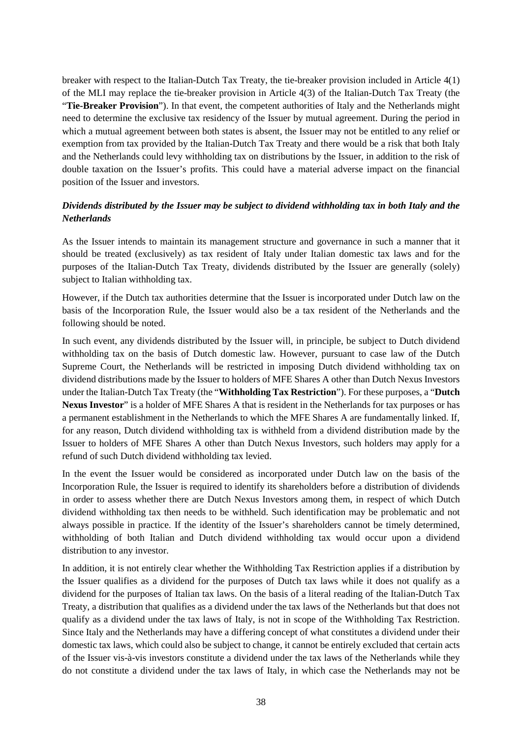breaker with respect to the Italian-Dutch Tax Treaty, the tie-breaker provision included in Article 4(1) of the MLI may replace the tie-breaker provision in Article 4(3) of the Italian-Dutch Tax Treaty (the "**Tie-Breaker Provision**"). In that event, the competent authorities of Italy and the Netherlands might need to determine the exclusive tax residency of the Issuer by mutual agreement. During the period in which a mutual agreement between both states is absent, the Issuer may not be entitled to any relief or exemption from tax provided by the Italian-Dutch Tax Treaty and there would be a risk that both Italy and the Netherlands could levy withholding tax on distributions by the Issuer, in addition to the risk of double taxation on the Issuer's profits. This could have a material adverse impact on the financial position of the Issuer and investors.

## *Dividends distributed by the Issuer may be subject to dividend withholding tax in both Italy and the Netherlands*

As the Issuer intends to maintain its management structure and governance in such a manner that it should be treated (exclusively) as tax resident of Italy under Italian domestic tax laws and for the purposes of the Italian-Dutch Tax Treaty, dividends distributed by the Issuer are generally (solely) subject to Italian withholding tax.

However, if the Dutch tax authorities determine that the Issuer is incorporated under Dutch law on the basis of the Incorporation Rule, the Issuer would also be a tax resident of the Netherlands and the following should be noted.

In such event, any dividends distributed by the Issuer will, in principle, be subject to Dutch dividend withholding tax on the basis of Dutch domestic law. However, pursuant to case law of the Dutch Supreme Court, the Netherlands will be restricted in imposing Dutch dividend withholding tax on dividend distributions made by the Issuer to holders of MFE Shares A other than Dutch Nexus Investors under the Italian-Dutch Tax Treaty (the "**Withholding Tax Restriction**"). For these purposes, a "**Dutch Nexus Investor**" is a holder of MFE Shares A that is resident in the Netherlands for tax purposes or has a permanent establishment in the Netherlands to which the MFE Shares A are fundamentally linked. If, for any reason, Dutch dividend withholding tax is withheld from a dividend distribution made by the Issuer to holders of MFE Shares A other than Dutch Nexus Investors, such holders may apply for a refund of such Dutch dividend withholding tax levied.

In the event the Issuer would be considered as incorporated under Dutch law on the basis of the Incorporation Rule, the Issuer is required to identify its shareholders before a distribution of dividends in order to assess whether there are Dutch Nexus Investors among them, in respect of which Dutch dividend withholding tax then needs to be withheld. Such identification may be problematic and not always possible in practice. If the identity of the Issuer's shareholders cannot be timely determined, withholding of both Italian and Dutch dividend withholding tax would occur upon a dividend distribution to any investor.

In addition, it is not entirely clear whether the Withholding Tax Restriction applies if a distribution by the Issuer qualifies as a dividend for the purposes of Dutch tax laws while it does not qualify as a dividend for the purposes of Italian tax laws. On the basis of a literal reading of the Italian-Dutch Tax Treaty, a distribution that qualifies as a dividend under the tax laws of the Netherlands but that does not qualify as a dividend under the tax laws of Italy, is not in scope of the Withholding Tax Restriction. Since Italy and the Netherlands may have a differing concept of what constitutes a dividend under their domestic tax laws, which could also be subject to change, it cannot be entirely excluded that certain acts of the Issuer vis-à-vis investors constitute a dividend under the tax laws of the Netherlands while they do not constitute a dividend under the tax laws of Italy, in which case the Netherlands may not be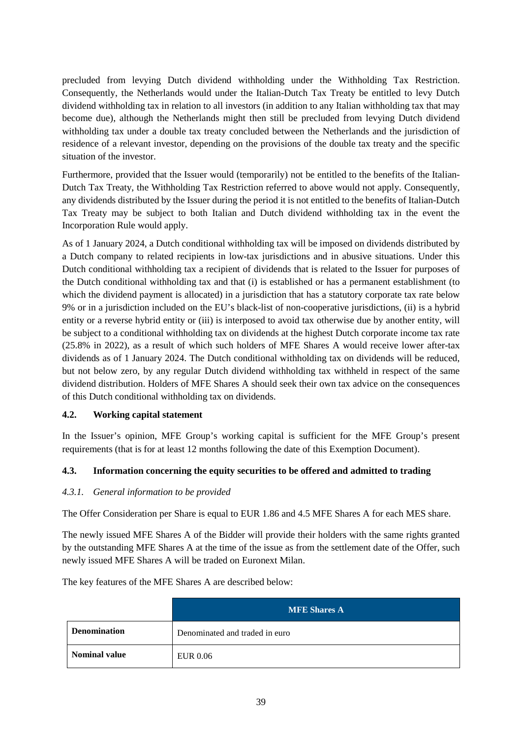precluded from levying Dutch dividend withholding under the Withholding Tax Restriction. Consequently, the Netherlands would under the Italian-Dutch Tax Treaty be entitled to levy Dutch dividend withholding tax in relation to all investors (in addition to any Italian withholding tax that may become due), although the Netherlands might then still be precluded from levying Dutch dividend withholding tax under a double tax treaty concluded between the Netherlands and the jurisdiction of residence of a relevant investor, depending on the provisions of the double tax treaty and the specific situation of the investor.

Furthermore, provided that the Issuer would (temporarily) not be entitled to the benefits of the Italian-Dutch Tax Treaty, the Withholding Tax Restriction referred to above would not apply. Consequently, any dividends distributed by the Issuer during the period it is not entitled to the benefits of Italian-Dutch Tax Treaty may be subject to both Italian and Dutch dividend withholding tax in the event the Incorporation Rule would apply.

As of 1 January 2024, a Dutch conditional withholding tax will be imposed on dividends distributed by a Dutch company to related recipients in low-tax jurisdictions and in abusive situations. Under this Dutch conditional withholding tax a recipient of dividends that is related to the Issuer for purposes of the Dutch conditional withholding tax and that (i) is established or has a permanent establishment (to which the dividend payment is allocated) in a jurisdiction that has a statutory corporate tax rate below 9% or in a jurisdiction included on the EU's black-list of non-cooperative jurisdictions, (ii) is a hybrid entity or a reverse hybrid entity or (iii) is interposed to avoid tax otherwise due by another entity, will be subject to a conditional withholding tax on dividends at the highest Dutch corporate income tax rate (25.8% in 2022), as a result of which such holders of MFE Shares A would receive lower after-tax dividends as of 1 January 2024. The Dutch conditional withholding tax on dividends will be reduced, but not below zero, by any regular Dutch dividend withholding tax withheld in respect of the same dividend distribution. Holders of MFE Shares A should seek their own tax advice on the consequences of this Dutch conditional withholding tax on dividends.

### <span id="page-44-0"></span>**4.2. Working capital statement**

In the Issuer's opinion, MFE Group's working capital is sufficient for the MFE Group's present requirements (that is for at least 12 months following the date of this Exemption Document).

### <span id="page-44-1"></span>**4.3. Information concerning the equity securities to be offered and admitted to trading**

### *4.3.1. General information to be provided*

The Offer Consideration per Share is equal to EUR 1.86 and 4.5 MFE Shares A for each MES share.

The newly issued MFE Shares A of the Bidder will provide their holders with the same rights granted by the outstanding MFE Shares A at the time of the issue as from the settlement date of the Offer, such newly issued MFE Shares A will be traded on Euronext Milan.

The key features of the MFE Shares A are described below:

|                      | <b>MFE Shares A</b>            |
|----------------------|--------------------------------|
| <b>Denomination</b>  | Denominated and traded in euro |
| <b>Nominal value</b> | EUR 0.06                       |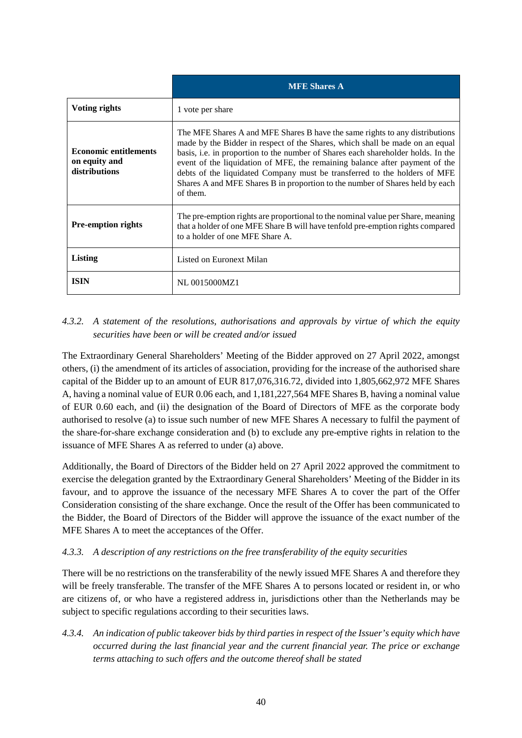|                                                                | <b>MFE Shares A</b>                                                                                                                                                                                                                                                                                                                                                                                                                                                                                     |
|----------------------------------------------------------------|---------------------------------------------------------------------------------------------------------------------------------------------------------------------------------------------------------------------------------------------------------------------------------------------------------------------------------------------------------------------------------------------------------------------------------------------------------------------------------------------------------|
| Voting rights                                                  | 1 vote per share                                                                                                                                                                                                                                                                                                                                                                                                                                                                                        |
| <b>Economic entitlements</b><br>on equity and<br>distributions | The MFE Shares A and MFE Shares B have the same rights to any distributions<br>made by the Bidder in respect of the Shares, which shall be made on an equal<br>basis, i.e. in proportion to the number of Shares each shareholder holds. In the<br>event of the liquidation of MFE, the remaining balance after payment of the<br>debts of the liquidated Company must be transferred to the holders of MFE<br>Shares A and MFE Shares B in proportion to the number of Shares held by each<br>of them. |
| <b>Pre-emption rights</b>                                      | The pre-emption rights are proportional to the nominal value per Share, meaning<br>that a holder of one MFE Share B will have tenfold pre-emption rights compared<br>to a holder of one MFE Share A.                                                                                                                                                                                                                                                                                                    |
| Listing                                                        | Listed on Euronext Milan                                                                                                                                                                                                                                                                                                                                                                                                                                                                                |
| <b>ISIN</b>                                                    | NL 0015000MZ1                                                                                                                                                                                                                                                                                                                                                                                                                                                                                           |

# *4.3.2. A statement of the resolutions, authorisations and approvals by virtue of which the equity securities have been or will be created and/or issued*

The Extraordinary General Shareholders' Meeting of the Bidder approved on 27 April 2022, amongst others, (i) the amendment of its articles of association, providing for the increase of the authorised share capital of the Bidder up to an amount of EUR 817,076,316.72, divided into 1,805,662,972 MFE Shares A, having a nominal value of EUR 0.06 each, and 1,181,227,564 MFE Shares B, having a nominal value of EUR 0.60 each, and (ii) the designation of the Board of Directors of MFE as the corporate body authorised to resolve (a) to issue such number of new MFE Shares A necessary to fulfil the payment of the share-for-share exchange consideration and (b) to exclude any pre-emptive rights in relation to the issuance of MFE Shares A as referred to under (a) above.

Additionally, the Board of Directors of the Bidder held on 27 April 2022 approved the commitment to exercise the delegation granted by the Extraordinary General Shareholders' Meeting of the Bidder in its favour, and to approve the issuance of the necessary MFE Shares A to cover the part of the Offer Consideration consisting of the share exchange. Once the result of the Offer has been communicated to the Bidder, the Board of Directors of the Bidder will approve the issuance of the exact number of the MFE Shares A to meet the acceptances of the Offer.

### *4.3.3. A description of any restrictions on the free transferability of the equity securities*

There will be no restrictions on the transferability of the newly issued MFE Shares A and therefore they will be freely transferable. The transfer of the MFE Shares A to persons located or resident in, or who are citizens of, or who have a registered address in, jurisdictions other than the Netherlands may be subject to specific regulations according to their securities laws.

*4.3.4. An indication of public takeover bids by third parties in respect of the Issuer's equity which have occurred during the last financial year and the current financial year. The price or exchange terms attaching to such offers and the outcome thereof shall be stated*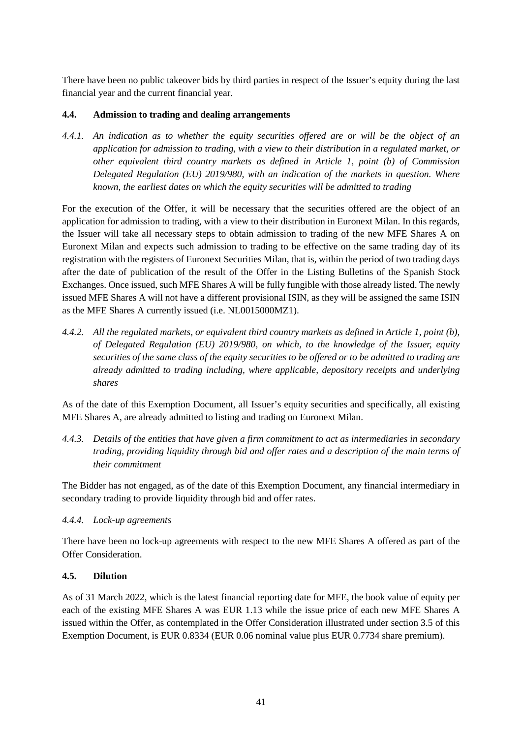There have been no public takeover bids by third parties in respect of the Issuer's equity during the last financial year and the current financial year.

## <span id="page-46-0"></span>**4.4. Admission to trading and dealing arrangements**

*4.4.1. An indication as to whether the equity securities offered are or will be the object of an application for admission to trading, with a view to their distribution in a regulated market, or other equivalent third country markets as defined in Article 1, point (b) of Commission Delegated Regulation (EU) 2019/980, with an indication of the markets in question. Where known, the earliest dates on which the equity securities will be admitted to trading*

For the execution of the Offer, it will be necessary that the securities offered are the object of an application for admission to trading, with a view to their distribution in Euronext Milan. In this regards, the Issuer will take all necessary steps to obtain admission to trading of the new MFE Shares A on Euronext Milan and expects such admission to trading to be effective on the same trading day of its registration with the registers of Euronext Securities Milan, that is, within the period of two trading days after the date of publication of the result of the Offer in the Listing Bulletins of the Spanish Stock Exchanges. Once issued, such MFE Shares A will be fully fungible with those already listed. The newly issued MFE Shares A will not have a different provisional ISIN, as they will be assigned the same ISIN as the MFE Shares A currently issued (i.e. NL0015000MZ1).

*4.4.2. All the regulated markets, or equivalent third country markets as defined in Article 1, point (b), of Delegated Regulation (EU) 2019/980, on which, to the knowledge of the Issuer, equity securities of the same class of the equity securities to be offered or to be admitted to trading are already admitted to trading including, where applicable, depository receipts and underlying shares*

As of the date of this Exemption Document, all Issuer's equity securities and specifically, all existing MFE Shares A, are already admitted to listing and trading on Euronext Milan.

*4.4.3. Details of the entities that have given a firm commitment to act as intermediaries in secondary trading, providing liquidity through bid and offer rates and a description of the main terms of their commitment*

The Bidder has not engaged, as of the date of this Exemption Document, any financial intermediary in secondary trading to provide liquidity through bid and offer rates.

### *4.4.4. Lock-up agreements*

There have been no lock-up agreements with respect to the new MFE Shares A offered as part of the Offer Consideration.

### <span id="page-46-1"></span>**4.5. Dilution**

As of 31 March 2022, which is the latest financial reporting date for MFE, the book value of equity per each of the existing MFE Shares A was EUR 1.13 while the issue price of each new MFE Shares A issued within the Offer, as contemplated in the Offer Consideration illustrated under section [3.5](#page-36-1) of this Exemption Document, is EUR 0.8334 (EUR 0.06 nominal value plus EUR 0.7734 share premium).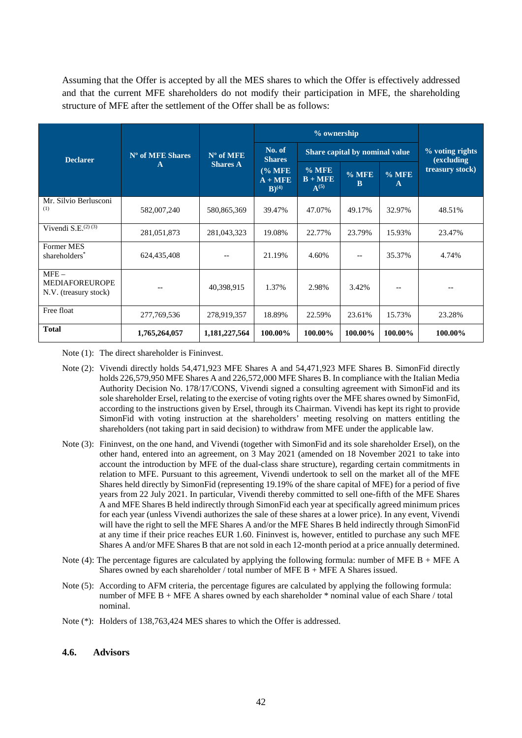Assuming that the Offer is accepted by all the MES shares to which the Offer is effectively addressed and that the current MFE shareholders do not modify their participation in MFE, the shareholding structure of MFE after the settlement of the Offer shall be as follows:

|                                                           |                  |                                            |                                   | % ownership                    |                         |                 |                               |
|-----------------------------------------------------------|------------------|--------------------------------------------|-----------------------------------|--------------------------------|-------------------------|-----------------|-------------------------------|
| <b>Declarer</b>                                           | N° of MFE Shares | $N^{\circ}$ of MFE                         | No. of<br><b>Shares</b>           | Share capital by nominal value |                         |                 | % voting rights<br>(excluding |
| $\mathbf{A}$                                              | <b>Shares A</b>  | (% MFE<br>$A + MFE$<br>$B)$ <sup>(4)</sup> | $%$ MFE<br>$B + MFE$<br>$A^{(5)}$ | $%$ MFE<br>B                   | $%$ MFE<br>$\mathbf{A}$ | treasury stock) |                               |
| Mr. Silvio Berlusconi<br>(1)                              | 582,007,240      | 580,865,369                                | 39.47%                            | 47.07%                         | 49.17%                  | 32.97%          | 48.51%                        |
| Vivendi S.E. $^{(2) (3)}$                                 | 281,051,873      | 281,043,323                                | 19.08%                            | 22.77%                         | 23.79%                  | 15.93%          | 23.47%                        |
| <b>Former MES</b><br>shareholders*                        | 624,435,408      |                                            | 21.19%                            | 4.60%                          | $-$                     | 35.37%          | 4.74%                         |
| $MFE -$<br><b>MEDIAFOREUROPE</b><br>N.V. (treasury stock) |                  | 40,398,915                                 | 1.37%                             | 2.98%                          | 3.42%                   | $- -$           | $-$                           |
| Free float                                                | 277,769,536      | 278,919,357                                | 18.89%                            | 22.59%                         | 23.61%                  | 15.73%          | 23.28%                        |
| <b>Total</b>                                              | 1,765,264,057    | 1,181,227,564                              | 100.00%                           | 100.00%                        | 100.00%                 | 100.00%         | 100.00%                       |

Note (1): The direct shareholder is Fininvest.

- Note (2): Vivendi directly holds 54,471,923 MFE Shares A and 54,471,923 MFE Shares B. SimonFid directly holds 226,579,950 MFE Shares A and 226,572,000 MFE Shares B. In compliance with the Italian Media Authority Decision No. 178/17/CONS, Vivendi signed a consulting agreement with SimonFid and its sole shareholder Ersel, relating to the exercise of voting rights over the MFE shares owned by SimonFid, according to the instructions given by Ersel, through its Chairman. Vivendi has kept its right to provide SimonFid with voting instruction at the shareholders' meeting resolving on matters entitling the shareholders (not taking part in said decision) to withdraw from MFE under the applicable law.
- Note (3): Fininvest, on the one hand, and Vivendi (together with SimonFid and its sole shareholder Ersel), on the other hand, entered into an agreement, on 3 May 2021 (amended on 18 November 2021 to take into account the introduction by MFE of the dual-class share structure), regarding certain commitments in relation to MFE. Pursuant to this agreement, Vivendi undertook to sell on the market all of the MFE Shares held directly by SimonFid (representing 19.19% of the share capital of MFE) for a period of five years from 22 July 2021. In particular, Vivendi thereby committed to sell one-fifth of the MFE Shares A and MFE Shares B held indirectly through SimonFid each year at specifically agreed minimum prices for each year (unless Vivendi authorizes the sale of these shares at a lower price). In any event, Vivendi will have the right to sell the MFE Shares A and/or the MFE Shares B held indirectly through SimonFid at any time if their price reaches EUR 1.60. Fininvest is, however, entitled to purchase any such MFE Shares A and/or MFE Shares B that are not sold in each 12-month period at a price annually determined.
- Note (4): The percentage figures are calculated by applying the following formula: number of MFE B + MFE A Shares owned by each shareholder / total number of MFE B + MFE A Shares issued.
- Note (5): According to AFM criteria, the percentage figures are calculated by applying the following formula: number of MFE B + MFE A shares owned by each shareholder  $*$  nominal value of each Share / total nominal.
- Note (\*): Holders of 138,763,424 MES shares to which the Offer is addressed.

#### <span id="page-47-0"></span>**4.6. Advisors**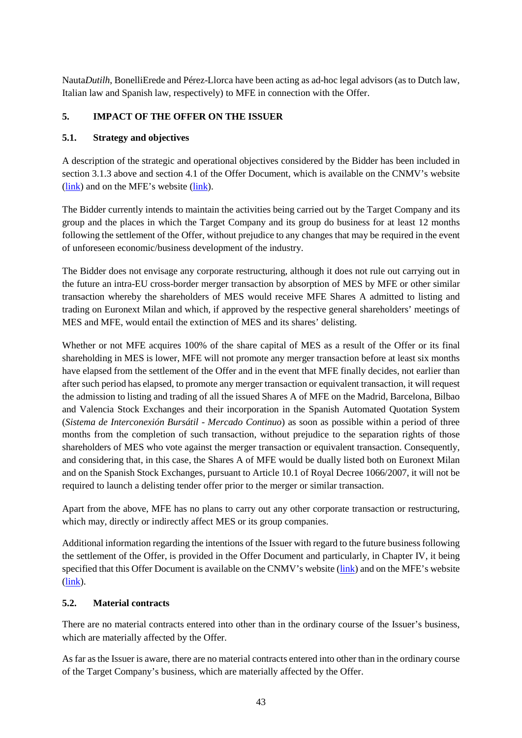Nauta*Dutilh*, BonelliErede and Pérez-Llorca have been acting as ad-hoc legal advisors (as to Dutch law, Italian law and Spanish law, respectively) to MFE in connection with the Offer.

# <span id="page-48-0"></span>**5. IMPACT OF THE OFFER ON THE ISSUER**

### <span id="page-48-1"></span>**5.1. Strategy and objectives**

A description of the strategic and operational objectives considered by the Bidder has been included in section [3.1.3](#page-29-0) above and section 4.1 of the Offer Document, which is available on the CNMV's website [\(link\)](https://www.mfemediaforeurope.com/en/) and on the MFE's website (link).

The Bidder currently intends to maintain the activities being carried out by the Target Company and its group and the places in which the Target Company and its group do business for at least 12 months following the settlement of the Offer, without prejudice to any changes that may be required in the event of unforeseen economic/business development of the industry.

The Bidder does not envisage any corporate restructuring, although it does not rule out carrying out in the future an intra-EU cross-border merger transaction by absorption of MES by MFE or other similar transaction whereby the shareholders of MES would receive MFE Shares A admitted to listing and trading on Euronext Milan and which, if approved by the respective general shareholders' meetings of MES and MFE, would entail the extinction of MES and its shares' delisting.

Whether or not MFE acquires 100% of the share capital of MES as a result of the Offer or its final shareholding in MES is lower, MFE will not promote any merger transaction before at least six months have elapsed from the settlement of the Offer and in the event that MFE finally decides, not earlier than after such period has elapsed, to promote any merger transaction or equivalent transaction, it will request the admission to listing and trading of all the issued Shares A of MFE on the Madrid, Barcelona, Bilbao and Valencia Stock Exchanges and their incorporation in the Spanish Automated Quotation System (*Sistema de Interconexión Bursátil* - *Mercado Continuo*) as soon as possible within a period of three months from the completion of such transaction, without prejudice to the separation rights of those shareholders of MES who vote against the merger transaction or equivalent transaction. Consequently, and considering that, in this case, the Shares A of MFE would be dually listed both on Euronext Milan and on the Spanish Stock Exchanges, pursuant to Article 10.1 of Royal Decree 1066/2007, it will not be required to launch a delisting tender offer prior to the merger or similar transaction.

Apart from the above, MFE has no plans to carry out any other corporate transaction or restructuring, which may, directly or indirectly affect MES or its group companies.

Additional information regarding the intentions of the Issuer with regard to the future business following the settlement of the Offer, is provided in the Offer Document and particularly, in Chapter IV, it being specified that this Offer Document is available on the CNMV's website [\(link\)](https://www.cnmv.es/portal/home.aspx) and on the MFE's website [\(link\)](https://www.mfemediaforeurope.com/en/).

### <span id="page-48-2"></span>**5.2. Material contracts**

There are no material contracts entered into other than in the ordinary course of the Issuer's business, which are materially affected by the Offer.

As far as the Issuer is aware, there are no material contracts entered into other than in the ordinary course of the Target Company's business, which are materially affected by the Offer.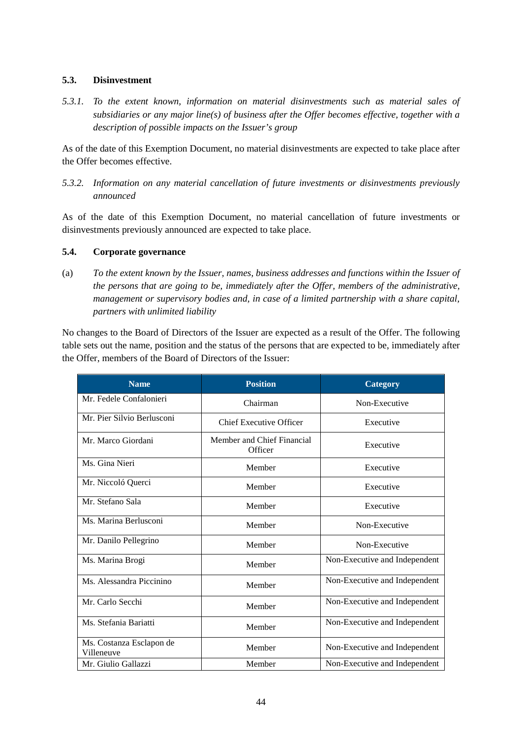### <span id="page-49-0"></span>**5.3. Disinvestment**

*5.3.1. To the extent known, information on material disinvestments such as material sales of subsidiaries or any major line(s) of business after the Offer becomes effective, together with a description of possible impacts on the Issuer's group*

As of the date of this Exemption Document, no material disinvestments are expected to take place after the Offer becomes effective.

*5.3.2. Information on any material cancellation of future investments or disinvestments previously announced*

As of the date of this Exemption Document, no material cancellation of future investments or disinvestments previously announced are expected to take place.

### <span id="page-49-1"></span>**5.4. Corporate governance**

(a) *To the extent known by the Issuer, names, business addresses and functions within the Issuer of the persons that are going to be, immediately after the Offer, members of the administrative, management or supervisory bodies and, in case of a limited partnership with a share capital, partners with unlimited liability*

No changes to the Board of Directors of the Issuer are expected as a result of the Offer. The following table sets out the name, position and the status of the persons that are expected to be, immediately after the Offer, members of the Board of Directors of the Issuer:

| <b>Name</b>                            | <b>Position</b>                       | <b>Category</b>               |
|----------------------------------------|---------------------------------------|-------------------------------|
| Mr. Fedele Confalonieri                | Chairman                              | Non-Executive                 |
| Mr. Pier Silvio Berlusconi             | <b>Chief Executive Officer</b>        | Executive                     |
| Mr. Marco Giordani                     | Member and Chief Financial<br>Officer | Executive                     |
| Ms. Gina Nieri                         | Member                                | Executive                     |
| Mr. Niccoló Querci                     | Member                                | Executive                     |
| Mr. Stefano Sala                       | Member                                | Executive                     |
| Ms. Marina Berlusconi                  | Member                                | Non-Executive                 |
| Mr. Danilo Pellegrino                  | Member                                | Non-Executive                 |
| Ms. Marina Brogi                       | Member                                | Non-Executive and Independent |
| Ms. Alessandra Piccinino               | Member                                | Non-Executive and Independent |
| Mr. Carlo Secchi                       | Member                                | Non-Executive and Independent |
| Ms. Stefania Bariatti                  | Member                                | Non-Executive and Independent |
| Ms. Costanza Esclapon de<br>Villeneuve | Member                                | Non-Executive and Independent |
| Mr. Giulio Gallazzi                    | Member                                | Non-Executive and Independent |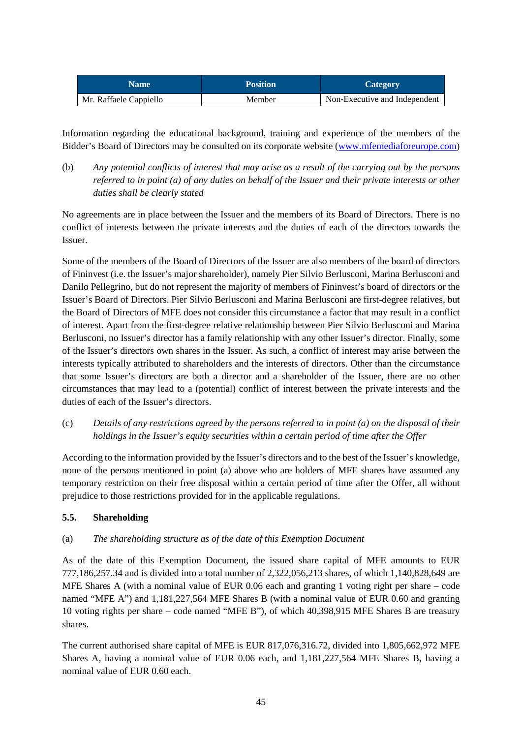| <b>Name</b>            | <b>Position</b> | Category                      |
|------------------------|-----------------|-------------------------------|
| Mr. Raffaele Cappiello | Member          | Non-Executive and Independent |

Information regarding the educational background, training and experience of the members of the Bidder's Board of Directors may be consulted on its corporate website [\(www.mfemediaforeurope.com\)](https://www.mfemediaforeurope.com/en/governance/corporate-bodies/)

(b) *Any potential conflicts of interest that may arise as a result of the carrying out by the persons referred to in point (a) of any duties on behalf of the Issuer and their private interests or other duties shall be clearly stated* 

No agreements are in place between the Issuer and the members of its Board of Directors. There is no conflict of interests between the private interests and the duties of each of the directors towards the Issuer.

Some of the members of the Board of Directors of the Issuer are also members of the board of directors of Fininvest (i.e. the Issuer's major shareholder), namely Pier Silvio Berlusconi, Marina Berlusconi and Danilo Pellegrino, but do not represent the majority of members of Fininvest's board of directors or the Issuer's Board of Directors. Pier Silvio Berlusconi and Marina Berlusconi are first-degree relatives, but the Board of Directors of MFE does not consider this circumstance a factor that may result in a conflict of interest. Apart from the first-degree relative relationship between Pier Silvio Berlusconi and Marina Berlusconi, no Issuer's director has a family relationship with any other Issuer's director. Finally, some of the Issuer's directors own shares in the Issuer. As such, a conflict of interest may arise between the interests typically attributed to shareholders and the interests of directors. Other than the circumstance that some Issuer's directors are both a director and a shareholder of the Issuer, there are no other circumstances that may lead to a (potential) conflict of interest between the private interests and the duties of each of the Issuer's directors.

(c) *Details of any restrictions agreed by the persons referred to in point (a) on the disposal of their holdings in the Issuer's equity securities within a certain period of time after the Offer*

According to the information provided by the Issuer's directors and to the best of the Issuer's knowledge, none of the persons mentioned in point (a) above who are holders of MFE shares have assumed any temporary restriction on their free disposal within a certain period of time after the Offer, all without prejudice to those restrictions provided for in the applicable regulations.

# <span id="page-50-0"></span>**5.5. Shareholding**

### (a) *The shareholding structure as of the date of this Exemption Document*

As of the date of this Exemption Document, the issued share capital of MFE amounts to EUR 777,186,257.34 and is divided into a total number of 2,322,056,213 shares, of which 1,140,828,649 are MFE Shares A (with a nominal value of EUR 0.06 each and granting 1 voting right per share – code named "MFE A") and 1,181,227,564 MFE Shares B (with a nominal value of EUR 0.60 and granting 10 voting rights per share – code named "MFE B"), of which 40,398,915 MFE Shares B are treasury shares.

The current authorised share capital of MFE is EUR 817,076,316.72, divided into 1,805,662,972 MFE Shares A, having a nominal value of EUR 0.06 each, and 1,181,227,564 MFE Shares B, having a nominal value of EUR 0.60 each.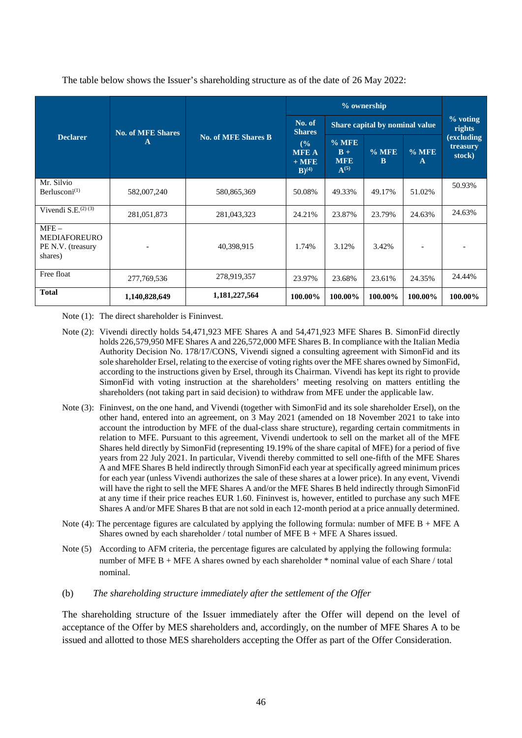|                                                                |                          |                            | % ownership                                             |                                             |              |              |                                  |
|----------------------------------------------------------------|--------------------------|----------------------------|---------------------------------------------------------|---------------------------------------------|--------------|--------------|----------------------------------|
|                                                                | <b>No. of MFE Shares</b> |                            | No. of<br><b>Shares</b>                                 | Share capital by nominal value              |              |              | % voting<br>rights               |
| <b>Declarer</b>                                                | A                        | <b>No. of MFE Shares B</b> | (°/°)<br><b>MFE A</b><br>$+$ MFE<br>$B)$ <sup>(4)</sup> | $%$ MFE<br>$B +$<br><b>MFE</b><br>$A^{(5)}$ | $%$ MFE<br>B | $%$ MFE<br>A | (excluding<br>treasury<br>stock) |
| Mr. Silvio<br>Berlusconi $^{(1)}$                              | 582,007,240              | 580,865,369                | 50.08%                                                  | 49.33%                                      | 49.17%       | 51.02%       | 50.93%                           |
| Vivendi S.E. $(2)$ $(3)$                                       | 281,051,873              | 281,043,323                | 24.21%                                                  | 23.87%                                      | 23.79%       | 24.63%       | 24.63%                           |
| $MFE -$<br><b>MEDIAFOREURO</b><br>PE N.V. (treasury<br>shares) |                          | 40,398,915                 | 1.74%                                                   | 3.12%                                       | 3.42%        |              |                                  |
| Free float                                                     | 277,769,536              | 278,919,357                | 23.97%                                                  | 23.68%                                      | 23.61%       | 24.35%       | 24.44%                           |
| <b>Total</b>                                                   | 1,140,828,649            | 1,181,227,564              | 100.00%                                                 | 100.00%                                     | 100.00%      | 100.00%      | 100.00%                          |

The table below shows the Issuer's shareholding structure as of the date of 26 May 2022:

Note (1): The direct shareholder is Fininvest.

- Note (2): Vivendi directly holds 54,471,923 MFE Shares A and 54,471,923 MFE Shares B. SimonFid directly holds 226,579,950 MFE Shares A and 226,572,000 MFE Shares B. In compliance with the Italian Media Authority Decision No. 178/17/CONS, Vivendi signed a consulting agreement with SimonFid and its sole shareholder Ersel, relating to the exercise of voting rights over the MFE shares owned by SimonFid, according to the instructions given by Ersel, through its Chairman. Vivendi has kept its right to provide SimonFid with voting instruction at the shareholders' meeting resolving on matters entitling the shareholders (not taking part in said decision) to withdraw from MFE under the applicable law.
- Note (3): Fininvest, on the one hand, and Vivendi (together with SimonFid and its sole shareholder Ersel), on the other hand, entered into an agreement, on 3 May 2021 (amended on 18 November 2021 to take into account the introduction by MFE of the dual-class share structure), regarding certain commitments in relation to MFE. Pursuant to this agreement, Vivendi undertook to sell on the market all of the MFE Shares held directly by SimonFid (representing 19.19% of the share capital of MFE) for a period of five years from 22 July 2021. In particular, Vivendi thereby committed to sell one-fifth of the MFE Shares A and MFE Shares B held indirectly through SimonFid each year at specifically agreed minimum prices for each year (unless Vivendi authorizes the sale of these shares at a lower price). In any event, Vivendi will have the right to sell the MFE Shares A and/or the MFE Shares B held indirectly through SimonFid at any time if their price reaches EUR 1.60. Fininvest is, however, entitled to purchase any such MFE Shares A and/or MFE Shares B that are not sold in each 12-month period at a price annually determined.
- Note (4): The percentage figures are calculated by applying the following formula: number of MFE B + MFE A Shares owned by each shareholder / total number of MFE  $B + MFE$  A Shares issued.
- Note (5) According to AFM criteria, the percentage figures are calculated by applying the following formula: number of MFE B + MFE A shares owned by each shareholder \* nominal value of each Share / total nominal.
- (b) *The shareholding structure immediately after the settlement of the Offer*

The shareholding structure of the Issuer immediately after the Offer will depend on the level of acceptance of the Offer by MES shareholders and, accordingly, on the number of MFE Shares A to be issued and allotted to those MES shareholders accepting the Offer as part of the Offer Consideration.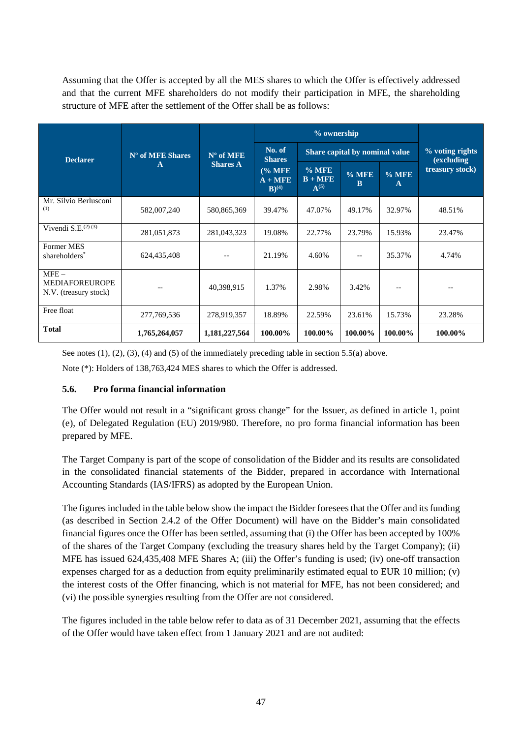Assuming that the Offer is accepted by all the MES shares to which the Offer is effectively addressed and that the current MFE shareholders do not modify their participation in MFE, the shareholding structure of MFE after the settlement of the Offer shall be as follows:

|                                                           |                 |                                             | % ownership                       |                                |                         |                 |                               |  |
|-----------------------------------------------------------|-----------------|---------------------------------------------|-----------------------------------|--------------------------------|-------------------------|-----------------|-------------------------------|--|
| N° of MFE Shares<br><b>Declarer</b><br>$\mathbf{A}$       |                 | $N^{\circ}$ of MFE                          | No. of<br><b>Shares</b>           | Share capital by nominal value |                         |                 | % voting rights<br>(excluding |  |
|                                                           | <b>Shares A</b> | (% MFE)<br>$A + MFE$<br>$B)$ <sup>(4)</sup> | $%$ MFE<br>$B + MFE$<br>$A^{(5)}$ | $%$ MFE<br>B                   | $%$ MFE<br>$\mathbf{A}$ | treasury stock) |                               |  |
| Mr. Silvio Berlusconi<br>(1)                              | 582,007,240     | 580,865,369                                 | 39.47%                            | 47.07%                         | 49.17%                  | 32.97%          | 48.51%                        |  |
| Vivendi S.E. $^{(2)(3)}$                                  | 281,051,873     | 281,043,323                                 | 19.08%                            | 22.77%                         | 23.79%                  | 15.93%          | 23.47%                        |  |
| <b>Former MES</b><br>shareholders <sup>*</sup>            | 624,435,408     |                                             | 21.19%                            | 4.60%                          |                         | 35.37%          | 4.74%                         |  |
| $MFE -$<br><b>MEDIAFOREUROPE</b><br>N.V. (treasury stock) |                 | 40,398,915                                  | 1.37%                             | 2.98%                          | 3.42%                   |                 |                               |  |
| Free float                                                | 277,769,536     | 278,919,357                                 | 18.89%                            | 22.59%                         | 23.61%                  | 15.73%          | 23.28%                        |  |
| <b>Total</b>                                              | 1,765,264,057   | 1,181,227,564                               | 100.00%                           | 100.00%                        | 100.00%                 | 100.00%         | 100.00%                       |  |

See notes (1), (2), (3), (4) and (5) of the immediately preceding table in sectio[n 5.5\(a\)](#page-50-0) above.

Note (\*): Holders of 138,763,424 MES shares to which the Offer is addressed.

### <span id="page-52-0"></span>**5.6. Pro forma financial information**

The Offer would not result in a "significant gross change" for the Issuer, as defined in article 1, point (e), of Delegated Regulation (EU) 2019/980. Therefore, no pro forma financial information has been prepared by MFE.

The Target Company is part of the scope of consolidation of the Bidder and its results are consolidated in the consolidated financial statements of the Bidder, prepared in accordance with International Accounting Standards (IAS/IFRS) as adopted by the European Union.

The figures included in the table below show the impact the Bidder foresees that the Offer and its funding (as described in Section 2.4.2 of the Offer Document) will have on the Bidder's main consolidated financial figures once the Offer has been settled, assuming that (i) the Offer has been accepted by 100% of the shares of the Target Company (excluding the treasury shares held by the Target Company); (ii) MFE has issued 624,435,408 MFE Shares A; (iii) the Offer's funding is used; (iv) one-off transaction expenses charged for as a deduction from equity preliminarily estimated equal to EUR 10 million; (v) the interest costs of the Offer financing, which is not material for MFE, has not been considered; and (vi) the possible synergies resulting from the Offer are not considered.

The figures included in the table below refer to data as of 31 December 2021, assuming that the effects of the Offer would have taken effect from 1 January 2021 and are not audited: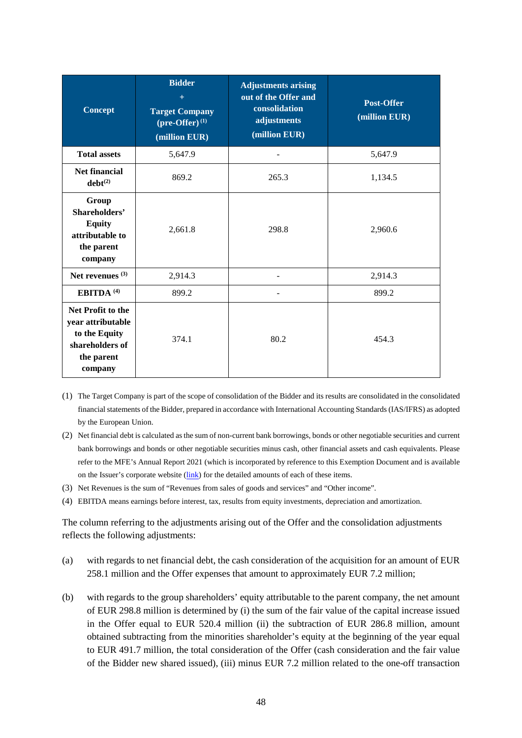| <b>Concept</b>                                                                                      | <b>Bidder</b><br>$+$<br><b>Target Company</b><br>$(\text{pre-Offer})^{(1)}$<br>(million EUR) | <b>Adjustments arising</b><br>out of the Offer and<br>consolidation<br>adjustments<br>(million EUR) | Post-Offer<br>(million EUR) |
|-----------------------------------------------------------------------------------------------------|----------------------------------------------------------------------------------------------|-----------------------------------------------------------------------------------------------------|-----------------------------|
| <b>Total assets</b>                                                                                 | 5,647.9                                                                                      |                                                                                                     | 5,647.9                     |
| <b>Net financial</b><br>$debt^{(2)}$                                                                | 869.2                                                                                        | 265.3                                                                                               | 1,134.5                     |
| Group<br>Shareholders'<br><b>Equity</b><br>attributable to<br>the parent<br>company                 | 2,661.8                                                                                      | 298.8                                                                                               | 2,960.6                     |
| Net revenues $(3)$                                                                                  | 2,914.3                                                                                      |                                                                                                     | 2,914.3                     |
| EBITDA <sup>(4)</sup>                                                                               | 899.2                                                                                        |                                                                                                     | 899.2                       |
| Net Profit to the<br>year attributable<br>to the Equity<br>shareholders of<br>the parent<br>company | 374.1                                                                                        | 80.2                                                                                                | 454.3                       |

(1) The Target Company is part of the scope of consolidation of the Bidder and its results are consolidated in the consolidated financial statements of the Bidder, prepared in accordance with International Accounting Standards (IAS/IFRS) as adopted by the European Union.

- (2) Net financial debt is calculated as the sum of non-current bank borrowings, bonds or other negotiable securities and current bank borrowings and bonds or other negotiable securities minus cash, other financial assets and cash equivalents. Please refer to the MFE's Annual Report 2021 (which is incorporated by reference to this Exemption Document and is available on the Issuer's corporate website [\(link\)](https://www.mfemediaforeurope.com/binary/documentRepository/93/AR_2021_ENG_1791.pdf) for the detailed amounts of each of these items.
- (3) Net Revenues is the sum of "Revenues from sales of goods and services" and "Other income".
- (4) EBITDA means earnings before interest, tax, results from equity investments, depreciation and amortization.

The column referring to the adjustments arising out of the Offer and the consolidation adjustments reflects the following adjustments:

- (a) with regards to net financial debt, the cash consideration of the acquisition for an amount of EUR 258.1 million and the Offer expenses that amount to approximately EUR 7.2 million;
- (b) with regards to the group shareholders' equity attributable to the parent company, the net amount of EUR 298.8 million is determined by (i) the sum of the fair value of the capital increase issued in the Offer equal to EUR 520.4 million (ii) the subtraction of EUR 286.8 million, amount obtained subtracting from the minorities shareholder's equity at the beginning of the year equal to EUR 491.7 million, the total consideration of the Offer (cash consideration and the fair value of the Bidder new shared issued), (iii) minus EUR 7.2 million related to the one-off transaction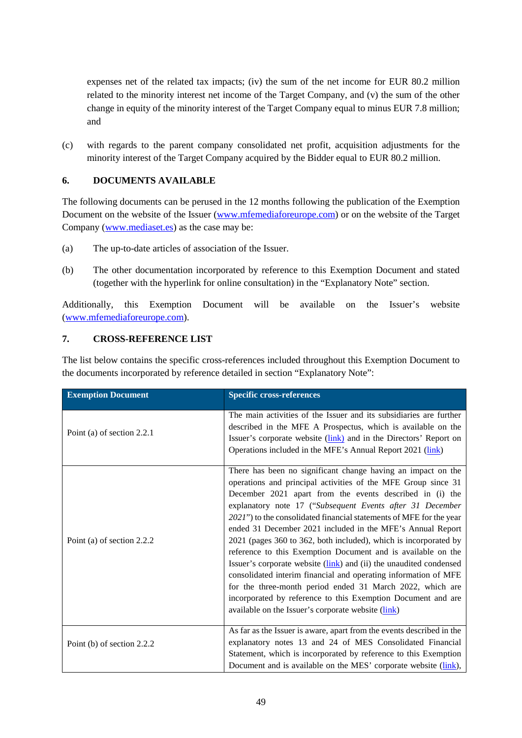expenses net of the related tax impacts; (iv) the sum of the net income for EUR 80.2 million related to the minority interest net income of the Target Company, and (v) the sum of the other change in equity of the minority interest of the Target Company equal to minus EUR 7.8 million; and

(c) with regards to the parent company consolidated net profit, acquisition adjustments for the minority interest of the Target Company acquired by the Bidder equal to EUR 80.2 million.

## <span id="page-54-0"></span>**6. DOCUMENTS AVAILABLE**

The following documents can be perused in the 12 months following the publication of the Exemption Document on the website of the Issuer [\(www.mfemediaforeurope.com\)](http://www.mfemediaforeurope.com/) or on the website of the Target Company [\(www.mediaset.es\)](https://www.mediaset.es/inversores/en/mediaset-espana.html) as the case may be:

- (a) The up-to-date articles of association of the Issuer.
- (b) The other documentation incorporated by reference to this Exemption Document and stated (together with the hyperlink for online consultation) in the "Explanatory Note" section.

Additionally, this Exemption Document will be available on the Issuer's website [\(www.mfemediaforeurope.com\)](http://www.mfemediaforeurope.com/).

## <span id="page-54-1"></span>**7. CROSS-REFERENCE LIST**

The list below contains the specific cross-references included throughout this Exemption Document to the documents incorporated by reference detailed in section "Explanatory Note":

| <b>Exemption Document</b>    | <b>Specific cross-references</b>                                                                                                                                                                                                                                                                                                                                                                                                                                                                                                                                                                                                                                                                                                                                                                                                                            |
|------------------------------|-------------------------------------------------------------------------------------------------------------------------------------------------------------------------------------------------------------------------------------------------------------------------------------------------------------------------------------------------------------------------------------------------------------------------------------------------------------------------------------------------------------------------------------------------------------------------------------------------------------------------------------------------------------------------------------------------------------------------------------------------------------------------------------------------------------------------------------------------------------|
| Point (a) of section $2.2.1$ | The main activities of the Issuer and its subsidiaries are further<br>described in the MFE A Prospectus, which is available on the<br>Issuer's corporate website ( <i>link</i> ) and in the Directors' Report on<br>Operations included in the MFE's Annual Report 2021 (link)                                                                                                                                                                                                                                                                                                                                                                                                                                                                                                                                                                              |
| Point (a) of section 2.2.2   | There has been no significant change having an impact on the<br>operations and principal activities of the MFE Group since 31<br>December 2021 apart from the events described in (i) the<br>explanatory note 17 ("Subsequent Events after 31 December<br>2021") to the consolidated financial statements of MFE for the year<br>ended 31 December 2021 included in the MFE's Annual Report<br>2021 (pages 360 to 362, both included), which is incorporated by<br>reference to this Exemption Document and is available on the<br>Issuer's corporate website (link) and (ii) the unaudited condensed<br>consolidated interim financial and operating information of MFE<br>for the three-month period ended 31 March 2022, which are<br>incorporated by reference to this Exemption Document and are<br>available on the Issuer's corporate website (link) |
| Point (b) of section 2.2.2   | As far as the Issuer is aware, apart from the events described in the<br>explanatory notes 13 and 24 of MES Consolidated Financial<br>Statement, which is incorporated by reference to this Exemption<br>Document and is available on the MES' corporate website (link),                                                                                                                                                                                                                                                                                                                                                                                                                                                                                                                                                                                    |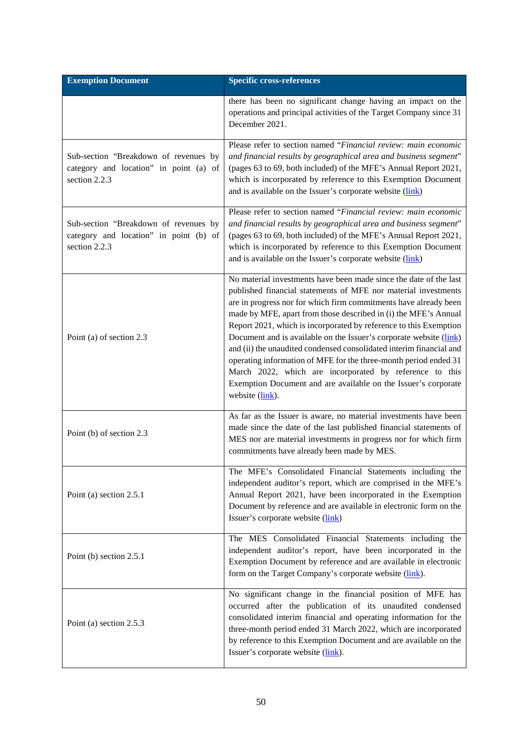| <b>Exemption Document</b>                                                                        | <b>Specific cross-references</b>                                                                                                                                                                                                                                                                                                                                                                                                                                                                                                                                                                                                                                                                                 |
|--------------------------------------------------------------------------------------------------|------------------------------------------------------------------------------------------------------------------------------------------------------------------------------------------------------------------------------------------------------------------------------------------------------------------------------------------------------------------------------------------------------------------------------------------------------------------------------------------------------------------------------------------------------------------------------------------------------------------------------------------------------------------------------------------------------------------|
|                                                                                                  | there has been no significant change having an impact on the<br>operations and principal activities of the Target Company since 31<br>December 2021.                                                                                                                                                                                                                                                                                                                                                                                                                                                                                                                                                             |
| Sub-section "Breakdown of revenues by<br>category and location" in point (a) of<br>section 2.2.3 | Please refer to section named "Financial review: main economic<br>and financial results by geographical area and business segment"<br>(pages 63 to 69, both included) of the MFE's Annual Report 2021,<br>which is incorporated by reference to this Exemption Document<br>and is available on the Issuer's corporate website (link)                                                                                                                                                                                                                                                                                                                                                                             |
| Sub-section "Breakdown of revenues by<br>category and location" in point (b) of<br>section 2.2.3 | Please refer to section named "Financial review: main economic<br>and financial results by geographical area and business segment"<br>(pages 63 to 69, both included) of the MFE's Annual Report 2021,<br>which is incorporated by reference to this Exemption Document<br>and is available on the Issuer's corporate website (link)                                                                                                                                                                                                                                                                                                                                                                             |
| Point (a) of section 2.3                                                                         | No material investments have been made since the date of the last<br>published financial statements of MFE nor material investments<br>are in progress nor for which firm commitments have already been<br>made by MFE, apart from those described in (i) the MFE's Annual<br>Report 2021, which is incorporated by reference to this Exemption<br>Document and is available on the Issuer's corporate website (link)<br>and (ii) the unaudited condensed consolidated interim financial and<br>operating information of MFE for the three-month period ended 31<br>March 2022, which are incorporated by reference to this<br>Exemption Document and are available on the Issuer's corporate<br>website (link). |
| Point (b) of section 2.3                                                                         | As far as the Issuer is aware, no material investments have been<br>made since the date of the last published financial statements of<br>MES nor are material investments in progress nor for which firm<br>commitments have already been made by MES.                                                                                                                                                                                                                                                                                                                                                                                                                                                           |
| Point (a) section 2.5.1                                                                          | The MFE's Consolidated Financial Statements including the<br>independent auditor's report, which are comprised in the MFE's<br>Annual Report 2021, have been incorporated in the Exemption<br>Document by reference and are available in electronic form on the<br>Issuer's corporate website (link)                                                                                                                                                                                                                                                                                                                                                                                                             |
| Point (b) section 2.5.1                                                                          | The MES Consolidated Financial Statements including the<br>independent auditor's report, have been incorporated in the<br>Exemption Document by reference and are available in electronic<br>form on the Target Company's corporate website (link).                                                                                                                                                                                                                                                                                                                                                                                                                                                              |
| Point (a) section 2.5.3                                                                          | No significant change in the financial position of MFE has<br>occurred after the publication of its unaudited condensed<br>consolidated interim financial and operating information for the<br>three-month period ended 31 March 2022, which are incorporated<br>by reference to this Exemption Document and are available on the<br>Issuer's corporate website (link).                                                                                                                                                                                                                                                                                                                                          |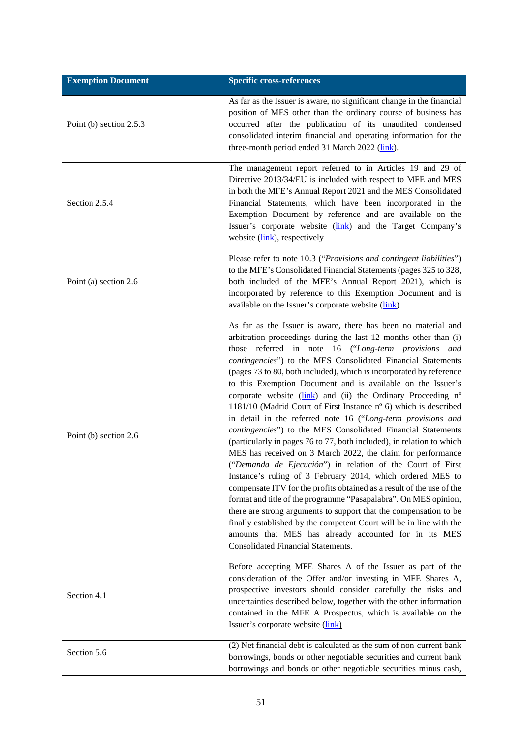| <b>Exemption Document</b> | <b>Specific cross-references</b>                                                                                                                                                                                                                                                                                                                                                                                                                                                                                                                                                                                                                                                                                                                                                                                                                                                                                                                                                                                                                                                                                                                                                                                                                                                                                                |
|---------------------------|---------------------------------------------------------------------------------------------------------------------------------------------------------------------------------------------------------------------------------------------------------------------------------------------------------------------------------------------------------------------------------------------------------------------------------------------------------------------------------------------------------------------------------------------------------------------------------------------------------------------------------------------------------------------------------------------------------------------------------------------------------------------------------------------------------------------------------------------------------------------------------------------------------------------------------------------------------------------------------------------------------------------------------------------------------------------------------------------------------------------------------------------------------------------------------------------------------------------------------------------------------------------------------------------------------------------------------|
| Point (b) section 2.5.3   | As far as the Issuer is aware, no significant change in the financial<br>position of MES other than the ordinary course of business has<br>occurred after the publication of its unaudited condensed<br>consolidated interim financial and operating information for the<br>three-month period ended 31 March 2022 (link).                                                                                                                                                                                                                                                                                                                                                                                                                                                                                                                                                                                                                                                                                                                                                                                                                                                                                                                                                                                                      |
| Section 2.5.4             | The management report referred to in Articles 19 and 29 of<br>Directive 2013/34/EU is included with respect to MFE and MES<br>in both the MFE's Annual Report 2021 and the MES Consolidated<br>Financial Statements, which have been incorporated in the<br>Exemption Document by reference and are available on the<br>Issuer's corporate website (link) and the Target Company's<br>website (link), respectively                                                                                                                                                                                                                                                                                                                                                                                                                                                                                                                                                                                                                                                                                                                                                                                                                                                                                                              |
| Point (a) section 2.6     | Please refer to note 10.3 ("Provisions and contingent liabilities")<br>to the MFE's Consolidated Financial Statements (pages 325 to 328,<br>both included of the MFE's Annual Report 2021), which is<br>incorporated by reference to this Exemption Document and is<br>available on the Issuer's corporate website (link)                                                                                                                                                                                                                                                                                                                                                                                                                                                                                                                                                                                                                                                                                                                                                                                                                                                                                                                                                                                                       |
| Point (b) section 2.6     | As far as the Issuer is aware, there has been no material and<br>arbitration proceedings during the last 12 months other than (i)<br>those referred in note 16 ("Long-term provisions and<br>contingencies") to the MES Consolidated Financial Statements<br>(pages 73 to 80, both included), which is incorporated by reference<br>to this Exemption Document and is available on the Issuer's<br>corporate website (link) and (ii) the Ordinary Proceeding n°<br>1181/10 (Madrid Court of First Instance n° 6) which is described<br>in detail in the referred note 16 ("Long-term provisions and<br>contingencies") to the MES Consolidated Financial Statements<br>(particularly in pages 76 to 77, both included), in relation to which<br>MES has received on 3 March 2022, the claim for performance<br>("Demanda de Ejecución") in relation of the Court of First<br>Instance's ruling of 3 February 2014, which ordered MES to<br>compensate ITV for the profits obtained as a result of the use of the<br>format and title of the programme "Pasapalabra". On MES opinion,<br>there are strong arguments to support that the compensation to be<br>finally established by the competent Court will be in line with the<br>amounts that MES has already accounted for in its MES<br>Consolidated Financial Statements. |
| Section 4.1               | Before accepting MFE Shares A of the Issuer as part of the<br>consideration of the Offer and/or investing in MFE Shares A,<br>prospective investors should consider carefully the risks and<br>uncertainties described below, together with the other information<br>contained in the MFE A Prospectus, which is available on the<br>Issuer's corporate website (link)                                                                                                                                                                                                                                                                                                                                                                                                                                                                                                                                                                                                                                                                                                                                                                                                                                                                                                                                                          |
| Section 5.6               | (2) Net financial debt is calculated as the sum of non-current bank<br>borrowings, bonds or other negotiable securities and current bank<br>borrowings and bonds or other negotiable securities minus cash,                                                                                                                                                                                                                                                                                                                                                                                                                                                                                                                                                                                                                                                                                                                                                                                                                                                                                                                                                                                                                                                                                                                     |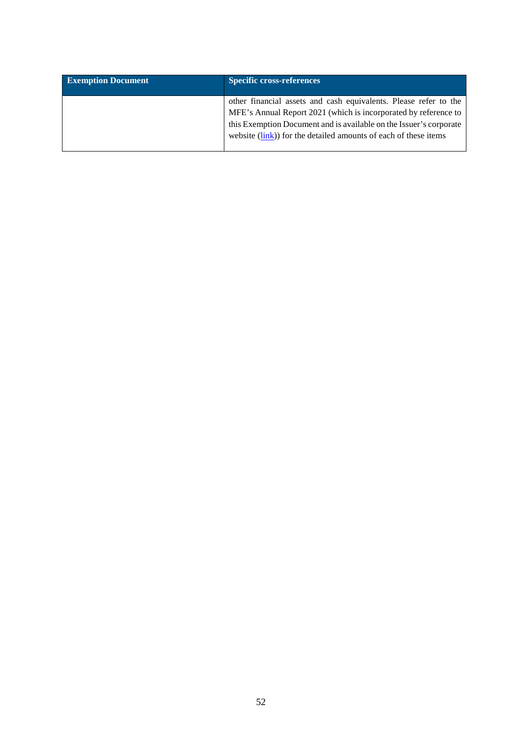| <b>Exemption Document</b> | <b>Specific cross-references</b>                                                                                                                                                                                                                                             |
|---------------------------|------------------------------------------------------------------------------------------------------------------------------------------------------------------------------------------------------------------------------------------------------------------------------|
|                           | other financial assets and cash equivalents. Please refer to the<br>MFE's Annual Report 2021 (which is incorporated by reference to<br>this Exemption Document and is available on the Issuer's corporate<br>website (link)) for the detailed amounts of each of these items |